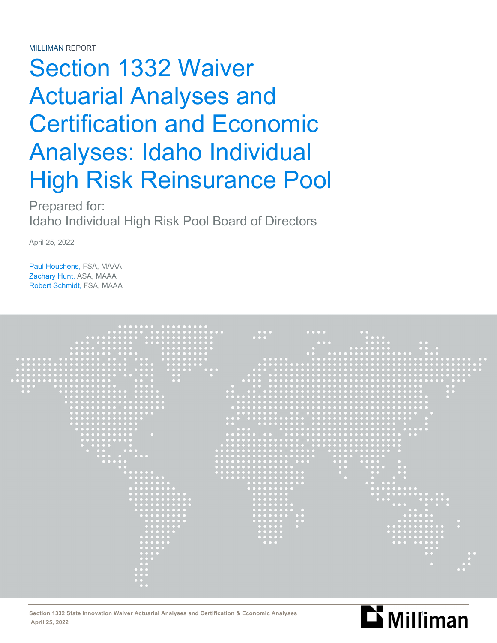# Section 1332 Waiver Actuarial Analyses and Certification and Economic Analyses: Idaho Individual High Risk Reinsurance Pool

Prepared for: Idaho Individual High Risk Pool Board of Directors

April 25, 2022

Paul Houchens, FSA, MAAA Zachary Hunt, ASA, MAAA Robert Schmidt, FSA, MAAA



Section 1332 State Innovation Waiver Actuarial Analyses and Certification & Economic Analyses<br>April 25, 2022  **April 25, 2022**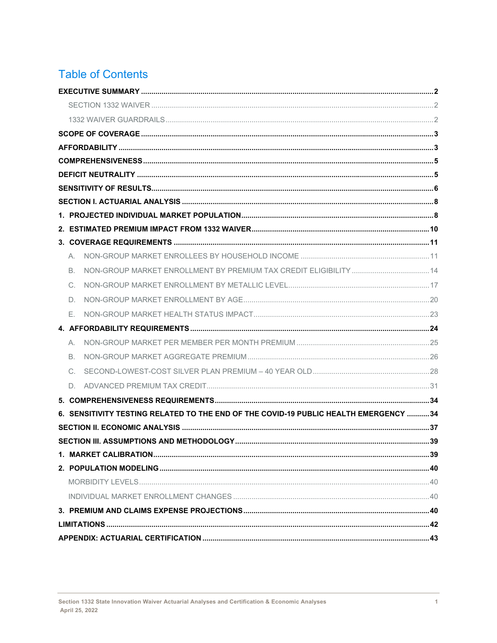## **Table of Contents**

| А. |                                                                                      |  |
|----|--------------------------------------------------------------------------------------|--|
| В. |                                                                                      |  |
| C. |                                                                                      |  |
| D. |                                                                                      |  |
| Е. |                                                                                      |  |
|    |                                                                                      |  |
| А. |                                                                                      |  |
| B. |                                                                                      |  |
| C. |                                                                                      |  |
| D. |                                                                                      |  |
|    |                                                                                      |  |
|    | 6. SENSITIVITY TESTING RELATED TO THE END OF THE COVID-19 PUBLIC HEALTH EMERGENCY 34 |  |
|    |                                                                                      |  |
|    |                                                                                      |  |
|    |                                                                                      |  |
|    |                                                                                      |  |
|    |                                                                                      |  |
|    |                                                                                      |  |
|    |                                                                                      |  |
|    |                                                                                      |  |
|    |                                                                                      |  |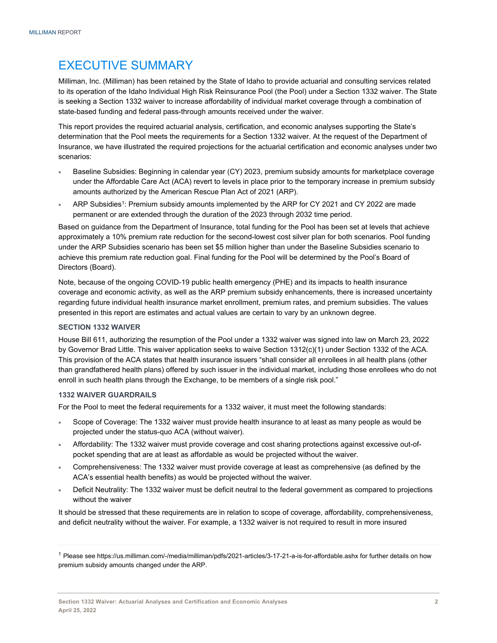## EXECUTIVE SUMMARY

Milliman, Inc. (Milliman) has been retained by the State of Idaho to provide actuarial and consulting services related to its operation of the Idaho Individual High Risk Reinsurance Pool (the Pool) under a Section 1332 waiver. The State is seeking a Section 1332 waiver to increase affordability of individual market coverage through a combination of state-based funding and federal pass-through amounts received under the waiver.

This report provides the required actuarial analysis, certification, and economic analyses supporting the State's determination that the Pool meets the requirements for a Section 1332 waiver. At the request of the Department of Insurance, we have illustrated the required projections for the actuarial certification and economic analyses under two scenarios:

- Baseline Subsidies: Beginning in calendar year (CY) 2023, premium subsidy amounts for marketplace coverage under the Affordable Care Act (ACA) revert to levels in place prior to the temporary increase in premium subsidy amounts authorized by the American Rescue Plan Act of 2021 (ARP).
- ARP Subsidies<sup>1</sup>: Premium subsidy amounts implemented by the ARP for CY 2021 and CY 2022 are made permanent or are extended through the duration of the 2023 through 2032 time period.

Based on guidance from the Department of Insurance, total funding for the Pool has been set at levels that achieve approximately a 10% premium rate reduction for the second-lowest cost silver plan for both scenarios. Pool funding under the ARP Subsidies scenario has been set \$5 million higher than under the Baseline Subsidies scenario to achieve this premium rate reduction goal. Final funding for the Pool will be determined by the Pool's Board of Directors (Board).

Note, because of the ongoing COVID-19 public health emergency (PHE) and its impacts to health insurance coverage and economic activity, as well as the ARP premium subsidy enhancements, there is increased uncertainty regarding future individual health insurance market enrollment, premium rates, and premium subsidies. The values presented in this report are estimates and actual values are certain to vary by an unknown degree.

#### **SECTION 1332 WAIVER**

House Bill 611, authorizing the resumption of the Pool under a 1332 waiver was signed into law on March 23, 2022 by Governor Brad Little. This waiver application seeks to waive Section 1312(c)(1) under Section 1332 of the ACA. This provision of the ACA states that health insurance issuers "shall consider all enrollees in all health plans (other than grandfathered health plans) offered by such issuer in the individual market, including those enrollees who do not enroll in such health plans through the Exchange, to be members of a single risk pool."

#### **1332 WAIVER GUARDRAILS**

For the Pool to meet the federal requirements for a 1332 waiver, it must meet the following standards:

- Scope of Coverage: The 1332 waiver must provide health insurance to at least as many people as would be projected under the status-quo ACA (without waiver).
- Affordability: The 1332 waiver must provide coverage and cost sharing protections against excessive out-ofpocket spending that are at least as affordable as would be projected without the waiver.
- Comprehensiveness: The 1332 waiver must provide coverage at least as comprehensive (as defined by the ACA's essential health benefits) as would be projected without the waiver.
- Deficit Neutrality: The 1332 waiver must be deficit neutral to the federal government as compared to projections without the waiver

It should be stressed that these requirements are in relation to scope of coverage, affordability, comprehensiveness, and deficit neutrality without the waiver. For example, a 1332 waiver is not required to result in more insured

<sup>1</sup> Please see https://us.milliman.com/-/media/milliman/pdfs/2021-articles/3-17-21-a-is-for-affordable.ashx for further details on how premium subsidy amounts changed under the ARP.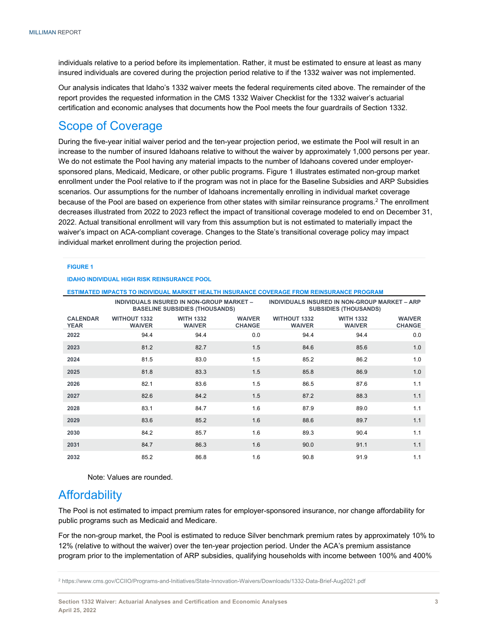individuals relative to a period before its implementation. Rather, it must be estimated to ensure at least as many insured individuals are covered during the projection period relative to if the 1332 waiver was not implemented.

Our analysis indicates that Idaho's 1332 waiver meets the federal requirements cited above. The remainder of the report provides the requested information in the CMS 1332 Waiver Checklist for the 1332 waiver's actuarial certification and economic analyses that documents how the Pool meets the four guardrails of Section 1332.

## Scope of Coverage

During the five-year initial waiver period and the ten-year projection period, we estimate the Pool will result in an increase to the number of insured Idahoans relative to without the waiver by approximately 1,000 persons per year. We do not estimate the Pool having any material impacts to the number of Idahoans covered under employersponsored plans, Medicaid, Medicare, or other public programs. Figure 1 illustrates estimated non-group market enrollment under the Pool relative to if the program was not in place for the Baseline Subsidies and ARP Subsidies scenarios. Our assumptions for the number of Idahoans incrementally enrolling in individual market coverage because of the Pool are based on experience from other states with similar reinsurance programs.<sup>2</sup> The enrollment decreases illustrated from 2022 to 2023 reflect the impact of transitional coverage modeled to end on December 31, 2022. Actual transitional enrollment will vary from this assumption but is not estimated to materially impact the waiver's impact on ACA-compliant coverage. Changes to the State's transitional coverage policy may impact individual market enrollment during the projection period.

#### **FIGURE 1**

#### **IDAHO INDIVIDUAL HIGH RISK REINSURANCE POOL**

#### **ESTIMATED IMPACTS TO INDIVIDUAL MARKET HEALTH INSURANCE COVERAGE FROM REINSURANCE PROGRAM**

|                                |                                      | INDIVIDUALS INSURED IN NON-GROUP MARKET -<br><b>BASELINE SUBSIDIES (THOUSANDS)</b> | INDIVIDUALS INSURED IN NON-GROUP MARKET - ARP<br><b>SUBSIDIES (THOUSANDS)</b> |                                      |                                   |                                |  |  |
|--------------------------------|--------------------------------------|------------------------------------------------------------------------------------|-------------------------------------------------------------------------------|--------------------------------------|-----------------------------------|--------------------------------|--|--|
| <b>CALENDAR</b><br><b>YEAR</b> | <b>WITHOUT 1332</b><br><b>WAIVER</b> | <b>WITH 1332</b><br><b>WAIVER</b>                                                  | <b>WAIVER</b><br><b>CHANGE</b>                                                | <b>WITHOUT 1332</b><br><b>WAIVER</b> | <b>WITH 1332</b><br><b>WAIVER</b> | <b>WAIVER</b><br><b>CHANGE</b> |  |  |
| 2022                           | 94.4                                 | 94.4                                                                               | 0.0                                                                           | 94.4                                 | 94.4                              | 0.0                            |  |  |
| 2023                           | 81.2                                 | 82.7                                                                               | 1.5                                                                           | 84.6                                 | 85.6                              | 1.0                            |  |  |
| 2024                           | 81.5                                 | 83.0                                                                               | 1.5                                                                           | 85.2                                 | 86.2                              | 1.0                            |  |  |
| 2025                           | 81.8                                 | 83.3                                                                               | 1.5                                                                           | 85.8                                 | 86.9                              | 1.0                            |  |  |
| 2026                           | 82.1                                 | 83.6                                                                               | 1.5                                                                           | 86.5                                 | 87.6                              | 1.1                            |  |  |
| 2027                           | 82.6                                 | 84.2                                                                               | 1.5                                                                           | 87.2                                 | 88.3                              | 1.1                            |  |  |
| 2028                           | 83.1                                 | 84.7                                                                               | 1.6                                                                           | 87.9                                 | 89.0                              | 1.1                            |  |  |
| 2029                           | 83.6                                 | 85.2                                                                               | 1.6                                                                           | 88.6                                 | 89.7                              | 1.1                            |  |  |
| 2030                           | 84.2                                 | 85.7                                                                               | 1.6                                                                           | 89.3                                 | 90.4                              | 1.1                            |  |  |
| 2031                           | 84.7                                 | 86.3                                                                               | 1.6                                                                           | 90.0                                 | 91.1                              | 1.1                            |  |  |
| 2032                           | 85.2                                 | 86.8                                                                               | 1.6                                                                           | 90.8                                 | 91.9                              | 1.1                            |  |  |

Note: Values are rounded.

### **Affordability**

The Pool is not estimated to impact premium rates for employer-sponsored insurance, nor change affordability for public programs such as Medicaid and Medicare.

For the non-group market, the Pool is estimated to reduce Silver benchmark premium rates by approximately 10% to 12% (relative to without the waiver) over the ten-year projection period. Under the ACA's premium assistance program prior to the implementation of ARP subsidies, qualifying households with income between 100% and 400%

<sup>2</sup> https://www.cms.gov/CCIIO/Programs-and-Initiatives/State-Innovation-Waivers/Downloads/1332-Data-Brief-Aug2021.pdf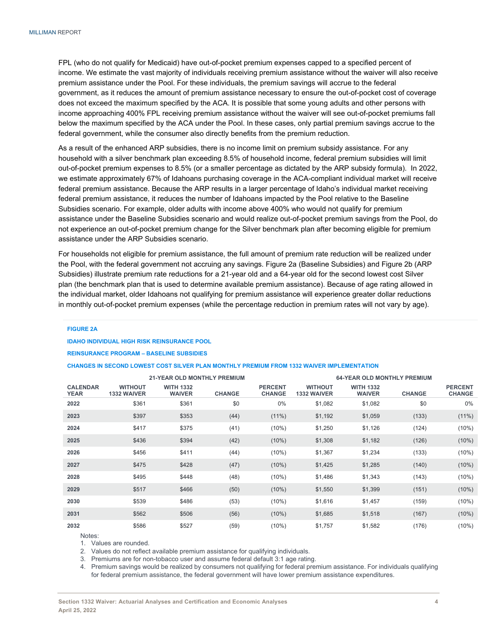FPL (who do not qualify for Medicaid) have out-of-pocket premium expenses capped to a specified percent of income. We estimate the vast majority of individuals receiving premium assistance without the waiver will also receive premium assistance under the Pool. For these individuals, the premium savings will accrue to the federal government, as it reduces the amount of premium assistance necessary to ensure the out-of-pocket cost of coverage does not exceed the maximum specified by the ACA. It is possible that some young adults and other persons with income approaching 400% FPL receiving premium assistance without the waiver will see out-of-pocket premiums fall below the maximum specified by the ACA under the Pool. In these cases, only partial premium savings accrue to the federal government, while the consumer also directly benefits from the premium reduction.

As a result of the enhanced ARP subsidies, there is no income limit on premium subsidy assistance. For any household with a silver benchmark plan exceeding 8.5% of household income, federal premium subsidies will limit out-of-pocket premium expenses to 8.5% (or a smaller percentage as dictated by the ARP subsidy formula). In 2022, we estimate approximately 67% of Idahoans purchasing coverage in the ACA-compliant individual market will receive federal premium assistance. Because the ARP results in a larger percentage of Idaho's individual market receiving federal premium assistance, it reduces the number of Idahoans impacted by the Pool relative to the Baseline Subsidies scenario. For example, older adults with income above 400% who would not qualify for premium assistance under the Baseline Subsidies scenario and would realize out-of-pocket premium savings from the Pool, do not experience an out-of-pocket premium change for the Silver benchmark plan after becoming eligible for premium assistance under the ARP Subsidies scenario.

For households not eligible for premium assistance, the full amount of premium rate reduction will be realized under the Pool, with the federal government not accruing any savings. Figure 2a (Baseline Subsidies) and Figure 2b (ARP Subsidies) illustrate premium rate reductions for a 21-year old and a 64-year old for the second lowest cost Silver plan (the benchmark plan that is used to determine available premium assistance). Because of age rating allowed in the individual market, older Idahoans not qualifying for premium assistance will experience greater dollar reductions in monthly out-of-pocket premium expenses (while the percentage reduction in premium rates will not vary by age).

#### **FIGURE 2A**

**IDAHO INDIVIDUAL HIGH RISK REINSURANCE POOL** 

#### **REINSURANCE PROGRAM – BASELINE SUBSIDIES**

#### **CHANGES IN SECOND LOWEST COST SILVER PLAN MONTHLY PREMIUM FROM 1332 WAIVER IMPLEMENTATION**

|                                |                                      | <b>21-YEAR OLD MONTHLY PREMIUM</b> |               |                                 |                                      |                                   | <b>64-YEAR OLD MONTHLY PREMIUM</b> |                                 |
|--------------------------------|--------------------------------------|------------------------------------|---------------|---------------------------------|--------------------------------------|-----------------------------------|------------------------------------|---------------------------------|
| <b>CALENDAR</b><br><b>YEAR</b> | <b>WITHOUT</b><br><b>1332 WAIVER</b> | <b>WITH 1332</b><br><b>WAIVER</b>  | <b>CHANGE</b> | <b>PERCENT</b><br><b>CHANGE</b> | <b>WITHOUT</b><br><b>1332 WAIVER</b> | <b>WITH 1332</b><br><b>WAIVER</b> | <b>CHANGE</b>                      | <b>PERCENT</b><br><b>CHANGE</b> |
| 2022                           | \$361                                | \$361                              | \$0           | $0\%$                           | \$1,082                              | \$1,082                           | \$0                                | $0\%$                           |
| 2023                           | \$397                                | \$353                              | (44)          | $(11\%)$                        | \$1,192                              | \$1,059                           | (133)                              | $(11\%)$                        |
| 2024                           | \$417                                | \$375                              | (41)          | $(10\%)$                        | \$1,250                              | \$1,126                           | (124)                              | $(10\%)$                        |
| 2025                           | \$436                                | \$394                              | (42)          | $(10\%)$                        | \$1,308                              | \$1,182                           | (126)                              | $(10\%)$                        |
| 2026                           | \$456                                | \$411                              | (44)          | $(10\%)$                        | \$1,367                              | \$1,234                           | (133)                              | $(10\%)$                        |
| 2027                           | \$475                                | \$428                              | (47)          | $(10\%)$                        | \$1,425                              | \$1,285                           | (140)                              | $(10\%)$                        |
| 2028                           | \$495                                | \$448                              | (48)          | $(10\%)$                        | \$1,486                              | \$1,343                           | (143)                              | $(10\%)$                        |
| 2029                           | \$517                                | \$466                              | (50)          | $(10\%)$                        | \$1,550                              | \$1,399                           | (151)                              | $(10\%)$                        |
| 2030                           | \$539                                | \$486                              | (53)          | (10%)                           | \$1,616                              | \$1,457                           | (159)                              | $(10\%)$                        |
| 2031                           | \$562                                | \$506                              | (56)          | $(10\%)$                        | \$1,685                              | \$1,518                           | (167)                              | $(10\%)$                        |
| 2032                           | \$586                                | \$527                              | (59)          | $(10\%)$                        | \$1,757                              | \$1,582                           | (176)                              | $(10\%)$                        |

Notes:

1. Values are rounded.

2. Values do not reflect available premium assistance for qualifying individuals.

3. Premiums are for non-tobacco user and assume federal default 3:1 age rating.

4. Premium savings would be realized by consumers not qualifying for federal premium assistance. For individuals qualifying for federal premium assistance, the federal government will have lower premium assistance expenditures.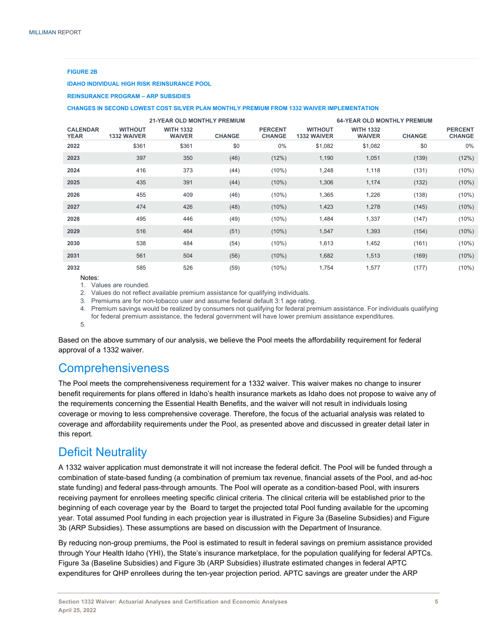#### **FIGURE 2B**

**IDAHO INDIVIDUAL HIGH RISK REINSURANCE POOL** 

**REINSURANCE PROGRAM – ARP SUBSIDIES** 

#### **CHANGES IN SECOND LOWEST COST SILVER PLAN MONTHLY PREMIUM FROM 1332 WAIVER IMPLEMENTATION**

|                                |                                      |                                   | <b>21-YEAR OLD MONTHLY PREMIUM</b> |                                 |                                      | <b>64-YEAR OLD MONTHLY PREMIUM</b> |               |                                 |
|--------------------------------|--------------------------------------|-----------------------------------|------------------------------------|---------------------------------|--------------------------------------|------------------------------------|---------------|---------------------------------|
| <b>CALENDAR</b><br><b>YEAR</b> | <b>WITHOUT</b><br><b>1332 WAIVER</b> | <b>WITH 1332</b><br><b>WAIVER</b> | <b>CHANGE</b>                      | <b>PERCENT</b><br><b>CHANGE</b> | <b>WITHOUT</b><br><b>1332 WAIVER</b> | <b>WITH 1332</b><br><b>WAIVER</b>  | <b>CHANGE</b> | <b>PERCENT</b><br><b>CHANGE</b> |
| 2022                           | \$361                                | \$361                             | \$0                                | 0%                              | \$1,082                              | \$1,082                            | \$0           | 0%                              |
| 2023                           | 397                                  | 350                               | (46)                               | (12%)                           | 1,190                                | 1,051                              | (139)         | (12%)                           |
| 2024                           | 416                                  | 373                               | (44)                               | $(10\%)$                        | 1,248                                | 1,118                              | (131)         | $(10\%)$                        |
| 2025                           | 435                                  | 391                               | (44)                               | $(10\%)$                        | 1,306                                | 1,174                              | (132)         | $(10\%)$                        |
| 2026                           | 455                                  | 409                               | (46)                               | $(10\%)$                        | 1,365                                | 1,226                              | (138)         | $(10\%)$                        |
| 2027                           | 474                                  | 426                               | (48)                               | $(10\%)$                        | 1,423                                | 1,278                              | (145)         | $(10\%)$                        |
| 2028                           | 495                                  | 446                               | (49)                               | $(10\%)$                        | 1,484                                | 1,337                              | (147)         | $(10\%)$                        |
| 2029                           | 516                                  | 464                               | (51)                               | $(10\%)$                        | 1,547                                | 1,393                              | (154)         | $(10\%)$                        |
| 2030                           | 538                                  | 484                               | (54)                               | $(10\%)$                        | 1,613                                | 1,452                              | (161)         | $(10\%)$                        |
| 2031                           | 561                                  | 504                               | (56)                               | $(10\%)$                        | 1,682                                | 1,513                              | (169)         | $(10\%)$                        |
| 2032                           | 585                                  | 526                               | (59)                               | $(10\%)$                        | 1,754                                | 1,577                              | (177)         | $(10\%)$                        |

Notes:

1. Values are rounded.

2. Values do not reflect available premium assistance for qualifying individuals.

3. Premiums are for non-tobacco user and assume federal default 3:1 age rating.

4. Premium savings would be realized by consumers not qualifying for federal premium assistance. For individuals qualifying for federal premium assistance, the federal government will have lower premium assistance expenditures. 5.

Based on the above summary of our analysis, we believe the Pool meets the affordability requirement for federal approval of a 1332 waiver.

## **Comprehensiveness**

The Pool meets the comprehensiveness requirement for a 1332 waiver. This waiver makes no change to insurer benefit requirements for plans offered in Idaho's health insurance markets as Idaho does not propose to waive any of the requirements concerning the Essential Health Benefits, and the waiver will not result in individuals losing coverage or moving to less comprehensive coverage. Therefore, the focus of the actuarial analysis was related to coverage and affordability requirements under the Pool, as presented above and discussed in greater detail later in this report.

### Deficit Neutrality

A 1332 waiver application must demonstrate it will not increase the federal deficit. The Pool will be funded through a combination of state-based funding (a combination of premium tax revenue, financial assets of the Pool, and ad-hoc state funding) and federal pass-through amounts. The Pool will operate as a condition-based Pool, with insurers receiving payment for enrollees meeting specific clinical criteria. The clinical criteria will be established prior to the beginning of each coverage year by the Board to target the projected total Pool funding available for the upcoming year. Total assumed Pool funding in each projection year is illustrated in Figure 3a (Baseline Subsidies) and Figure 3b (ARP Subsidies). These assumptions are based on discussion with the Department of Insurance.

By reducing non-group premiums, the Pool is estimated to result in federal savings on premium assistance provided through Your Health Idaho (YHI), the State's insurance marketplace, for the population qualifying for federal APTCs. Figure 3a (Baseline Subsidies) and Figure 3b (ARP Subsidies) illustrate estimated changes in federal APTC expenditures for QHP enrollees during the ten-year projection period. APTC savings are greater under the ARP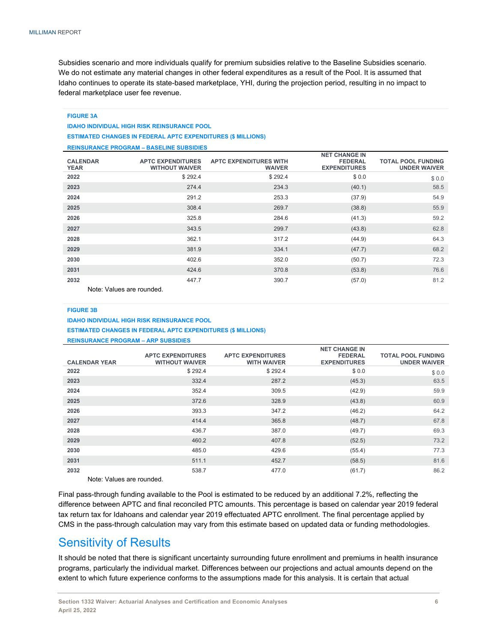Subsidies scenario and more individuals qualify for premium subsidies relative to the Baseline Subsidies scenario. We do not estimate any material changes in other federal expenditures as a result of the Pool. It is assumed that Idaho continues to operate its state-based marketplace, YHI, during the projection period, resulting in no impact to federal marketplace user fee revenue.

#### **FIGURE 3A IDAHO INDIVIDUAL HIGH RISK REINSURANCE POOL ESTIMATED CHANGES IN FEDERAL APTC EXPENDITURES (\$ MILLIONS) REINSURANCE PROGRAM – BASELINE SUBSIDIES**

|                                |                                                   |                                                | <b>NET CHANGE IN</b>                  |                                                  |
|--------------------------------|---------------------------------------------------|------------------------------------------------|---------------------------------------|--------------------------------------------------|
| <b>CALENDAR</b><br><b>YEAR</b> | <b>APTC EXPENDITURES</b><br><b>WITHOUT WAIVER</b> | <b>APTC EXPENDITURES WITH</b><br><b>WAIVER</b> | <b>FEDERAL</b><br><b>EXPENDITURES</b> | <b>TOTAL POOL FUNDING</b><br><b>UNDER WAIVER</b> |
| 2022                           | \$292.4                                           | \$292.4                                        | \$0.0                                 | \$0.0                                            |
| 2023                           | 274.4                                             | 234.3                                          | (40.1)                                | 58.5                                             |
| 2024                           | 291.2                                             | 253.3                                          | (37.9)                                | 54.9                                             |
| 2025                           | 308.4                                             | 269.7                                          | (38.8)                                | 55.9                                             |
| 2026                           | 325.8                                             | 284.6                                          | (41.3)                                | 59.2                                             |
| 2027                           | 343.5                                             | 299.7                                          | (43.8)                                | 62.8                                             |
| 2028                           | 362.1                                             | 317.2                                          | (44.9)                                | 64.3                                             |
| 2029                           | 381.9                                             | 334.1                                          | (47.7)                                | 68.2                                             |
| 2030                           | 402.6                                             | 352.0                                          | (50.7)                                | 72.3                                             |
| 2031                           | 424.6                                             | 370.8                                          | (53.8)                                | 76.6                                             |
| 2032<br>.                      | 447.7<br>.                                        | 390.7                                          | (57.0)                                | 81.2                                             |

Note: Values are rounded.

#### **FIGURE 3B**

#### **IDAHO INDIVIDUAL HIGH RISK REINSURANCE POOL ESTIMATED CHANGES IN FEDERAL APTC EXPENDITURES (\$ MILLIONS)**

**REINSURANCE PROGRAM – ARP SUBSIDIES** 

|                          | <b>APTC EXPENDITURES</b> | <b>APTC EXPENDITURES</b> | <b>NET CHANGE IN</b><br><b>FEDERAL</b> | <b>TOTAL POOL FUNDING</b> |
|--------------------------|--------------------------|--------------------------|----------------------------------------|---------------------------|
| <b>CALENDAR YEAR</b>     | <b>WITHOUT WAIVER</b>    | <b>WITH WAIVER</b>       | <b>EXPENDITURES</b>                    | <b>UNDER WAIVER</b>       |
| 2022                     | \$292.4                  | \$292.4                  | \$0.0                                  | \$0.0                     |
| 2023                     | 332.4                    | 287.2                    | (45.3)                                 | 63.5                      |
| 2024                     | 352.4                    | 309.5                    | (42.9)                                 | 59.9                      |
| 2025                     | 372.6                    | 328.9                    | (43.8)                                 | 60.9                      |
| 2026                     | 393.3                    | 347.2                    | (46.2)                                 | 64.2                      |
| 2027                     | 414.4                    | 365.8                    | (48.7)                                 | 67.8                      |
| 2028                     | 436.7                    | 387.0                    | (49.7)                                 | 69.3                      |
| 2029                     | 460.2                    | 407.8                    | (52.5)                                 | 73.2                      |
| 2030                     | 485.0                    | 429.6                    | (55.4)                                 | 77.3                      |
| 2031                     | 511.1                    | 452.7                    | (58.5)                                 | 81.6                      |
| 2032                     | 538.7                    | 477.0                    | (61.7)                                 | 86.2                      |
| Nata: Values are reunded |                          |                          |                                        |                           |

Note: Values are rounded.

Final pass-through funding available to the Pool is estimated to be reduced by an additional 7.2%, reflecting the difference between APTC and final reconciled PTC amounts. This percentage is based on calendar year 2019 federal tax return tax for Idahoans and calendar year 2019 effectuated APTC enrollment. The final percentage applied by CMS in the pass-through calculation may vary from this estimate based on updated data or funding methodologies.

## Sensitivity of Results

It should be noted that there is significant uncertainty surrounding future enrollment and premiums in health insurance programs, particularly the individual market. Differences between our projections and actual amounts depend on the extent to which future experience conforms to the assumptions made for this analysis. It is certain that actual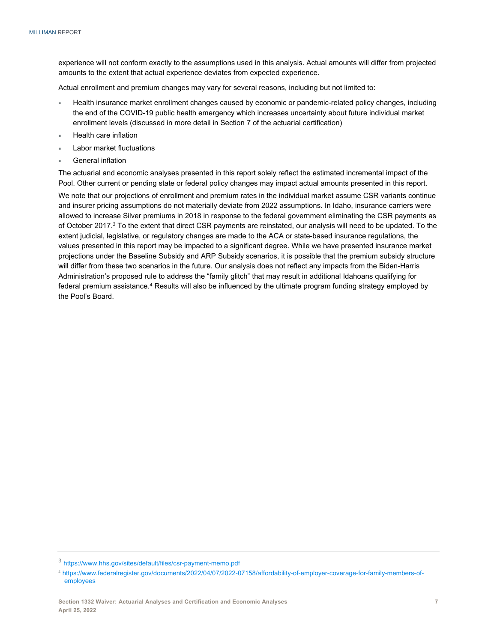experience will not conform exactly to the assumptions used in this analysis. Actual amounts will differ from projected amounts to the extent that actual experience deviates from expected experience.

Actual enrollment and premium changes may vary for several reasons, including but not limited to:

- Health insurance market enrollment changes caused by economic or pandemic-related policy changes, including the end of the COVID-19 public health emergency which increases uncertainty about future individual market enrollment levels (discussed in more detail in Section 7 of the actuarial certification)
- Health care inflation
- Labor market fluctuations
- General inflation

The actuarial and economic analyses presented in this report solely reflect the estimated incremental impact of the Pool. Other current or pending state or federal policy changes may impact actual amounts presented in this report.

We note that our projections of enrollment and premium rates in the individual market assume CSR variants continue and insurer pricing assumptions do not materially deviate from 2022 assumptions. In Idaho, insurance carriers were allowed to increase Silver premiums in 2018 in response to the federal government eliminating the CSR payments as of October 2017.3 To the extent that direct CSR payments are reinstated, our analysis will need to be updated. To the extent judicial, legislative, or regulatory changes are made to the ACA or state-based insurance regulations, the values presented in this report may be impacted to a significant degree. While we have presented insurance market projections under the Baseline Subsidy and ARP Subsidy scenarios, it is possible that the premium subsidy structure will differ from these two scenarios in the future. Our analysis does not reflect any impacts from the Biden-Harris Administration's proposed rule to address the "family glitch" that may result in additional Idahoans qualifying for federal premium assistance.<sup>4</sup> Results will also be influenced by the ultimate program funding strategy employed by the Pool's Board.

<sup>3</sup> https://www.hhs.gov/sites/default/files/csr-payment-memo.pdf

<sup>4</sup> https://www.federalregister.gov/documents/2022/04/07/2022-07158/affordability-of-employer-coverage-for-family-members-ofemployees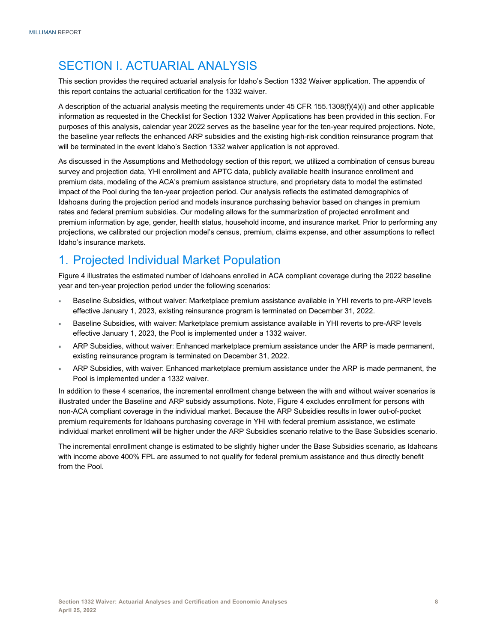## SECTION I. ACTUARIAL ANALYSIS

This section provides the required actuarial analysis for Idaho's Section 1332 Waiver application. The appendix of this report contains the actuarial certification for the 1332 waiver.

A description of the actuarial analysis meeting the requirements under 45 CFR 155.1308(f)(4)(i) and other applicable information as requested in the Checklist for Section 1332 Waiver Applications has been provided in this section. For purposes of this analysis, calendar year 2022 serves as the baseline year for the ten-year required projections. Note, the baseline year reflects the enhanced ARP subsidies and the existing high-risk condition reinsurance program that will be terminated in the event Idaho's Section 1332 waiver application is not approved.

As discussed in the Assumptions and Methodology section of this report, we utilized a combination of census bureau survey and projection data, YHI enrollment and APTC data, publicly available health insurance enrollment and premium data, modeling of the ACA's premium assistance structure, and proprietary data to model the estimated impact of the Pool during the ten-year projection period. Our analysis reflects the estimated demographics of Idahoans during the projection period and models insurance purchasing behavior based on changes in premium rates and federal premium subsidies. Our modeling allows for the summarization of projected enrollment and premium information by age, gender, health status, household income, and insurance market. Prior to performing any projections, we calibrated our projection model's census, premium, claims expense, and other assumptions to reflect Idaho's insurance markets.

## 1. Projected Individual Market Population

Figure 4 illustrates the estimated number of Idahoans enrolled in ACA compliant coverage during the 2022 baseline year and ten-year projection period under the following scenarios:

- Baseline Subsidies, without waiver: Marketplace premium assistance available in YHI reverts to pre-ARP levels effective January 1, 2023, existing reinsurance program is terminated on December 31, 2022.
- Baseline Subsidies, with waiver: Marketplace premium assistance available in YHI reverts to pre-ARP levels effective January 1, 2023, the Pool is implemented under a 1332 waiver.
- ARP Subsidies, without waiver: Enhanced marketplace premium assistance under the ARP is made permanent, existing reinsurance program is terminated on December 31, 2022.
- ARP Subsidies, with waiver: Enhanced marketplace premium assistance under the ARP is made permanent, the Pool is implemented under a 1332 waiver.

In addition to these 4 scenarios, the incremental enrollment change between the with and without waiver scenarios is illustrated under the Baseline and ARP subsidy assumptions. Note, Figure 4 excludes enrollment for persons with non-ACA compliant coverage in the individual market. Because the ARP Subsidies results in lower out-of-pocket premium requirements for Idahoans purchasing coverage in YHI with federal premium assistance, we estimate individual market enrollment will be higher under the ARP Subsidies scenario relative to the Base Subsidies scenario.

The incremental enrollment change is estimated to be slightly higher under the Base Subsidies scenario, as Idahoans with income above 400% FPL are assumed to not qualify for federal premium assistance and thus directly benefit from the Pool.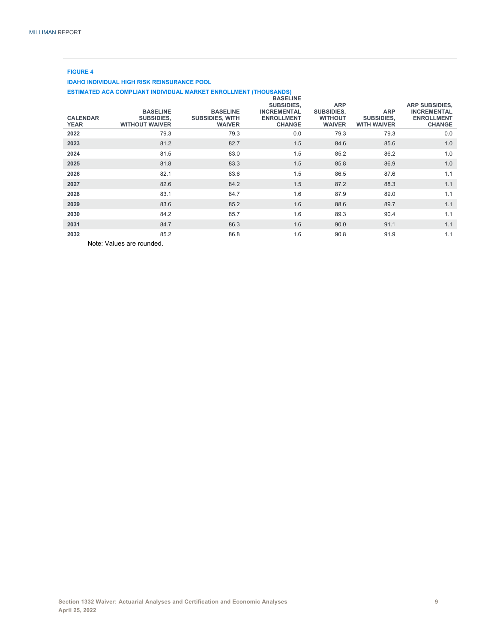#### **FIGURE 4**

#### **IDAHO INDIVIDUAL HIGH RISK REINSURANCE POOL**

#### **ESTIMATED ACA COMPLIANT INDIVIDUAL MARKET ENROLLMENT (THOUSANDS)**

| <b>CALENDAR</b><br><b>YEAR</b> | <b>BASELINE</b><br><b>SUBSIDIES,</b><br><b>WITHOUT WAIVER</b> | <b>BASELINE</b><br><b>SUBSIDIES, WITH</b><br><b>WAIVER</b> | <b>BASELINE</b><br><b>SUBSIDIES,</b><br><b>INCREMENTAL</b><br><b>ENROLLMENT</b><br><b>CHANGE</b> | <b>ARP</b><br><b>SUBSIDIES,</b><br><b>WITHOUT</b><br><b>WAIVER</b> | <b>ARP</b><br><b>SUBSIDIES,</b><br><b>WITH WAIVER</b> | <b>ARP SUBSIDIES,</b><br><b>INCREMENTAL</b><br><b>ENROLLMENT</b><br><b>CHANGE</b> |
|--------------------------------|---------------------------------------------------------------|------------------------------------------------------------|--------------------------------------------------------------------------------------------------|--------------------------------------------------------------------|-------------------------------------------------------|-----------------------------------------------------------------------------------|
| 2022                           | 79.3                                                          | 79.3                                                       | 0.0                                                                                              | 79.3                                                               | 79.3                                                  | 0.0                                                                               |
| 2023                           | 81.2                                                          | 82.7                                                       | 1.5                                                                                              | 84.6                                                               | 85.6                                                  | 1.0                                                                               |
| 2024                           | 81.5                                                          | 83.0                                                       | 1.5                                                                                              | 85.2                                                               | 86.2                                                  | 1.0                                                                               |
| 2025                           | 81.8                                                          | 83.3                                                       | 1.5                                                                                              | 85.8                                                               | 86.9                                                  | 1.0                                                                               |
| 2026                           | 82.1                                                          | 83.6                                                       | 1.5                                                                                              | 86.5                                                               | 87.6                                                  | 1.1                                                                               |
| 2027                           | 82.6                                                          | 84.2                                                       | 1.5                                                                                              | 87.2                                                               | 88.3                                                  | 1.1                                                                               |
| 2028                           | 83.1                                                          | 84.7                                                       | 1.6                                                                                              | 87.9                                                               | 89.0                                                  | 1.1                                                                               |
| 2029                           | 83.6                                                          | 85.2                                                       | 1.6                                                                                              | 88.6                                                               | 89.7                                                  | 1.1                                                                               |
| 2030                           | 84.2                                                          | 85.7                                                       | 1.6                                                                                              | 89.3                                                               | 90.4                                                  | 1.1                                                                               |
| 2031                           | 84.7                                                          | 86.3                                                       | 1.6                                                                                              | 90.0                                                               | 91.1                                                  | 1.1                                                                               |
| 2032                           | 85.2                                                          | 86.8                                                       | 1.6                                                                                              | 90.8                                                               | 91.9                                                  | 1.1                                                                               |

Note: Values are rounded.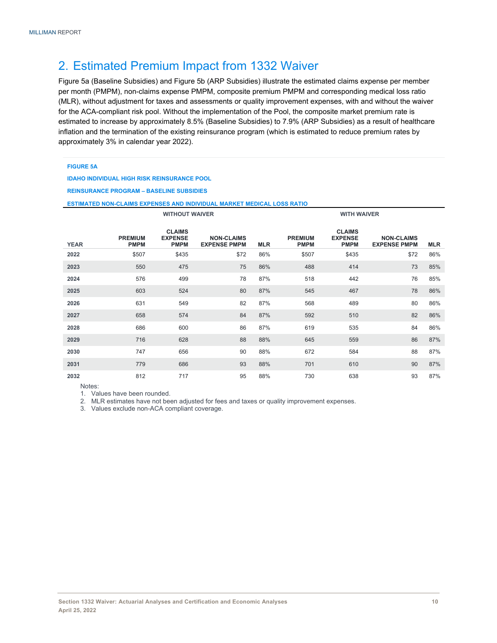## 2. Estimated Premium Impact from 1332 Waiver

Figure 5a (Baseline Subsidies) and Figure 5b (ARP Subsidies) illustrate the estimated claims expense per member per month (PMPM), non-claims expense PMPM, composite premium PMPM and corresponding medical loss ratio (MLR), without adjustment for taxes and assessments or quality improvement expenses, with and without the waiver for the ACA-compliant risk pool. Without the implementation of the Pool, the composite market premium rate is estimated to increase by approximately 8.5% (Baseline Subsidies) to 7.9% (ARP Subsidies) as a result of healthcare inflation and the termination of the existing reinsurance program (which is estimated to reduce premium rates by approximately 3% in calendar year 2022).

#### **FIGURE 5A**

**IDAHO INDIVIDUAL HIGH RISK REINSURANCE POOL** 

**REINSURANCE PROGRAM – BASELINE SUBSIDIES** 

#### **ESTIMATED NON-CLAIMS EXPENSES AND INDIVIDUAL MARKET MEDICAL LOSS RATIO**

|             |                               | <b>WITHOUT WAIVER</b>                          |                                          |            |                               | <b>WITH WAIVER</b>                             |                                          |            |
|-------------|-------------------------------|------------------------------------------------|------------------------------------------|------------|-------------------------------|------------------------------------------------|------------------------------------------|------------|
| <b>YEAR</b> | <b>PREMIUM</b><br><b>PMPM</b> | <b>CLAIMS</b><br><b>EXPENSE</b><br><b>PMPM</b> | <b>NON-CLAIMS</b><br><b>EXPENSE PMPM</b> | <b>MLR</b> | <b>PREMIUM</b><br><b>PMPM</b> | <b>CLAIMS</b><br><b>EXPENSE</b><br><b>PMPM</b> | <b>NON-CLAIMS</b><br><b>EXPENSE PMPM</b> | <b>MLR</b> |
| 2022        | \$507                         | \$435                                          | \$72                                     | 86%        | \$507                         | \$435                                          | \$72                                     | 86%        |
| 2023        | 550                           | 475                                            | 75                                       | 86%        | 488                           | 414                                            | 73                                       | 85%        |
| 2024        | 576                           | 499                                            | 78                                       | 87%        | 518                           | 442                                            | 76                                       | 85%        |
| 2025        | 603                           | 524                                            | 80                                       | 87%        | 545                           | 467                                            | 78                                       | 86%        |
| 2026        | 631                           | 549                                            | 82                                       | 87%        | 568                           | 489                                            | 80                                       | 86%        |
| 2027        | 658                           | 574                                            | 84                                       | 87%        | 592                           | 510                                            | 82                                       | 86%        |
| 2028        | 686                           | 600                                            | 86                                       | 87%        | 619                           | 535                                            | 84                                       | 86%        |
| 2029        | 716                           | 628                                            | 88                                       | 88%        | 645                           | 559                                            | 86                                       | 87%        |
| 2030        | 747                           | 656                                            | 90                                       | 88%        | 672                           | 584                                            | 88                                       | 87%        |
| 2031        | 779                           | 686                                            | 93                                       | 88%        | 701                           | 610                                            | 90                                       | 87%        |
| 2032        | 812                           | 717                                            | 95                                       | 88%        | 730                           | 638                                            | 93                                       | 87%        |

Notes:

1. Values have been rounded.

2. MLR estimates have not been adjusted for fees and taxes or quality improvement expenses.

3. Values exclude non-ACA compliant coverage.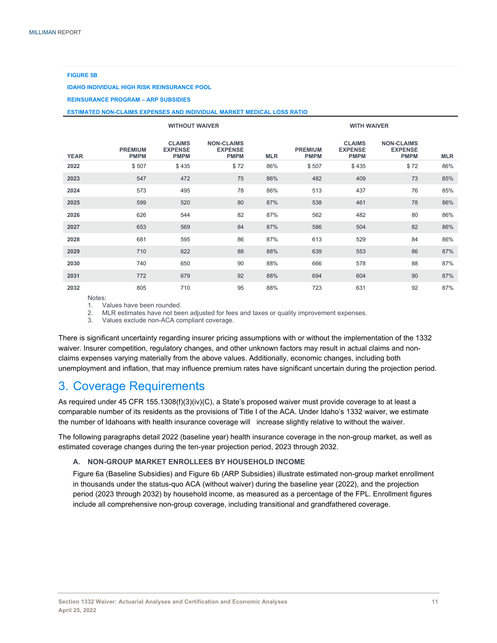#### **FIGURE 5B**

**IDAHO INDIVIDUAL HIGH RISK REINSURANCE POOL** 

**REINSURANCE PROGRAM – ARP SUBSIDIES** 

#### **ESTIMATED NON-CLAIMS EXPENSES AND INDIVIDUAL MARKET MEDICAL LOSS RATIO**

|             |                               |                                                | <b>WITHOUT WAIVER</b>                              |            | <b>WITH WAIVER</b>            |                                                |                                                    |            |  |  |
|-------------|-------------------------------|------------------------------------------------|----------------------------------------------------|------------|-------------------------------|------------------------------------------------|----------------------------------------------------|------------|--|--|
| <b>YEAR</b> | <b>PREMIUM</b><br><b>PMPM</b> | <b>CLAIMS</b><br><b>EXPENSE</b><br><b>PMPM</b> | <b>NON-CLAIMS</b><br><b>EXPENSE</b><br><b>PMPM</b> | <b>MLR</b> | <b>PREMIUM</b><br><b>PMPM</b> | <b>CLAIMS</b><br><b>EXPENSE</b><br><b>PMPM</b> | <b>NON-CLAIMS</b><br><b>EXPENSE</b><br><b>PMPM</b> | <b>MLR</b> |  |  |
| 2022        | \$507                         | \$435                                          | \$72                                               | 86%        | \$507                         | \$435                                          | \$72                                               | 86%        |  |  |
| 2023        | 547                           | 472                                            | 75                                                 | 86%        | 482                           | 409                                            | 73                                                 | 85%        |  |  |
| 2024        | 573                           | 495                                            | 78                                                 | 86%        | 513                           | 437                                            | 76                                                 | 85%        |  |  |
| 2025        | 599                           | 520                                            | 80                                                 | 87%        | 538                           | 461                                            | 78                                                 | 86%        |  |  |
| 2026        | 626                           | 544                                            | 82                                                 | 87%        | 562                           | 482                                            | 80                                                 | 86%        |  |  |
| 2027        | 653                           | 569                                            | 84                                                 | 87%        | 586                           | 504                                            | 82                                                 | 86%        |  |  |
| 2028        | 681                           | 595                                            | 86                                                 | 87%        | 613                           | 529                                            | 84                                                 | 86%        |  |  |
| 2029        | 710                           | 622                                            | 88                                                 | 88%        | 639                           | 553                                            | 86                                                 | 87%        |  |  |
| 2030        | 740                           | 650                                            | 90                                                 | 88%        | 666                           | 578                                            | 88                                                 | 87%        |  |  |
| 2031        | 772                           | 679                                            | 92                                                 | 88%        | 694                           | 604                                            | 90                                                 | 87%        |  |  |
| 2032        | 805                           | 710                                            | 95                                                 | 88%        | 723                           | 631                                            | 92                                                 | 87%        |  |  |

Notes:

1. Values have been rounded.

2. MLR estimates have not been adjusted for fees and taxes or quality improvement expenses.

3. Values exclude non-ACA compliant coverage.

There is significant uncertainty regarding insurer pricing assumptions with or without the implementation of the 1332 waiver. Insurer competition, regulatory changes, and other unknown factors may result in actual claims and nonclaims expenses varying materially from the above values. Additionally, economic changes, including both unemployment and inflation, that may influence premium rates have significant uncertain during the projection period.

## 3. Coverage Requirements

As required under 45 CFR 155.1308(f)(3)(iv)(C), a State's proposed waiver must provide coverage to at least a comparable number of its residents as the provisions of Title I of the ACA. Under Idaho's 1332 waiver, we estimate the number of Idahoans with health insurance coverage will increase slightly relative to without the waiver.

The following paragraphs detail 2022 (baseline year) health insurance coverage in the non-group market, as well as estimated coverage changes during the ten-year projection period, 2023 through 2032.

#### **A. NON-GROUP MARKET ENROLLEES BY HOUSEHOLD INCOME**

Figure 6a (Baseline Subsidies) and Figure 6b (ARP Subsidies) illustrate estimated non-group market enrollment in thousands under the status-quo ACA (without waiver) during the baseline year (2022), and the projection period (2023 through 2032) by household income, as measured as a percentage of the FPL. Enrollment figures include all comprehensive non-group coverage, including transitional and grandfathered coverage.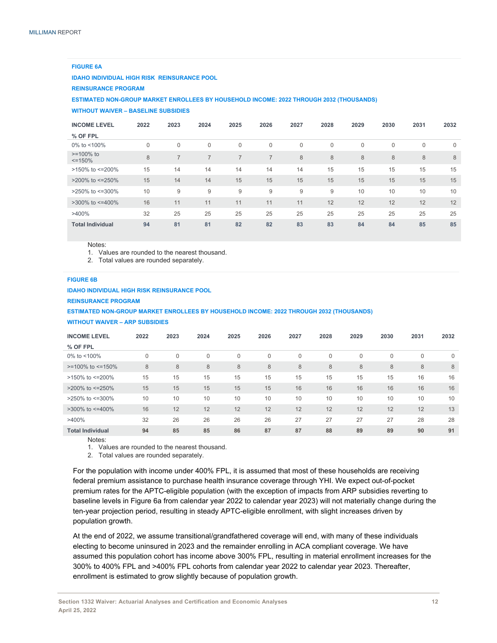#### **FIGURE 6A**

**IDAHO INDIVIDUAL HIGH RISK REINSURANCE POOL**

**REINSURANCE PROGRAM** 

**ESTIMATED NON-GROUP MARKET ENROLLEES BY HOUSEHOLD INCOME: 2022 THROUGH 2032 (THOUSANDS)** 

**WITHOUT WAIVER – BASELINE SUBSIDIES** 

| <b>INCOME LEVEL</b>            | 2022     | 2023     | 2024           | 2025     | 2026           | 2027        | 2028         | 2029         | 2030 | 2031 | 2032        |
|--------------------------------|----------|----------|----------------|----------|----------------|-------------|--------------|--------------|------|------|-------------|
| % OF FPL                       |          |          |                |          |                |             |              |              |      |      |             |
| 0% to $<$ 100%                 | $\Omega$ | $\Omega$ | $\Omega$       | $\Omega$ | $\mathbf{0}$   | $\mathbf 0$ | $\mathbf{0}$ | $\mathbf{0}$ | 0    | 0    | $\mathbf 0$ |
| $>= 100\%$ to<br>$\leq$ = 150% | 8        | 7        | $\overline{7}$ | 7        | $\overline{7}$ | 8           | 8            | $\delta$     | 8    | 8    | 8           |
| >150% to <= 200%               | 15       | 14       | 14             | 14       | 14             | 14          | 15           | 15           | 15   | 15   | 15          |
| $>200\%$ to $\leq 250\%$       | 15       | 14       | 14             | 15       | 15             | 15          | 15           | 15           | 15   | 15   | 15          |
| >250% to <= 300%               | 10       | 9        | 9              | 9        | 9              | 9           | 9            | 10           | 10   | 10   | 10          |
| $>300\%$ to $\leq 400\%$       | 16       | 11       | 11             | 11       | 11             | 11          | 12           | 12           | 12   | 12   | 12          |
| >400%                          | 32       | 25       | 25             | 25       | 25             | 25          | 25           | 25           | 25   | 25   | 25          |
| <b>Total Individual</b>        | 94       | 81       | 81             | 82       | 82             | 83          | 83           | 84           | 84   | 85   | 85          |

Notes:

1. Values are rounded to the nearest thousand.

2. Total values are rounded separately.

#### **FIGURE 6B**

**IDAHO INDIVIDUAL HIGH RISK REINSURANCE POOL**

**REINSURANCE PROGRAM** 

```
ESTIMATED NON-GROUP MARKET ENROLLEES BY HOUSEHOLD INCOME: 2022 THROUGH 2032 (THOUSANDS)
```
#### **WITHOUT WAIVER – ARP SUBSIDIES**

| <b>INCOME LEVEL</b>      | 2022     | 2023     | 2024 | 2025     | 2026        | 2027 | 2028    | 2029           | 2030 | 2031 | 2032        |
|--------------------------|----------|----------|------|----------|-------------|------|---------|----------------|------|------|-------------|
| % OF FPL                 |          |          |      |          |             |      |         |                |      |      |             |
| 0% to $<$ 100%           | $\Omega$ | $\Omega$ | 0    | $\Omega$ | $\mathbf 0$ | 0    | 0       | $\mathbf{0}$   | 0    | 0    | $\mathbf 0$ |
| $>=100\%$ to $<=150\%$   | 8        | 8        | 8    | 8        | 8           | 8    | $\,8\,$ | $8\phantom{1}$ | 8    | 8    | 8           |
| >150% to <=200%          | 15       | 15       | 15   | 15       | 15          | 15   | 15      | 15             | 15   | 16   | 16          |
| $>$ 200% to $\leq$ 250%  | 15       | 15       | 15   | 15       | 15          | 16   | 16      | 16             | 16   | 16   | 16          |
| $>250\%$ to $\leq 300\%$ | 10       | 10       | 10   | 10       | 10          | 10   | 10      | 10             | 10   | 10   | 10          |
| $>300\%$ to $\leq 400\%$ | 16       | 12       | 12   | 12       | 12          | 12   | 12      | 12             | 12   | 12   | 13          |
| $>400\%$                 | 32       | 26       | 26   | 26       | 26          | 27   | 27      | 27             | 27   | 28   | 28          |
| <b>Total Individual</b>  | 94       | 85       | 85   | 86       | 87          | 87   | 88      | 89             | 89   | 90   | 91          |

Notes:

1. Values are rounded to the nearest thousand.

2. Total values are rounded separately.

For the population with income under 400% FPL, it is assumed that most of these households are receiving federal premium assistance to purchase health insurance coverage through YHI. We expect out-of-pocket premium rates for the APTC-eligible population (with the exception of impacts from ARP subsidies reverting to baseline levels in Figure 6a from calendar year 2022 to calendar year 2023) will not materially change during the ten-year projection period, resulting in steady APTC-eligible enrollment, with slight increases driven by population growth.

At the end of 2022, we assume transitional/grandfathered coverage will end, with many of these individuals electing to become uninsured in 2023 and the remainder enrolling in ACA compliant coverage. We have assumed this population cohort has income above 300% FPL, resulting in material enrollment increases for the 300% to 400% FPL and >400% FPL cohorts from calendar year 2022 to calendar year 2023. Thereafter, enrollment is estimated to grow slightly because of population growth.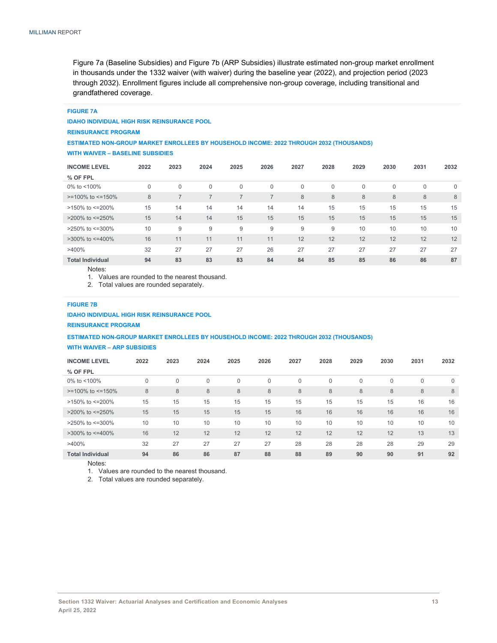Figure 7a (Baseline Subsidies) and Figure 7b (ARP Subsidies) illustrate estimated non-group market enrollment in thousands under the 1332 waiver (with waiver) during the baseline year (2022), and projection period (2023 through 2032). Enrollment figures include all comprehensive non-group coverage, including transitional and grandfathered coverage.

### **FIGURE 7A IDAHO INDIVIDUAL HIGH RISK REINSURANCE POOL**

**REINSURANCE PROGRAM** 

#### **ESTIMATED NON-GROUP MARKET ENROLLEES BY HOUSEHOLD INCOME: 2022 THROUGH 2032 (THOUSANDS) WITH WAIVER – BASELINE SUBSIDIES**

| <b>INCOME LEVEL</b>      | 2022 | 2023        | 2024         | 2025         | 2026           | 2027         | 2028         | 2029         | 2030         | 2031 | 2032        |
|--------------------------|------|-------------|--------------|--------------|----------------|--------------|--------------|--------------|--------------|------|-------------|
| % OF FPL                 |      |             |              |              |                |              |              |              |              |      |             |
| 0% to <100%              | 0    | $\mathbf 0$ | $\mathbf{0}$ | $\mathbf{0}$ | $\mathbf 0$    | $\mathbf{0}$ | $\mathbf{0}$ | $\mathbf{0}$ | $\mathbf{0}$ | 0    | $\mathbf 0$ |
| $>=100\%$ to $<=150\%$   | 8    |             | 7            | 7            | $\overline{7}$ | 8            | 8            | 8            | 8            | 8    | 8           |
| >150% to <= 200%         | 15   | 14          | 14           | 14           | 14             | 14           | 15           | 15           | 15           | 15   | 15          |
| >200% to <= 250%         | 15   | 14          | 14           | 15           | 15             | 15           | 15           | 15           | 15           | 15   | 15          |
| $>$ 250% to $\leq$ =300% | 10   | 9           | 9            | 9            | 9              | 9            | 9            | 10           | 10           | 10   | 10          |
| $>300\%$ to $\leq 400\%$ | 16   | 11          | 11           | 11           | 11             | 12           | 12           | 12           | 12           | 12   | 12          |
| $>400\%$                 | 32   | 27          | 27           | 27           | 26             | 27           | 27           | 27           | 27           | 27   | 27          |
| <b>Total Individual</b>  | 94   | 83          | 83           | 83           | 84             | 84           | 85           | 85           | 86           | 86   | 87          |
| Network                  |      |             |              |              |                |              |              |              |              |      |             |

Notes:

1. Values are rounded to the nearest thousand.

2. Total values are rounded separately.

#### **FIGURE 7B**

**IDAHO INDIVIDUAL HIGH RISK REINSURANCE POOL REINSURANCE PROGRAM** 

#### **ESTIMATED NON-GROUP MARKET ENROLLEES BY HOUSEHOLD INCOME: 2022 THROUGH 2032 (THOUSANDS) WITH WAIVER – ARP SUBSIDIES**

|  | <b>WITH WAIVER - ARP SUBSIDIES</b> |  |
|--|------------------------------------|--|
|  |                                    |  |

| <b>INCOME LEVEL</b>      | 2022 | 2023     | 2024        | 2025     | 2026     | 2027 | 2028        | 2029        | 2030 | 2031 | 2032        |
|--------------------------|------|----------|-------------|----------|----------|------|-------------|-------------|------|------|-------------|
| % OF FPL                 |      |          |             |          |          |      |             |             |      |      |             |
| 0% to $<$ 100%           | 0    | $\Omega$ | $\mathbf 0$ | $\Omega$ | $\Omega$ | 0    | $\mathbf 0$ | $\mathbf 0$ | 0    | 0    | $\mathbf 0$ |
| $>=100\%$ to $<=150\%$   | 8    | 8        | 8           | 8        | 8        | 8    | 8           | $\,8\,$     | 8    | 8    | 8           |
| >150% to <=200%          | 15   | 15       | 15          | 15       | 15       | 15   | 15          | 15          | 15   | 16   | 16          |
| $>$ 200% to $\leq$ =250% | 15   | 15       | 15          | 15       | 15       | 16   | 16          | 16          | 16   | 16   | 16          |
| $>250\%$ to $\leq 300\%$ | 10   | 10       | 10          | 10       | 10       | 10   | 10          | 10          | 10   | 10   | 10          |
| $>300\%$ to $\leq 400\%$ | 16   | 12       | 12          | 12       | 12       | 12   | 12          | 12          | 12   | 13   | 13          |
| $>400\%$                 | 32   | 27       | 27          | 27       | 27       | 28   | 28          | 28          | 28   | 29   | 29          |
| <b>Total Individual</b>  | 94   | 86       | 86          | 87       | 88       | 88   | 89          | 90          | 90   | 91   | 92          |

Notes:

1. Values are rounded to the nearest thousand.

2. Total values are rounded separately.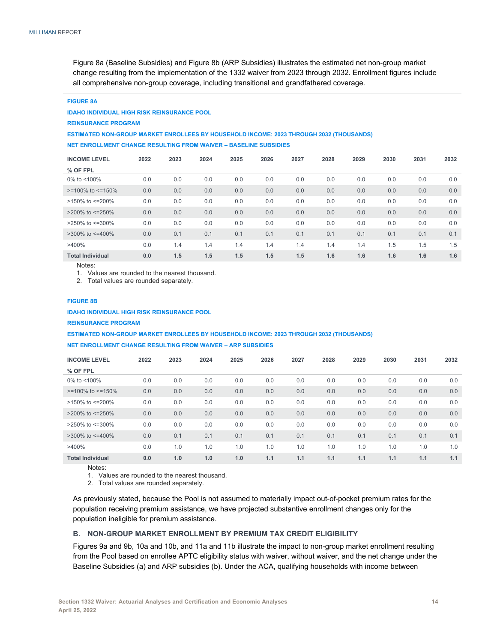Figure 8a (Baseline Subsidies) and Figure 8b (ARP Subsidies) illustrates the estimated net non-group market change resulting from the implementation of the 1332 waiver from 2023 through 2032. Enrollment figures include all comprehensive non-group coverage, including transitional and grandfathered coverage.

#### **FIGURE 8A**

#### **IDAHO INDIVIDUAL HIGH RISK REINSURANCE POOL**

**REINSURANCE PROGRAM** 

**ESTIMATED NON-GROUP MARKET ENROLLEES BY HOUSEHOLD INCOME: 2023 THROUGH 2032 (THOUSANDS) NET ENROLLMENT CHANGE RESULTING FROM WAIVER – BASELINE SUBSIDIES** 

| <b>INCOME LEVEL</b>      | 2022 | 2023 | 2024 | 2025 | 2026 | 2027 | 2028 | 2029 | 2030 | 2031 | 2032 |
|--------------------------|------|------|------|------|------|------|------|------|------|------|------|
| % OF FPL                 |      |      |      |      |      |      |      |      |      |      |      |
| 0% to $<$ 100%           | 0.0  | 0.0  | 0.0  | 0.0  | 0.0  | 0.0  | 0.0  | 0.0  | 0.0  | 0.0  | 0.0  |
| $>=100\%$ to $<=150\%$   | 0.0  | 0.0  | 0.0  | 0.0  | 0.0  | 0.0  | 0.0  | 0.0  | 0.0  | 0.0  | 0.0  |
| >150% to <=200%          | 0.0  | 0.0  | 0.0  | 0.0  | 0.0  | 0.0  | 0.0  | 0.0  | 0.0  | 0.0  | 0.0  |
| $>200\%$ to $\leq 250\%$ | 0.0  | 0.0  | 0.0  | 0.0  | 0.0  | 0.0  | 0.0  | 0.0  | 0.0  | 0.0  | 0.0  |
| $>250\%$ to $\leq 300\%$ | 0.0  | 0.0  | 0.0  | 0.0  | 0.0  | 0.0  | 0.0  | 0.0  | 0.0  | 0.0  | 0.0  |
| $>300\%$ to $\leq 400\%$ | 0.0  | 0.1  | 0.1  | 0.1  | 0.1  | 0.1  | 0.1  | 0.1  | 0.1  | 0.1  | 0.1  |
| >400%                    | 0.0  | 1.4  | 1.4  | 1.4  | 1.4  | 1.4  | 1.4  | 1.4  | 1.5  | 1.5  | 1.5  |
| <b>Total Individual</b>  | 0.0  | 1.5  | 1.5  | 1.5  | 1.5  | 1.5  | 1.6  | 1.6  | 1.6  | 1.6  | 1.6  |

Notes:

1. Values are rounded to the nearest thousand.

2. Total values are rounded separately.

#### **FIGURE 8B**

**IDAHO INDIVIDUAL HIGH RISK REINSURANCE POOL**

**REINSURANCE PROGRAM** 

**ESTIMATED NON-GROUP MARKET ENROLLEES BY HOUSEHOLD INCOME: 2023 THROUGH 2032 (THOUSANDS) NET ENROLLMENT CHANGE RESULTING FROM WAIVER – ARP SUBSIDIES** 

| <b>INCOME LEVEL</b>      | 2022 | 2023 | 2024 | 2025 | 2026 | 2027 | 2028 | 2029 | 2030 | 2031 | 2032 |
|--------------------------|------|------|------|------|------|------|------|------|------|------|------|
| % OF FPL                 |      |      |      |      |      |      |      |      |      |      |      |
| 0% to $<$ 100%           | 0.0  | 0.0  | 0.0  | 0.0  | 0.0  | 0.0  | 0.0  | 0.0  | 0.0  | 0.0  | 0.0  |
| $>=100\%$ to $<=150\%$   | 0.0  | 0.0  | 0.0  | 0.0  | 0.0  | 0.0  | 0.0  | 0.0  | 0.0  | 0.0  | 0.0  |
| >150% to <=200%          | 0.0  | 0.0  | 0.0  | 0.0  | 0.0  | 0.0  | 0.0  | 0.0  | 0.0  | 0.0  | 0.0  |
| $>$ 200% to $\leq$ =250% | 0.0  | 0.0  | 0.0  | 0.0  | 0.0  | 0.0  | 0.0  | 0.0  | 0.0  | 0.0  | 0.0  |
| $>250\%$ to $\leq 300\%$ | 0.0  | 0.0  | 0.0  | 0.0  | 0.0  | 0.0  | 0.0  | 0.0  | 0.0  | 0.0  | 0.0  |
| $>300\%$ to $\leq 400\%$ | 0.0  | 0.1  | 0.1  | 0.1  | 0.1  | 0.1  | 0.1  | 0.1  | 0.1  | 0.1  | 0.1  |
| $>400\%$                 | 0.0  | 1.0  | 1.0  | 1.0  | 1.0  | 1.0  | 1.0  | 1.0  | 1.0  | 1.0  | 1.0  |
| <b>Total Individual</b>  | 0.0  | 1.0  | 1.0  | 1.0  | 1.1  | 1.1  | 1.1  | 1.1  | 1.1  | 1.1  | 1.1  |

Notes:

1. Values are rounded to the nearest thousand.

2. Total values are rounded separately.

As previously stated, because the Pool is not assumed to materially impact out-of-pocket premium rates for the population receiving premium assistance, we have projected substantive enrollment changes only for the population ineligible for premium assistance.

#### **B. NON-GROUP MARKET ENROLLMENT BY PREMIUM TAX CREDIT ELIGIBILITY**

Figures 9a and 9b, 10a and 10b, and 11a and 11b illustrate the impact to non-group market enrollment resulting from the Pool based on enrollee APTC eligibility status with waiver, without waiver, and the net change under the Baseline Subsidies (a) and ARP subsidies (b). Under the ACA, qualifying households with income between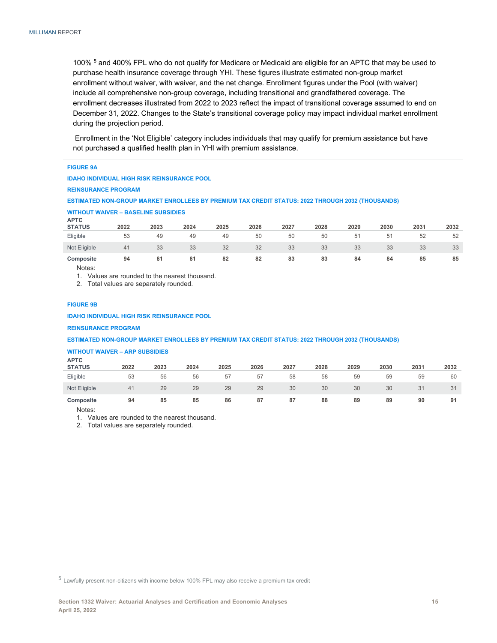100% <sup>5</sup> and 400% FPL who do not qualify for Medicare or Medicaid are eligible for an APTC that may be used to purchase health insurance coverage through YHI. These figures illustrate estimated non-group market enrollment without waiver, with waiver, and the net change. Enrollment figures under the Pool (with waiver) include all comprehensive non-group coverage, including transitional and grandfathered coverage. The enrollment decreases illustrated from 2022 to 2023 reflect the impact of transitional coverage assumed to end on December 31, 2022. Changes to the State's transitional coverage policy may impact individual market enrollment during the projection period.

 Enrollment in the 'Not Eligible' category includes individuals that may qualify for premium assistance but have not purchased a qualified health plan in YHI with premium assistance.

| <b>FIGURE 9A</b>                                                                                 |      |      |      |      |      |      |      |      |      |      |      |  |
|--------------------------------------------------------------------------------------------------|------|------|------|------|------|------|------|------|------|------|------|--|
| <b>IDAHO INDIVIDUAL HIGH RISK REINSURANCE POOL</b>                                               |      |      |      |      |      |      |      |      |      |      |      |  |
| <b>REINSURANCE PROGRAM</b>                                                                       |      |      |      |      |      |      |      |      |      |      |      |  |
| ESTIMATED NON-GROUP MARKET ENROLLEES BY PREMIUM TAX CREDIT STATUS: 2022 THROUGH 2032 (THOUSANDS) |      |      |      |      |      |      |      |      |      |      |      |  |
| <b>WITHOUT WAIVER - BASELINE SUBSIDIES</b>                                                       |      |      |      |      |      |      |      |      |      |      |      |  |
| <b>APTC</b><br><b>STATUS</b>                                                                     | 2022 | 2023 | 2024 | 2025 | 2026 | 2027 | 2028 | 2029 | 2030 | 2031 | 2032 |  |
| Eligible                                                                                         | 53   | 49   | 49   | 49   | 50   | 50   | 50   | 51   | 51   | 52   | 52   |  |
| Not Eligible                                                                                     | 41   | 33   | 33   | 32   | 32   | 33   | 33   | 33   | 33   | 33   | 33   |  |
| Composite                                                                                        | 94   | 81   | 81   | 82   | 82   | 83   | 83   | 84   | 84   | 85   | 85   |  |

Notes:

1. Values are rounded to the nearest thousand.

2. Total values are separately rounded.

#### **FIGURE 9B**

**IDAHO INDIVIDUAL HIGH RISK REINSURANCE POOL**

**REINSURANCE PROGRAM** 

**ESTIMATED NON-GROUP MARKET ENROLLEES BY PREMIUM TAX CREDIT STATUS: 2022 THROUGH 2032 (THOUSANDS)**

#### **WITHOUT WAIVER – ARP SUBSIDIES**

| <b>APTC</b><br><b>STATUS</b> | 2022 | 2023 | 2024 | 2025 | 2026 | 2027 | 2028 | 2029 | 2030 | 2031 | 2032 |
|------------------------------|------|------|------|------|------|------|------|------|------|------|------|
| Eligible                     | 53   | 56   | 56   | 57   | 57   | 58   | 58   | 59   | 59   | 59   | 60   |
| Not Eligible                 | 41   | 29   | 29   | 29   | 29   | 30   | 30   | 30   | 30   | 31   | 31   |
| Composite                    | 94   | 85   | 85   | 86   | 87   | 87   | 88   | 89   | 89   | 90   | 91   |

Notes:

1. Values are rounded to the nearest thousand.

2. Total values are separately rounded.

<sup>5</sup> Lawfully present non-citizens with income below 100% FPL may also receive a premium tax credit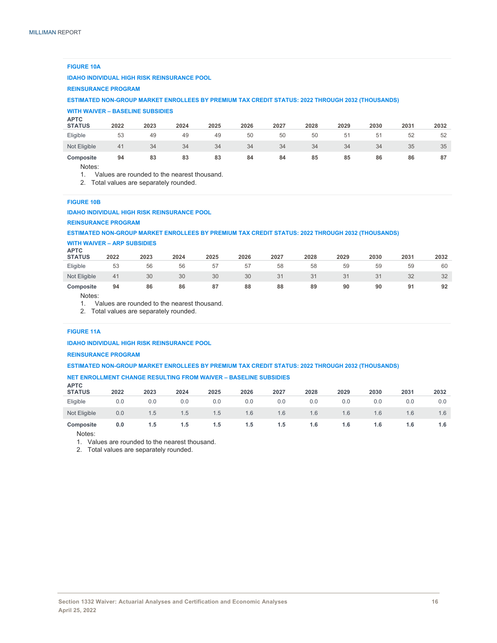#### **FIGURE 10A**

#### **IDAHO INDIVIDUAL HIGH RISK REINSURANCE POOL**

#### **REINSURANCE PROGRAM**

**ESTIMATED NON-GROUP MARKET ENROLLEES BY PREMIUM TAX CREDIT STATUS: 2022 THROUGH 2032 (THOUSANDS)**

#### **WITH WAIVER – BASELINE SUBSIDIES**

| <b>APTC</b><br><b>STATUS</b> | 2022 | 2023 | 2024 | 2025 | 2026 | 2027 | 2028 | 2029           | 2030 | 2031 | 2032 |
|------------------------------|------|------|------|------|------|------|------|----------------|------|------|------|
| Eligible                     | 53   | 49   | 49   | 49   | 50   | 50   | 50   | 5 <sup>1</sup> | 51   | 52   | 52   |
| Not Eligible                 | 41   | 34   | 34   | 34   | 34   | 34   | 34   | 34             | 34   | 35   | 35   |
| Composite                    | 94   | 83   | 83   | 83   | 84   | 84   | 85   | 85             | 86   | 86   | 87   |

Notes:

1. Values are rounded to the nearest thousand.

2. Total values are separately rounded.

#### **FIGURE 10B**

#### **IDAHO INDIVIDUAL HIGH RISK REINSURANCE POOL**

#### **REINSURANCE PROGRAM**

#### **ESTIMATED NON-GROUP MARKET ENROLLEES BY PREMIUM TAX CREDIT STATUS: 2022 THROUGH 2032 (THOUSANDS)**

### **WITH WAIVER – ARP SUBSIDIES APTC**

| ATU<br><b>STATUS</b> | 2022 | 2023 | 2024 | 2025 | 2026 | 2027 | 2028 | 2029 | 2030 | 2031 | 2032 |
|----------------------|------|------|------|------|------|------|------|------|------|------|------|
| Eligible             | 53   | 56   | 56   | 57   | 57   | 58   | 58   | 59   | 59   | 59   | 60   |
| Not Eligible         | 41   | 30   | 30   | 30   | 30   | 31   |      | 31   | 31   | 32   | 32   |
| Composite            | 94   | 86   | 86   | 87   | 88   | 88   | 89   | 90   | 90   |      | 92   |

Notes:

1. Values are rounded to the nearest thousand.

2. Total values are separately rounded.

#### **FIGURE 11A**

#### **IDAHO INDIVIDUAL HIGH RISK REINSURANCE POOL**

#### **REINSURANCE PROGRAM**

#### **ESTIMATED NON-GROUP MARKET ENROLLEES BY PREMIUM TAX CREDIT STATUS: 2022 THROUGH 2032 (THOUSANDS)**

## **NET ENROLLMENT CHANGE RESULTING FROM WAIVER – BASELINE SUBSIDIES APTC**

| <b>APIV</b><br><b>STATUS</b> | 2022 | 2023 | 2024 | 2025 | 2026 | 2027 | 2028 | 2029 | 2030 | 2031 | 2032 |
|------------------------------|------|------|------|------|------|------|------|------|------|------|------|
| Eligible                     | 0.0  | 0.0  | 0.0  | 0.0  | 0.0  | 0.0  | 0.0  | 0.0  | 0.0  | 0.0  | 0.0  |
| Not Eligible                 | 0.0  | 1.5  | 1.5  | 1.5  | 1.6  | 1.6  | 1.6  | 1.6  | 1.6  | 1.6  | 1.6  |
| Composite                    | 0.0  | 1.5  | 1.5  | 1.5  | 1.5  | 1.5  | 1.6  | 1.6  | 1.6  | 1.6  | 1.6  |

Notes:

1. Values are rounded to the nearest thousand.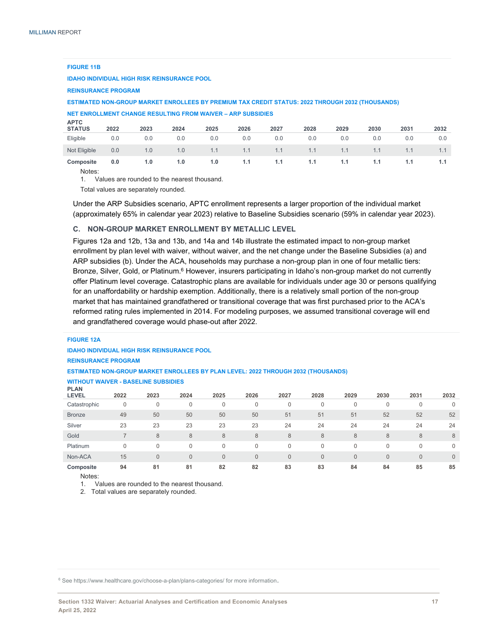#### **FIGURE 11B**

**IDAHO INDIVIDUAL HIGH RISK REINSURANCE POOL**

#### **REINSURANCE PROGRAM**

#### **ESTIMATED NON-GROUP MARKET ENROLLEES BY PREMIUM TAX CREDIT STATUS: 2022 THROUGH 2032 (THOUSANDS)**

## **NET ENROLLMENT CHANGE RESULTING FROM WAIVER – ARP SUBSIDIES APTC**

| ATU<br><b>STATUS</b> | 2022 | 2023 | 2024 | 2025 | 2026 | 2027 | 2028 | 2029 | 2030 | 2031 | 2032 |
|----------------------|------|------|------|------|------|------|------|------|------|------|------|
| Eligible             | 0.0  | 0.0  | 0.0  | 0.0  | 0.0  | 0.0  | 0.0  | 0.0  | 0.0  | 0.0  | 0.0  |
| Not Eligible         | 0.0  | 1.0  | 1.0  | 1.1  | 1.1  | 1.1  | 1.1  | 1.1  | 1.1  |      |      |
| Composite            | 0.0  | 1.0  | 1.0  | 1.0  | 1.1  | 1.1  | 1.1  | 1.1  | 1.1  |      |      |

Notes:

1. Values are rounded to the nearest thousand.

Total values are separately rounded.

Under the ARP Subsidies scenario, APTC enrollment represents a larger proportion of the individual market (approximately 65% in calendar year 2023) relative to Baseline Subsidies scenario (59% in calendar year 2023).

#### **C. NON-GROUP MARKET ENROLLMENT BY METALLIC LEVEL**

Figures 12a and 12b, 13a and 13b, and 14a and 14b illustrate the estimated impact to non-group market enrollment by plan level with waiver, without waiver, and the net change under the Baseline Subsidies (a) and ARP subsidies (b). Under the ACA, households may purchase a non-group plan in one of four metallic tiers: Bronze, Silver, Gold, or Platinum.<sup>6</sup> However, insurers participating in Idaho's non-group market do not currently offer Platinum level coverage. Catastrophic plans are available for individuals under age 30 or persons qualifying for an unaffordability or hardship exemption. Additionally, there is a relatively small portion of the non-group market that has maintained grandfathered or transitional coverage that was first purchased prior to the ACA's reformed rating rules implemented in 2014. For modeling purposes, we assumed transitional coverage will end and grandfathered coverage would phase-out after 2022.

### **FIGURE 12A IDAHO INDIVIDUAL HIGH RISK REINSURANCE POOL REINSURANCE PROGRAM ESTIMATED NON-GROUP MARKET ENROLLEES BY PLAN LEVEL: 2022 THROUGH 2032 (THOUSANDS) WITHOUT WAIVER - BASELINE SUBSIDIES PLAN**

| .<br><b>LEVEL</b> | 2022     | 2023 | 2024         | 2025         | 2026           | 2027         | 2028 | 2029         | 2030         | 2031           | 2032         |
|-------------------|----------|------|--------------|--------------|----------------|--------------|------|--------------|--------------|----------------|--------------|
| Catastrophic      | 0        | 0    | 0            | 0            | 0              | 0            |      | $\mathbf{0}$ | 0            | 0              | 0            |
| <b>Bronze</b>     | 49       | 50   | 50           | 50           | 50             | 51           | 51   | 51           | 52           | 52             | 52           |
| Silver            | 23       | 23   | 23           | 23           | 23             | 24           | 24   | 24           | 24           | 24             | 24           |
| Gold              |          | 8    | 8            | 8            | 8              | 8            | 8    | 8            | 8            | 8              | 8            |
| Platinum          | $\Omega$ | 0    | 0            | 0            | $\mathbf{0}$   | 0            | 0    | 0            | $\Omega$     | 0              | 0            |
| Non-ACA           | 15       | 0    | $\mathbf{0}$ | $\mathbf{0}$ | $\overline{0}$ | $\mathbf{0}$ | 0    | $\mathbf{0}$ | $\mathbf{0}$ | $\overline{0}$ | $\mathbf{0}$ |
| Composite         | 94       | 81   | 81           | 82           | 82             | 83           | 83   | 84           | 84           | 85             | 85           |

Notes:

1. Values are rounded to the nearest thousand.

2. Total values are separately rounded.

6 See https://www.healthcare.gov/choose-a-plan/plans-categories/ for more information.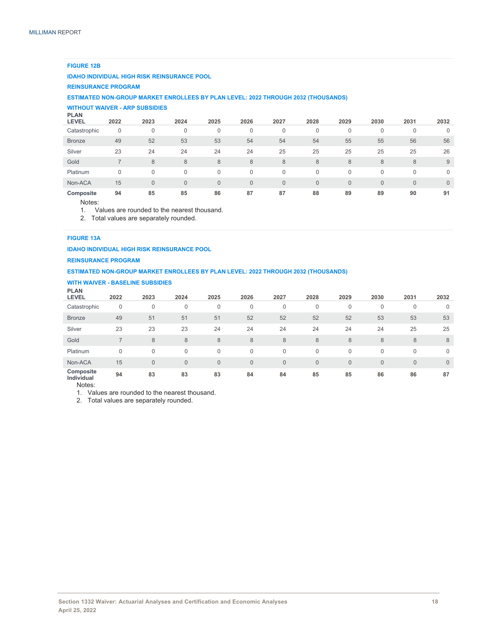#### **FIGURE 12B**

#### **IDAHO INDIVIDUAL HIGH RISK REINSURANCE POOL**

#### **REINSURANCE PROGRAM**

**ESTIMATED NON-GROUP MARKET ENROLLEES BY PLAN LEVEL: 2022 THROUGH 2032 (THOUSANDS)**

## **WITHOUT WAIVER - ARP SUBSIDIES PLAN**

| <b>PLAN</b><br><b>LEVEL</b> | 2022 | 2023           | 2024         | 2025           | 2026        | 2027         | 2028           | 2029           | 2030     | 2031           | 2032         |
|-----------------------------|------|----------------|--------------|----------------|-------------|--------------|----------------|----------------|----------|----------------|--------------|
| Catastrophic                | 0    | $\mathbf{0}$   | 0            | 0              | $\mathbf 0$ | 0            | 0              |                | 0        | $\mathbf 0$    |              |
| <b>Bronze</b>               | 49   | 52             | 53           | 53             | 54          | 54           | 54             | 55             | 55       | 56             | 56           |
| Silver                      | 23   | 24             | 24           | 24             | 24          | 25           | 25             | 25             | 25       | 25             | 26           |
| Gold                        |      | 8              | 8            | 8              | 8           | 8            | 8              | 8              | 8        | 8              | 9            |
| Platinum                    | 0    | $\Omega$       | 0            |                | $\Omega$    | 0            | $\mathbf 0$    |                | 0        | $\Omega$       | $\mathbf 0$  |
| Non-ACA                     | 15   | $\overline{0}$ | $\mathbf{0}$ | $\overline{0}$ | $\Omega$    | $\mathbf{0}$ | $\overline{0}$ | $\overline{0}$ | $\Omega$ | $\overline{0}$ | $\mathbf{0}$ |
| Composite                   | 94   | 85             | 85           | 86             | 87          | 87           | 88             | 89             | 89       | 90             | 91           |

Notes:

1. Values are rounded to the nearest thousand.

2. Total values are separately rounded.

#### **FIGURE 13A**

**IDAHO INDIVIDUAL HIGH RISK REINSURANCE POOL**

#### **REINSURANCE PROGRAM**

#### **ESTIMATED NON-GROUP MARKET ENROLLEES BY PLAN LEVEL: 2022 THROUGH 2032 (THOUSANDS)**

#### **WITH WAIVER - BASELINE SUBSIDIES PLAN**

| <b>FLAN</b><br><b>LEVEL</b> | 2022           | 2023           | 2024         | 2025           | 2026         | 2027         | 2028         | 2029         | 2030         | 2031         | 2032           |
|-----------------------------|----------------|----------------|--------------|----------------|--------------|--------------|--------------|--------------|--------------|--------------|----------------|
| Catastrophic                | 0              | $\mathbf 0$    | $\mathbf{0}$ | 0              | 0            | $\mathbf 0$  | 0            | 0            | 0            | $\mathbf{0}$ | 0              |
| <b>Bronze</b>               | 49             | 51             | 51           | 51             | 52           | 52           | 52           | 52           | 53           | 53           | 53             |
| Silver                      | 23             | 23             | 23           | 24             | 24           | 24           | 24           | 24           | 24           | 25           | 25             |
| Gold                        | $\overline{ }$ | 8              | 8            | 8              | 8            | 8            | 8            | 8            | 8            | 8            | 8              |
| Platinum                    | $\mathbf{0}$   | $\mathbf 0$    | $\Omega$     | $\mathbf{0}$   | 0            | $\mathbf 0$  | $\Omega$     | 0            | 0            | $\mathbf{0}$ | $\mathbf{0}$   |
| Non-ACA                     | 15             | $\overline{0}$ | $\mathbf{0}$ | $\overline{0}$ | $\mathbf{0}$ | $\mathbf{0}$ | $\mathbf{0}$ | $\mathbf{0}$ | $\mathbf{0}$ | $\mathbf{0}$ | $\overline{0}$ |
| Composite<br>Individual     | 94             | 83             | 83           | 83             | 84           | 84           | 85           | 85           | 86           | 86           | 87             |

Notes:

1. Values are rounded to the nearest thousand.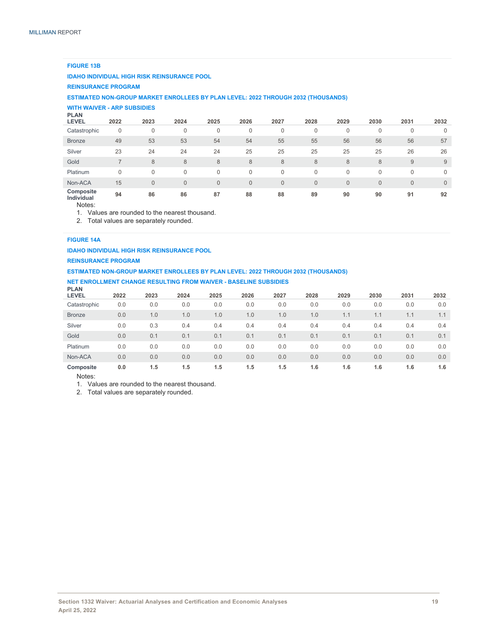#### **FIGURE 13B**

#### **IDAHO INDIVIDUAL HIGH RISK REINSURANCE POOL**

#### **REINSURANCE PROGRAM**

#### **ESTIMATED NON-GROUP MARKET ENROLLEES BY PLAN LEVEL: 2022 THROUGH 2032 (THOUSANDS)**

## **WITH WAIVER - ARP SUBSIDIES PLAN**

| <b>PLAN</b><br><b>LEVEL</b> | 2022 | 2023 | 2024           | 2025           | 2026         | 2027           | 2028         | 2029         | 2030         | 2031           | 2032         |
|-----------------------------|------|------|----------------|----------------|--------------|----------------|--------------|--------------|--------------|----------------|--------------|
| Catastrophic                | 0    | 0    | 0              | 0              | $\mathbf{0}$ | 0              | $\mathbf 0$  | $\mathbf{0}$ | 0            | $\mathbf 0$    | $\mathbf 0$  |
| <b>Bronze</b>               | 49   | 53   | 53             | 54             | 54           | 55             | 55           | 56           | 56           | 56             | 57           |
| Silver                      | 23   | 24   | 24             | 24             | 25           | 25             | 25           | 25           | 25           | 26             | 26           |
| Gold                        |      | 8    | 8              | 8              | 8            | 8              | 8            | 8            | 8            | 9              | 9            |
| Platinum                    | 0    |      | 0              | $\Omega$       | $\Omega$     | 0              | $\Omega$     | $\Omega$     | $\Omega$     | $\mathbf 0$    | $\mathbf 0$  |
| Non-ACA                     | 15   |      | $\overline{0}$ | $\overline{0}$ | $\mathbf{0}$ | $\overline{0}$ | $\mathbf{0}$ | $\mathbf{0}$ | $\mathbf{0}$ | $\overline{0}$ | $\mathbf{0}$ |
| Composite<br>Individual     | 94   | 86   | 86             | 87             | 88           | 88             | 89           | 90           | 90           | 91             | 92           |

Notes:

1. Values are rounded to the nearest thousand.

2. Total values are separately rounded.

#### **FIGURE 14A**

#### **IDAHO INDIVIDUAL HIGH RISK REINSURANCE POOL**

#### **REINSURANCE PROGRAM**

#### **ESTIMATED NON-GROUP MARKET ENROLLEES BY PLAN LEVEL: 2022 THROUGH 2032 (THOUSANDS)**

### **NET ENROLLMENT CHANGE RESULTING FROM WAIVER - BASELINE SUBSIDIES PLAN**

| <b>FLAN</b><br><b>LEVEL</b> | 2022 | 2023 | 2024 | 2025 | 2026 | 2027 | 2028 | 2029 | 2030 | 2031 | 2032 |
|-----------------------------|------|------|------|------|------|------|------|------|------|------|------|
| Catastrophic                | 0.0  | 0.0  | 0.0  | 0.0  | 0.0  | 0.0  | 0.0  | 0.0  | 0.0  | 0.0  | 0.0  |
| <b>Bronze</b>               | 0.0  | 1.0  | 1.0  | 1.0  | 1.0  | 1.0  | 1.0  | 1.1  | 1.1  | 1.1  | 1.1  |
| Silver                      | 0.0  | 0.3  | 0.4  | 0.4  | 0.4  | 0.4  | 0.4  | 0.4  | 0.4  | 0.4  | 0.4  |
| Gold                        | 0.0  | 0.1  | 0.1  | 0.1  | 0.1  | 0.1  | 0.1  | 0.1  | 0.1  | 0.1  | 0.1  |
| Platinum                    | 0.0  | 0.0  | 0.0  | 0.0  | 0.0  | 0.0  | 0.0  | 0.0  | 0.0  | 0.0  | 0.0  |
| Non-ACA                     | 0.0  | 0.0  | 0.0  | 0.0  | 0.0  | 0.0  | 0.0  | 0.0  | 0.0  | 0.0  | 0.0  |
| Composite                   | 0.0  | 1.5  | 1.5  | 1.5  | 1.5  | 1.5  | 1.6  | 1.6  | 1.6  | 1.6  | 1.6  |

Notes:

1. Values are rounded to the nearest thousand.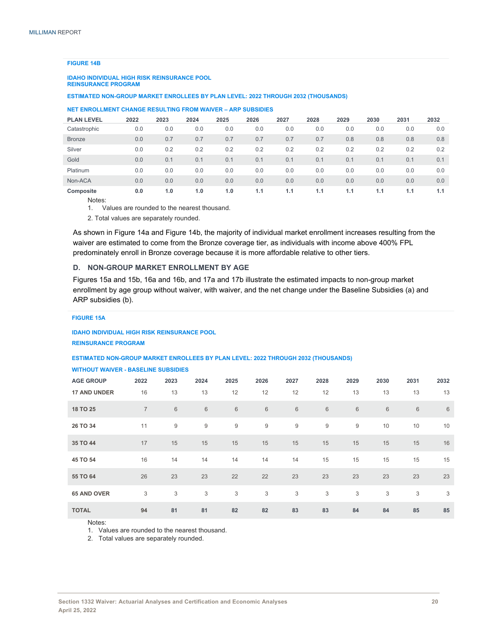#### **FIGURE 14B**

#### **IDAHO INDIVIDUAL HIGH RISK REINSURANCE POOL REINSURANCE PROGRAM**

**ESTIMATED NON-GROUP MARKET ENROLLEES BY PLAN LEVEL: 2022 THROUGH 2032 (THOUSANDS)**

#### **NET ENROLLMENT CHANGE RESULTING FROM WAIVER – ARP SUBSIDIES**

| <b>PLAN LEVEL</b> | 2022 | 2023 | 2024 | 2025 | 2026 | 2027 | 2028 | 2029 | 2030 | 2031 | 2032 |
|-------------------|------|------|------|------|------|------|------|------|------|------|------|
| Catastrophic      | 0.0  | 0.0  | 0.0  | 0.0  | 0.0  | 0.0  | 0.0  | 0.0  | 0.0  | 0.0  | 0.0  |
| <b>Bronze</b>     | 0.0  | 0.7  | 0.7  | 0.7  | 0.7  | 0.7  | 0.7  | 0.8  | 0.8  | 0.8  | 0.8  |
| Silver            | 0.0  | 0.2  | 0.2  | 0.2  | 0.2  | 0.2  | 0.2  | 0.2  | 0.2  | 0.2  | 0.2  |
| Gold              | 0.0  | 0.1  | 0.1  | 0.1  | 0.1  | 0.1  | 0.1  | 0.1  | 0.1  | 0.1  | 0.1  |
| Platinum          | 0.0  | 0.0  | 0.0  | 0.0  | 0.0  | 0.0  | 0.0  | 0.0  | 0.0  | 0.0  | 0.0  |
| Non-ACA           | 0.0  | 0.0  | 0.0  | 0.0  | 0.0  | 0.0  | 0.0  | 0.0  | 0.0  | 0.0  | 0.0  |
| Composite         | 0.0  | 1.0  | 1.0  | 1.0  | 1.1  | 1.1  | 1.1  | 1.1  | 1.1  | 1.1  | 1.1  |

Notes:

1. Values are rounded to the nearest thousand.

2. Total values are separately rounded.

As shown in Figure 14a and Figure 14b, the majority of individual market enrollment increases resulting from the waiver are estimated to come from the Bronze coverage tier, as individuals with income above 400% FPL predominately enroll in Bronze coverage because it is more affordable relative to other tiers.

#### **D. NON-GROUP MARKET ENROLLMENT BY AGE**

Figures 15a and 15b, 16a and 16b, and 17a and 17b illustrate the estimated impacts to non-group market enrollment by age group without waiver, with waiver, and the net change under the Baseline Subsidies (a) and ARP subsidies (b).

#### **FIGURE 15A**

**IDAHO INDIVIDUAL HIGH RISK REINSURANCE POOL REINSURANCE PROGRAM** 

#### **ESTIMATED NON-GROUP MARKET ENROLLEES BY PLAN LEVEL: 2022 THROUGH 2032 (THOUSANDS)**

#### **WITHOUT WAIVER - BASELINE SUBSIDIES**

| <b>AGE GROUP</b>    | 2022           | 2023 | 2024  | 2025  | 2026    | 2027  | 2028             | 2029 | 2030  | 2031  | 2032 |
|---------------------|----------------|------|-------|-------|---------|-------|------------------|------|-------|-------|------|
| <b>17 AND UNDER</b> | 16             | 13   | 13    | 12    | 12      | 12    | 12               | 13   | 13    | 13    | 13   |
| 18 TO 25            | $\overline{7}$ | 6    | $6\,$ | $\,6$ | $\,6\,$ | $6\,$ | $\,6$            | 6    | $6\,$ | $\,6$ | 6    |
| 26 TO 34            | 11             | 9    | 9     | $9\,$ | 9       | 9     | $\boldsymbol{9}$ | 9    | 10    | 10    | 10   |
| 35 TO 44            | 17             | 15   | 15    | 15    | 15      | 15    | 15               | 15   | 15    | 15    | 16   |
| 45 TO 54            | 16             | 14   | 14    | 14    | 14      | 14    | 15               | 15   | 15    | 15    | 15   |
| 55 TO 64            | 26             | 23   | 23    | 22    | 22      | 23    | 23               | 23   | 23    | 23    | 23   |
| <b>65 AND OVER</b>  | 3              | 3    | 3     | 3     | 3       | 3     | 3                | 3    | 3     | 3     | 3    |
| <b>TOTAL</b>        | 94             | 81   | 81    | 82    | 82      | 83    | 83               | 84   | 84    | 85    | 85   |

Notes:

1. Values are rounded to the nearest thousand.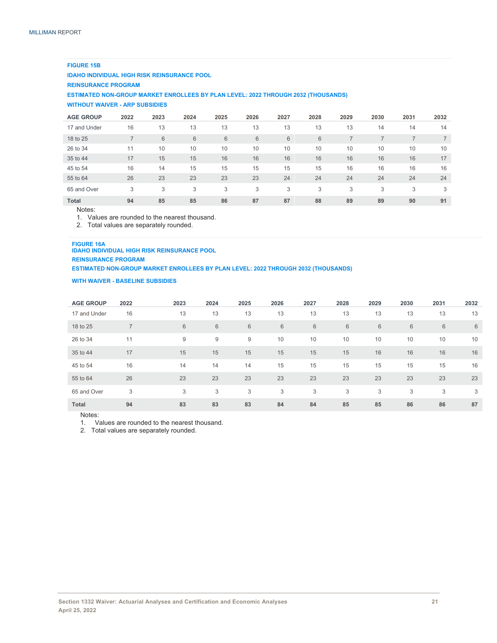#### **FIGURE 15B**

**IDAHO INDIVIDUAL HIGH RISK REINSURANCE POOL**

#### **REINSURANCE PROGRAM**

**ESTIMATED NON-GROUP MARKET ENROLLEES BY PLAN LEVEL: 2022 THROUGH 2032 (THOUSANDS)**

#### **WITHOUT WAIVER - ARP SUBSIDIES**

| <b>AGE GROUP</b> | 2022           | 2023 | 2024 | 2025 | 2026 | 2027 | 2028 | 2029 | 2030 | 2031 | 2032 |
|------------------|----------------|------|------|------|------|------|------|------|------|------|------|
| 17 and Under     | 16             | 13   | 13   | 13   | 13   | 13   | 13   | 13   | 14   | 14   | 14   |
| 18 to 25         | $\overline{7}$ | 6    | 6    | 6    | 6    | 6    | 6    |      | ⇁    |      |      |
| 26 to 34         | 11             | 10   | 10   | 10   | 10   | 10   | 10   | 10   | 10   | 10   | 10   |
| 35 to 44         | 17             | 15   | 15   | 16   | 16   | 16   | 16   | 16   | 16   | 16   | 17   |
| 45 to 54         | 16             | 14   | 15   | 15   | 15   | 15   | 15   | 16   | 16   | 16   | 16   |
| 55 to 64         | 26             | 23   | 23   | 23   | 23   | 24   | 24   | 24   | 24   | 24   | 24   |
| 65 and Over      | 3              | 3    | 3    | 3    | 3    | 3    | 3    | 3    | 3    | 3    | 3    |
| <b>Total</b>     | 94             | 85   | 85   | 86   | 87   | 87   | 88   | 89   | 89   | 90   | 91   |

Notes:

1. Values are rounded to the nearest thousand.

2. Total values are separately rounded.

#### **FIGURE 16A**

#### **IDAHO INDIVIDUAL HIGH RISK REINSURANCE POOL**

**REINSURANCE PROGRAM ESTIMATED NON-GROUP MARKET ENROLLEES BY PLAN LEVEL: 2022 THROUGH 2032 (THOUSANDS)**

#### **WITH WAIVER - BASELINE SUBSIDIES**

| <b>AGE GROUP</b> | 2022           | 2023 | 2024 | 2025 | 2026 | 2027            | 2028            | 2029 | 2030 | 2031 | 2032 |
|------------------|----------------|------|------|------|------|-----------------|-----------------|------|------|------|------|
| 17 and Under     | 16             | 13   | 13   | 13   | 13   | 13              | 13              | 13   | 13   | 13   | 13   |
| 18 to 25         | $\overline{ }$ | 6    | 6    | 6    | 6    | $6\phantom{1}6$ | $6\phantom{1}6$ | 6    | 6    | 6    | 6    |
| 26 to 34         | 11             | 9    | 9    | 9    | 10   | 10              | 10              | 10   | 10   | 10   | 10   |
| 35 to 44         | 17             | 15   | 15   | 15   | 15   | 15              | 15              | 16   | 16   | 16   | 16   |
| 45 to 54         | 16             | 14   | 14   | 14   | 15   | 15              | 15              | 15   | 15   | 15   | 16   |
| 55 to 64         | 26             | 23   | 23   | 23   | 23   | 23              | 23              | 23   | 23   | 23   | 23   |
| 65 and Over      | 3              | 3    | 3    | 3    | 3    | 3               | 3               | 3    | 3    | 3    | 3    |
| <b>Total</b>     | 94             | 83   | 83   | 83   | 84   | 84              | 85              | 85   | 86   | 86   | 87   |

Notes:

1. Values are rounded to the nearest thousand.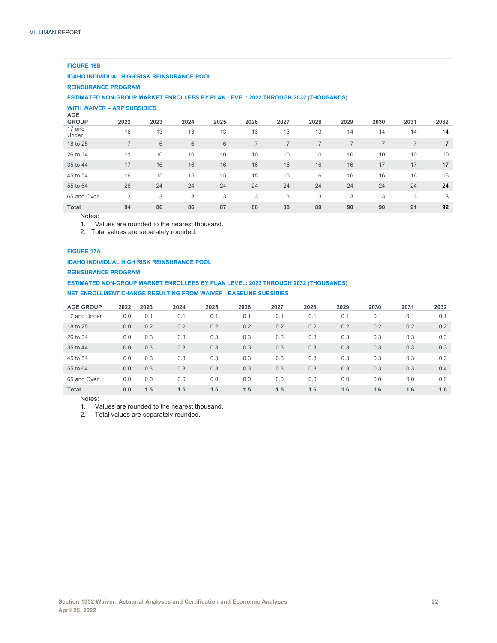#### **FIGURE 16B**

#### **IDAHO INDIVIDUAL HIGH RISK REINSURANCE POOL**

#### **REINSURANCE PROGRAM**

#### **ESTIMATED NON-GROUP MARKET ENROLLEES BY PLAN LEVEL: 2022 THROUGH 2032 (THOUSANDS)**

#### **WITH WAIVER – ARP SUBSIDIES**

| AGE<br><b>GROUP</b> | 2022           | 2023           | 2024 | 2025 | 2026 | 2027 | 2028 | 2029 | 2030 | 2031 | 2032 |
|---------------------|----------------|----------------|------|------|------|------|------|------|------|------|------|
| 17 and<br>Under     | 16             | 13             | 13   | 13   | 13   | 13   | 13   | 14   | 14   | 14   | 14   |
| 18 to 25            | $\overline{7}$ | $6\phantom{1}$ | 6    | 6    |      |      |      |      |      |      |      |
| 26 to 34            | 11             | 10             | 10   | 10   | 10   | 10   | 10   | 10   | 10   | 10   | 10   |
| 35 to 44            | 17             | 16             | 16   | 16   | 16   | 16   | 16   | 16   | 17   | 17   | 17   |
| 45 to 54            | 16             | 15             | 15   | 15   | 15   | 15   | 16   | 16   | 16   | 16   | 16   |
| 55 to 64            | 26             | 24             | 24   | 24   | 24   | 24   | 24   | 24   | 24   | 24   | 24   |
| 65 and Over         | 3              | 3              | 3    | 3    | 3    | 3    | 3    | 3    | 3    | 3    | 3    |
| <b>Total</b>        | 94             | 86             | 86   | 87   | 88   | 88   | 89   | 90   | 90   | 91   | 92   |
|                     |                |                |      |      |      |      |      |      |      |      |      |

#### Notes:

1. Values are rounded to the nearest thousand.

2. Total values are separately rounded.

#### **FIGURE 17A**

#### **IDAHO INDIVIDUAL HIGH RISK REINSURANCE POOL**

#### **REINSURANCE PROGRAM**

#### **ESTIMATED NON-GROUP MARKET ENROLLEES BY PLAN LEVEL: 2022 THROUGH 2032 (THOUSANDS)**

#### **NET ENROLLMENT CHANGE RESULTING FROM WAIVER - BASELINE SUBSIDIES**

| <b>AGE GROUP</b> | 2022 | 2023 | 2024 | 2025 | 2026 | 2027 | 2028 | 2029 | 2030 | 2031 | 2032 |
|------------------|------|------|------|------|------|------|------|------|------|------|------|
| 17 and Under     | 0.0  | 0.1  | 0.1  | 0.1  | 0.1  | 0.1  | 0.1  | 0.1  | 0.1  | 0.1  | 0.1  |
| 18 to 25         | 0.0  | 0.2  | 0.2  | 0.2  | 0.2  | 0.2  | 0.2  | 0.2  | 0.2  | 0.2  | 0.2  |
| 26 to 34         | 0.0  | 0.3  | 0.3  | 0.3  | 0.3  | 0.3  | 0.3  | 0.3  | 0.3  | 0.3  | 0.3  |
| 35 to 44         | 0.0  | 0.3  | 0.3  | 0.3  | 0.3  | 0.3  | 0.3  | 0.3  | 0.3  | 0.3  | 0.3  |
| 45 to 54         | 0.0  | 0.3  | 0.3  | 0.3  | 0.3  | 0.3  | 0.3  | 0.3  | 0.3  | 0.3  | 0.3  |
| 55 to 64         | 0.0  | 0.3  | 0.3  | 0.3  | 0.3  | 0.3  | 0.3  | 0.3  | 0.3  | 0.3  | 0.4  |
| 65 and Over      | 0.0  | 0.0  | 0.0  | 0.0  | 0.0  | 0.0  | 0.0  | 0.0  | 0.0  | 0.0  | 0.0  |
| <b>Total</b>     | 0.0  | 1.5  | 1.5  | 1.5  | 1.5  | 1.5  | 1.6  | 1.6  | 1.6  | 1.6  | 1.6  |

Notes:

1. Values are rounded to the nearest thousand.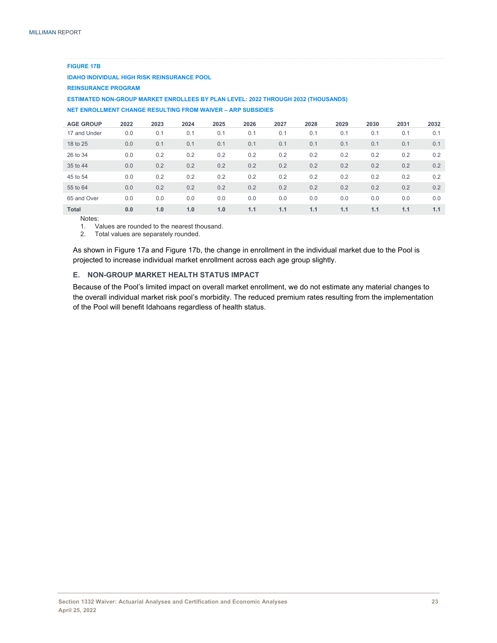| <b>FIGURE 17B</b>                                                                        |      |      |      |      |      |      |      |      |      |      |      |
|------------------------------------------------------------------------------------------|------|------|------|------|------|------|------|------|------|------|------|
| <b>IDAHO INDIVIDUAL HIGH RISK REINSURANCE POOL</b>                                       |      |      |      |      |      |      |      |      |      |      |      |
| <b>REINSURANCE PROGRAM</b>                                                               |      |      |      |      |      |      |      |      |      |      |      |
| <b>ESTIMATED NON-GROUP MARKET ENROLLEES BY PLAN LEVEL: 2022 THROUGH 2032 (THOUSANDS)</b> |      |      |      |      |      |      |      |      |      |      |      |
| NET ENROLLMENT CHANGE RESULTING FROM WAIVER - ARP SUBSIDIES                              |      |      |      |      |      |      |      |      |      |      |      |
| <b>AGE GROUP</b>                                                                         | 2022 | 2023 | 2024 | 2025 | 2026 | 2027 | 2028 | 2029 | 2030 | 2031 | 2032 |
| 17 and Under                                                                             | 0.0  | 0.1  | 0.1  | 0.1  | 0.1  | 0.1  | 0.1  | 0.1  | 0.1  | 0.1  | 0.1  |
| 18 to 25                                                                                 | 0.0  | 0.1  | 0.1  | 0.1  | 0.1  | 0.1  | 0.1  | 0.1  | 0.1  | 0.1  | 0.1  |
| 26 to 34                                                                                 | 0.0  | 0.2  | 0.2  | 0.2  | 0.2  | 0.2  | 0.2  | 0.2  | 0.2  | 0.2  | 0.2  |
| 35 to 44                                                                                 | 0.0  | 0.2  | 0.2  | 0.2  | 0.2  | 0.2  | 0.2  | 0.2  | 0.2  | 0.2  | 0.2  |
|                                                                                          |      |      |      |      |      |      |      |      |      |      |      |

**Total 0.0 1.0 1.0 1.0 1.1 1.1 1.1 1.1 1.1 1.1 1.1**  Notes:

1. Values are rounded to the nearest thousand.

2. Total values are separately rounded.

As shown in Figure 17a and Figure 17b, the change in enrollment in the individual market due to the Pool is projected to increase individual market enrollment across each age group slightly.

45 to 54 0.0 0.2 0.2 0.2 0.2 0.2 0.2 0.2 0.2 0.2 0.2 55 to 64 0.0 0.2 0.2 0.2 0.2 0.2 0.2 0.2 0.2 0.2 0.2 65 and Over 0.0 0.0 0.0 0.0 0.0 0.0 0.0 0.0 0.0 0.0 0.0

#### **E. NON-GROUP MARKET HEALTH STATUS IMPACT**

Because of the Pool's limited impact on overall market enrollment, we do not estimate any material changes to the overall individual market risk pool's morbidity. The reduced premium rates resulting from the implementation of the Pool will benefit Idahoans regardless of health status.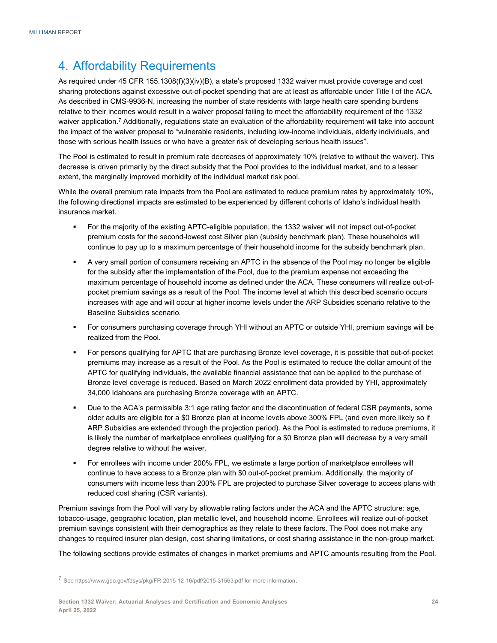## 4. Affordability Requirements

As required under 45 CFR 155.1308(f)(3)(iv)(B), a state's proposed 1332 waiver must provide coverage and cost sharing protections against excessive out-of-pocket spending that are at least as affordable under Title I of the ACA. As described in CMS-9936-N, increasing the number of state residents with large health care spending burdens relative to their incomes would result in a waiver proposal failing to meet the affordability requirement of the 1332 waiver application.<sup>7</sup> Additionally, regulations state an evaluation of the affordability requirement will take into account the impact of the waiver proposal to "vulnerable residents, including low-income individuals, elderly individuals, and those with serious health issues or who have a greater risk of developing serious health issues".

The Pool is estimated to result in premium rate decreases of approximately 10% (relative to without the waiver). This decrease is driven primarily by the direct subsidy that the Pool provides to the individual market, and to a lesser extent, the marginally improved morbidity of the individual market risk pool.

While the overall premium rate impacts from the Pool are estimated to reduce premium rates by approximately 10%, the following directional impacts are estimated to be experienced by different cohorts of Idaho's individual health insurance market.

- For the majority of the existing APTC-eligible population, the 1332 waiver will not impact out-of-pocket premium costs for the second-lowest cost Silver plan (subsidy benchmark plan). These households will continue to pay up to a maximum percentage of their household income for the subsidy benchmark plan.
- A very small portion of consumers receiving an APTC in the absence of the Pool may no longer be eligible for the subsidy after the implementation of the Pool, due to the premium expense not exceeding the maximum percentage of household income as defined under the ACA. These consumers will realize out-ofpocket premium savings as a result of the Pool. The income level at which this described scenario occurs increases with age and will occur at higher income levels under the ARP Subsidies scenario relative to the Baseline Subsidies scenario.
- For consumers purchasing coverage through YHI without an APTC or outside YHI, premium savings will be realized from the Pool.
- For persons qualifying for APTC that are purchasing Bronze level coverage, it is possible that out-of-pocket premiums may increase as a result of the Pool. As the Pool is estimated to reduce the dollar amount of the APTC for qualifying individuals, the available financial assistance that can be applied to the purchase of Bronze level coverage is reduced. Based on March 2022 enrollment data provided by YHI, approximately 34,000 Idahoans are purchasing Bronze coverage with an APTC.
- Due to the ACA's permissible 3:1 age rating factor and the discontinuation of federal CSR payments, some older adults are eligible for a \$0 Bronze plan at income levels above 300% FPL (and even more likely so if ARP Subsidies are extended through the projection period). As the Pool is estimated to reduce premiums, it is likely the number of marketplace enrollees qualifying for a \$0 Bronze plan will decrease by a very small degree relative to without the waiver.
- For enrollees with income under 200% FPL, we estimate a large portion of marketplace enrollees will continue to have access to a Bronze plan with \$0 out-of-pocket premium. Additionally, the majority of consumers with income less than 200% FPL are projected to purchase Silver coverage to access plans with reduced cost sharing (CSR variants).

Premium savings from the Pool will vary by allowable rating factors under the ACA and the APTC structure: age, tobacco-usage, geographic location, plan metallic level, and household income. Enrollees will realize out-of-pocket premium savings consistent with their demographics as they relate to these factors. The Pool does not make any changes to required insurer plan design, cost sharing limitations, or cost sharing assistance in the non-group market.

The following sections provide estimates of changes in market premiums and APTC amounts resulting from the Pool.

<sup>7</sup> See https://www.gpo.gov/fdsys/pkg/FR-2015-12-16/pdf/2015-31563.pdf for more information.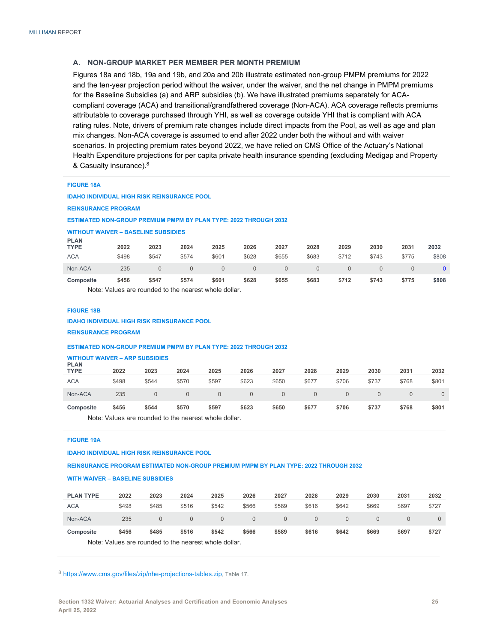#### **A. NON-GROUP MARKET PER MEMBER PER MONTH PREMIUM**

Figures 18a and 18b, 19a and 19b, and 20a and 20b illustrate estimated non-group PMPM premiums for 2022 and the ten-year projection period without the waiver, under the waiver, and the net change in PMPM premiums for the Baseline Subsidies (a) and ARP subsidies (b). We have illustrated premiums separately for ACAcompliant coverage (ACA) and transitional/grandfathered coverage (Non-ACA). ACA coverage reflects premiums attributable to coverage purchased through YHI, as well as coverage outside YHI that is compliant with ACA rating rules. Note, drivers of premium rate changes include direct impacts from the Pool, as well as age and plan mix changes. Non-ACA coverage is assumed to end after 2022 under both the without and with waiver scenarios. In projecting premium rates beyond 2022, we have relied on CMS Office of the Actuary's National Health Expenditure projections for per capita private health insurance spending (excluding Medigap and Property & Casualty insurance).8

| <b>FIGURE 18A</b> |  |
|-------------------|--|
|                   |  |

**IDAHO INDIVIDUAL HIGH RISK REINSURANCE POOL**

**REINSURANCE PROGRAM** 

#### **ESTIMATED NON-GROUP PREMIUM PMPM BY PLAN TYPE: 2022 THROUGH 2032**

## **WITHOUT WAIVER – BASELINE SUBSIDIES**

| <b>PLAN</b><br><b>TYPE</b> | 2022  | 2023     | 2024                                                  | 2025     | 2026     | 2027     | 2028     | 2029     | 2030     | 2031  | 2032  |
|----------------------------|-------|----------|-------------------------------------------------------|----------|----------|----------|----------|----------|----------|-------|-------|
| <b>ACA</b>                 | \$498 | \$547    | \$574                                                 | \$601    | \$628    | \$655    | \$683    | \$712    | \$743    | \$775 | \$808 |
| Non-ACA                    | 235   | $\Omega$ | $\Omega$                                              | $\Omega$ | $\Omega$ | $\Omega$ | $\Omega$ | $\Omega$ | $\Omega$ |       |       |
| Composite                  | \$456 | \$547    | \$574                                                 | \$601    | \$628    | \$655    | \$683    | \$712    | \$743    | \$775 | \$808 |
|                            |       |          | Note: Values are rounded to the nearest whole dollar. |          |          |          |          |          |          |       |       |

#### **FIGURE 18B**

#### **IDAHO INDIVIDUAL HIGH RISK REINSURANCE POOL**

**REINSURANCE PROGRAM** 

#### **ESTIMATED NON-GROUP PREMIUM PMPM BY PLAN TYPE: 2022 THROUGH 2032**

## **WITHOUT WAIVER – ARP SUBSIDIES PLAN**

|                            | Note: Values are rounded to the nearest whole dollar. |       |       |          |          |          |       |          |          |       |          |  |  |
|----------------------------|-------------------------------------------------------|-------|-------|----------|----------|----------|-------|----------|----------|-------|----------|--|--|
| Composite                  | \$456                                                 | \$544 | \$570 | \$597    | \$623    | \$650    | \$677 | \$706    | \$737    | \$768 | \$801    |  |  |
| Non-ACA                    | 235                                                   |       |       | $\Omega$ | $\Omega$ | $\Omega$ |       | $\Omega$ | $\Omega$ |       | $\Omega$ |  |  |
| <b>ACA</b>                 | \$498                                                 | \$544 | \$570 | \$597    | \$623    | \$650    | \$677 | \$706    | \$737    | \$768 | \$801    |  |  |
| <b>FLAN</b><br><b>TYPE</b> | 2022                                                  | 2023  | 2024  | 2025     | 2026     | 2027     | 2028  | 2029     | 2030     | 2031  | 2032     |  |  |

#### **FIGURE 19A**

**IDAHO INDIVIDUAL HIGH RISK REINSURANCE POOL**

**REINSURANCE PROGRAM ESTIMATED NON-GROUP PREMIUM PMPM BY PLAN TYPE: 2022 THROUGH 2032** 

#### **WITH WAIVER – BASELINE SUBSIDIES**

| <b>PLAN TYPE</b>                                      | 2022  | 2023     | 2024     | 2025     | 2026     | 2027     | 2028     | 2029  | 2030  | 2031  | 2032  |  |
|-------------------------------------------------------|-------|----------|----------|----------|----------|----------|----------|-------|-------|-------|-------|--|
| <b>ACA</b>                                            | \$498 | \$485    | \$516    | \$542    | \$566    | \$589    | \$616    | \$642 | \$669 | \$697 | \$727 |  |
| Non-ACA                                               | 235   | $\Omega$ | $\Omega$ | $\Omega$ | $\Omega$ | $\Omega$ | $\Omega$ | 0     |       |       |       |  |
| Composite                                             | \$456 | \$485    | \$516    | \$542    | \$566    | \$589    | \$616    | \$642 | \$669 | \$697 | \$727 |  |
| Note: Values are rounded to the nearest whole dollar. |       |          |          |          |          |          |          |       |       |       |       |  |

<sup>8</sup> https://www.cms.gov/files/zip/nhe-projections-tables.zip, Table 17.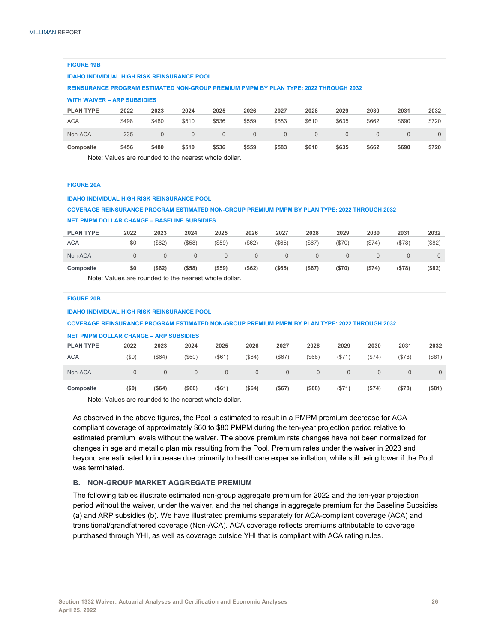| <b>FIGURE 19B</b>                                                                           |                                                                                                 |              |              |          |          |              |              |          |              |          |          |  |  |  |
|---------------------------------------------------------------------------------------------|-------------------------------------------------------------------------------------------------|--------------|--------------|----------|----------|--------------|--------------|----------|--------------|----------|----------|--|--|--|
| <b>IDAHO INDIVIDUAL HIGH RISK REINSURANCE POOL</b>                                          |                                                                                                 |              |              |          |          |              |              |          |              |          |          |  |  |  |
| <b>REINSURANCE PROGRAM ESTIMATED NON-GROUP PREMIUM PMPM BY PLAN TYPE: 2022 THROUGH 2032</b> |                                                                                                 |              |              |          |          |              |              |          |              |          |          |  |  |  |
| <b>WITH WAIVER - ARP SUBSIDIES</b>                                                          |                                                                                                 |              |              |          |          |              |              |          |              |          |          |  |  |  |
| <b>PLAN TYPE</b>                                                                            | 2022                                                                                            | 2023         | 2024         | 2025     | 2026     | 2027         | 2028         | 2029     | 2030         | 2031     | 2032     |  |  |  |
| <b>ACA</b>                                                                                  | \$498                                                                                           | \$480        | \$510        | \$536    | \$559    | \$583        | \$610        | \$635    | \$662        | \$690    | \$720    |  |  |  |
| Non-ACA                                                                                     | 235                                                                                             | $\mathbf{0}$ | $\mathbf{0}$ | $\Omega$ | $\Omega$ | $\mathbf{0}$ | $\mathbf{0}$ | $\Omega$ | $\mathbf{0}$ | $\Omega$ | $\Omega$ |  |  |  |
| Composite                                                                                   | \$559<br>\$583<br>\$456<br>\$480<br>\$510<br>\$536<br>\$610<br>\$635<br>\$662<br>\$690<br>\$720 |              |              |          |          |              |              |          |              |          |          |  |  |  |
|                                                                                             | Note: Values are rounded to the nearest whole dollar.                                           |              |              |          |          |              |              |          |              |          |          |  |  |  |

#### **FIGURE 20A**

| <b>COVERAGE REINSURANCE PROGRAM ESTIMATED NON-GROUP PREMIUM PMPM BY PLAN TYPE: 2022 THROUGH 2032</b> |          |          |          |           |              |             |                |          |          |              |          |  |  |
|------------------------------------------------------------------------------------------------------|----------|----------|----------|-----------|--------------|-------------|----------------|----------|----------|--------------|----------|--|--|
| <b>NET PMPM DOLLAR CHANGE - BASELINE SUBSIDIES</b>                                                   |          |          |          |           |              |             |                |          |          |              |          |  |  |
| <b>PLAN TYPE</b>                                                                                     | 2022     | 2023     | 2024     | 2025      | 2026         | 2027        | 2028           | 2029     | 2030     | 2031         | 2032     |  |  |
| <b>ACA</b>                                                                                           | \$0      | (\$62)   | (\$58)   | (\$59)    | (\$62)       | (\$65)      | (\$67)         | (\$70)   | (\$74)   | (\$78)       | (\$82)   |  |  |
| Non-ACA                                                                                              | $\Omega$ | $\Omega$ | $\Omega$ | $\Omega$  | $\mathbf{0}$ | $\mathbf 0$ | $\overline{0}$ | $\Omega$ | $\Omega$ | $\mathbf{0}$ | $\Omega$ |  |  |
| Composite                                                                                            | \$0      | ( \$62)  | ( \$58)  | $($ \$59) | ( \$62)      | $($ \$65)   | $($ \$67)      | (\$70)   | (S74)    | (S78)        | (\$82)   |  |  |
| Note: Values are rounded to the nearest whole dollar                                                 |          |          |          |           |              |             |                |          |          |              |          |  |  |

#### **FIGURE 20B**

#### **IDAHO INDIVIDUAL HIGH RISK REINSURANCE POOL**

**IDAHO INDIVIDUAL HIGH RISK REINSURANCE POOL**

#### **COVERAGE REINSURANCE PROGRAM ESTIMATED NON-GROUP PREMIUM PMPM BY PLAN TYPE: 2022 THROUGH 2032**

| <b>NET PMPM DOLLAR CHANGE - ARP SUBSIDIES</b> |          |          |          |           |          |          |           |          |          |          |          |
|-----------------------------------------------|----------|----------|----------|-----------|----------|----------|-----------|----------|----------|----------|----------|
| <b>PLAN TYPE</b>                              | 2022     | 2023     | 2024     | 2025      | 2026     | 2027     | 2028      | 2029     | 2030     | 2031     | 2032     |
| <b>ACA</b>                                    | (50)     | (\$64)   | (\$60)   | $($ \$61) | (\$64)   | (\$67)   | (\$68)    | (\$71)   | ( \$74)  | (\$78)   | (\$81)   |
| Non-ACA                                       | $\Omega$ | $\Omega$ | $\Omega$ | $\Omega$  | $\Omega$ | $\Omega$ | $\Omega$  | $\Omega$ | $\Omega$ | $\Omega$ | $\Omega$ |
| Composite                                     | (50)     | (\$64)   | (\$60)   | $($ \$61) | (\$64)   | (\$67)   | $($ \$68) | (\$71)   | (\$74)   | (\$78)   | (\$81)   |
| .                                             |          | $\cdots$ |          | .         |          |          |           |          |          |          |          |

Note: Values are rounded to the nearest whole dollar.

As observed in the above figures, the Pool is estimated to result in a PMPM premium decrease for ACA compliant coverage of approximately \$60 to \$80 PMPM during the ten-year projection period relative to estimated premium levels without the waiver. The above premium rate changes have not been normalized for changes in age and metallic plan mix resulting from the Pool. Premium rates under the waiver in 2023 and beyond are estimated to increase due primarily to healthcare expense inflation, while still being lower if the Pool was terminated.

#### **B. NON-GROUP MARKET AGGREGATE PREMIUM**

The following tables illustrate estimated non-group aggregate premium for 2022 and the ten-year projection period without the waiver, under the waiver, and the net change in aggregate premium for the Baseline Subsidies (a) and ARP subsidies (b). We have illustrated premiums separately for ACA-compliant coverage (ACA) and transitional/grandfathered coverage (Non-ACA). ACA coverage reflects premiums attributable to coverage purchased through YHI, as well as coverage outside YHI that is compliant with ACA rating rules.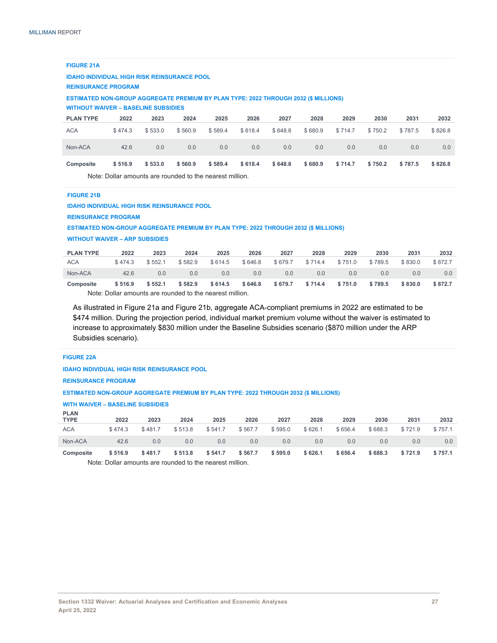#### **FIGURE 21A**

**IDAHO INDIVIDUAL HIGH RISK REINSURANCE POOL**

#### **REINSURANCE PROGRAM**

**ESTIMATED NON-GROUP AGGREGATE PREMIUM BY PLAN TYPE: 2022 THROUGH 2032 (\$ MILLIONS)** 

#### **WITHOUT WAIVER – BASELINE SUBSIDIES**

| <b>PLAN TYPE</b>                                         | 2022    | 2023    | 2024    | 2025    | 2026    | 2027    | 2028    | 2029    | 2030    | 2031    | 2032    |
|----------------------------------------------------------|---------|---------|---------|---------|---------|---------|---------|---------|---------|---------|---------|
| <b>ACA</b>                                               | \$474.3 | \$533.0 | \$560.9 | \$589.4 | \$618.4 | \$648.8 | \$680.9 | \$714.7 | \$750.2 | \$787.5 | \$826.8 |
| Non-ACA                                                  | 42.6    | 0.0     | 0.0     | 0.0     | 0.0     | 0.0     | 0.0     | 0.0     | 0.0     | 0.0     | 0.0     |
| <b>Composite</b>                                         | \$516.9 | \$533.0 | \$560.9 | \$589.4 | \$618.4 | \$648.8 | \$680.9 | \$714.7 | \$750.2 | \$787.5 | \$826.8 |
| Note: Dollar amounts are rounded to the nearest million. |         |         |         |         |         |         |         |         |         |         |         |

#### **FIGURE 21B**

#### **IDAHO INDIVIDUAL HIGH RISK REINSURANCE POOL**

**REINSURANCE PROGRAM** 

**ESTIMATED NON-GROUP AGGREGATE PREMIUM BY PLAN TYPE: 2022 THROUGH 2032 (\$ MILLIONS)** 

**WITHOUT WAIVER – ARP SUBSIDIES** 

| <b>PLAN TYPE</b> | 2022                                                    | 2023    | 2024    | 2025    | 2026    | 2027    | 2028    | 2029    | 2030    | 2031    | 2032    |  |  |
|------------------|---------------------------------------------------------|---------|---------|---------|---------|---------|---------|---------|---------|---------|---------|--|--|
| <b>ACA</b>       | \$474.3                                                 | \$552.1 | \$582.9 | \$614.5 | \$646.8 | \$679.7 | \$714.4 | \$751.0 | \$789.5 | \$830.0 | \$872.7 |  |  |
| Non-ACA          | 42.6                                                    | 0.0     | 0.0     | 0.0     | 0.0     | 0.0     | 0.0     | 0.0     | 0.0     | 0.0     | 0.0     |  |  |
| Composite        | \$516.9                                                 | \$552.1 | \$582.9 | \$614.5 | \$646.8 | \$679.7 | \$714.4 | \$751.0 | \$789.5 | \$830.0 | \$872.7 |  |  |
|                  | Note: Dollar amounts are rounded to the nearest million |         |         |         |         |         |         |         |         |         |         |  |  |

Note: Dollar amounts are rounded to the nearest million.

As illustrated in Figure 21a and Figure 21b, aggregate ACA-compliant premiums in 2022 are estimated to be \$474 million. During the projection period, individual market premium volume without the waiver is estimated to increase to approximately \$830 million under the Baseline Subsidies scenario (\$870 million under the ARP Subsidies scenario).

#### **FIGURE 22A**

**IDAHO INDIVIDUAL HIGH RISK REINSURANCE POOL** 

**REINSURANCE PROGRAM** 

#### **ESTIMATED NON-GROUP AGGREGATE PREMIUM BY PLAN TYPE: 2022 THROUGH 2032 (\$ MILLIONS)**

#### **WITH WAIVER – BASELINE SUBSIDIES**

| <b>PLAN</b><br><b>TYPE</b> | 2022    | 2023    | 2024    | 2025    | 2026    | 2027    | 2028    | 2029    | 2030    | 2031    | 2032    |
|----------------------------|---------|---------|---------|---------|---------|---------|---------|---------|---------|---------|---------|
| <b>ACA</b>                 | \$474.3 | \$481.7 | \$513.8 | \$541.7 | \$567.7 | \$595.0 | \$626.1 | \$656.4 | \$688.3 | \$721.9 | \$757.1 |
| Non-ACA                    | 42.6    | 0.0     | 0.0     | 0.0     | 0.0     | 0.0     | 0.0     | 0.0     | 0.0     | 0.0     | 0.0     |
| Composite                  | \$516.9 | \$481.7 | \$513.8 | \$541.7 | \$567.7 | \$595.0 | \$626.1 | \$656.4 | \$688.3 | \$721.9 | \$757.1 |

Note: Dollar amounts are rounded to the nearest million.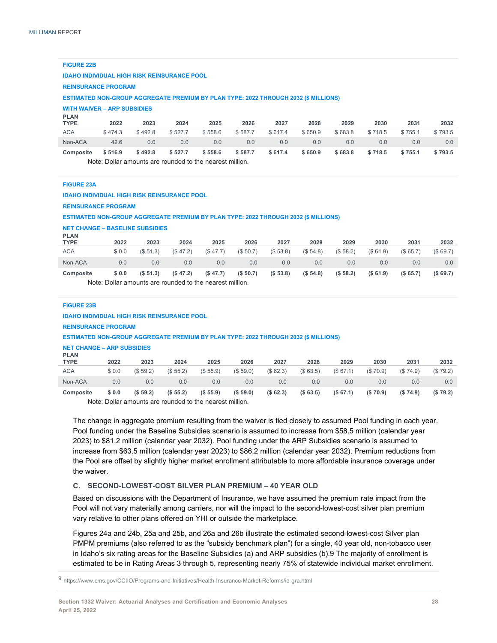**FIGURE 22B** 

|                            | <b>IDAHO INDIVIDUAL HIGH RISK REINSURANCE POOL</b>                                         |         |         |         |         |         |         |         |         |         |         |  |  |  |
|----------------------------|--------------------------------------------------------------------------------------------|---------|---------|---------|---------|---------|---------|---------|---------|---------|---------|--|--|--|
| <b>REINSURANCE PROGRAM</b> |                                                                                            |         |         |         |         |         |         |         |         |         |         |  |  |  |
|                            | <b>ESTIMATED NON-GROUP AGGREGATE PREMIUM BY PLAN TYPE: 2022 THROUGH 2032 (\$ MILLIONS)</b> |         |         |         |         |         |         |         |         |         |         |  |  |  |
|                            | <b>WITH WAIVER - ARP SUBSIDIES</b>                                                         |         |         |         |         |         |         |         |         |         |         |  |  |  |
| <b>PLAN</b><br><b>TYPE</b> | 2022                                                                                       | 2023    | 2024    | 2025    | 2026    | 2027    | 2028    | 2029    | 2030    | 2031    | 2032    |  |  |  |
| <b>ACA</b>                 | \$474.3                                                                                    | \$492.8 | \$527.7 | \$558.6 | \$587.7 | \$617.4 | \$650.9 | \$683.8 | \$718.5 | \$755.1 | \$793.5 |  |  |  |
| Non-ACA                    | 42.6<br>0.0<br>0.0<br>0.0<br>0.0<br>0.0<br>0.0<br>0.0<br>0.0<br>0.0<br>0.0                 |         |         |         |         |         |         |         |         |         |         |  |  |  |
| Composite                  | \$516.9                                                                                    | \$492.8 | \$527.7 | \$558.6 | \$587.7 | \$617.4 | \$650.9 | \$683.8 | \$718.5 | \$755.1 | \$793.5 |  |  |  |

Note: Dollar amounts are rounded to the nearest million.

| <b>FIGURE 23A</b>          |                                                                                            |          |          |          |          |          |           |          |          |          |          |
|----------------------------|--------------------------------------------------------------------------------------------|----------|----------|----------|----------|----------|-----------|----------|----------|----------|----------|
|                            | <b>IDAHO INDIVIDUAL HIGH RISK REINSURANCE POOL</b>                                         |          |          |          |          |          |           |          |          |          |          |
|                            | <b>REINSURANCE PROGRAM</b>                                                                 |          |          |          |          |          |           |          |          |          |          |
|                            | <b>ESTIMATED NON-GROUP AGGREGATE PREMIUM BY PLAN TYPE: 2022 THROUGH 2032 (\$ MILLIONS)</b> |          |          |          |          |          |           |          |          |          |          |
|                            | <b>NET CHANGE - BASELINE SUBSIDIES</b>                                                     |          |          |          |          |          |           |          |          |          |          |
| <b>PLAN</b><br><b>TYPE</b> | 2022                                                                                       | 2023     | 2024     | 2025     | 2026     | 2027     | 2028      | 2029     | 2030     | 2031     | 2032     |
| <b>ACA</b>                 | \$0.0                                                                                      | (\$51.3) | (\$47.2) | (\$47.7) | (\$50.7) | (\$53.8) | (\$54.8)  | (\$58.2) | (\$61.9) | (\$65.7) | (\$69.7) |
| Non-ACA                    | 0.0                                                                                        | 0.0      | 0.0      | 0.0      | 0.0      | 0.0      | 0.0       | 0.0      | 0.0      | 0.0      | 0.0      |
| Composite                  | \$0.0                                                                                      | (S 51.3) | (S.47.2) | (\$47.7) | (S 50.7) | (S 53.8) | (S, 54.8) | (\$58.2) | (S 61.9) | (S 65.7) | (\$69.7) |
|                            | Note: Dollar amounts are rounded to the nearest million                                    |          |          |          |          |          |           |          |          |          |          |
|                            |                                                                                            |          |          |          |          |          |           |          |          |          |          |
| <b>FIGURE 23B</b>          |                                                                                            |          |          |          |          |          |           |          |          |          |          |
|                            | <b>IDAHO INDIVIDUAL HIGH RISK REINSURANCE POOL</b>                                         |          |          |          |          |          |           |          |          |          |          |
|                            | <b>REINSURANCE PROGRAM</b>                                                                 |          |          |          |          |          |           |          |          |          |          |
|                            | <b>ESTIMATED NON-GROUP AGGREGATE PREMIUM BY PLAN TYPE: 2022 THROUGH 2032 (\$ MILLIONS)</b> |          |          |          |          |          |           |          |          |          |          |
|                            | <b>NET CHANGE - ARP SUBSIDIES</b>                                                          |          |          |          |          |          |           |          |          |          |          |
| <b>PLAN</b><br><b>TYPE</b> | 2022                                                                                       | 2023     | 2024     | 2025     | 2026     | 2027     | 2028      | 2029     | 2030     | 2031     | 2032     |
| <b>ACA</b>                 | \$0.0                                                                                      | (\$59.2) | (\$55.2) | (\$55.9) | (\$59.0) | (\$62.3) | (\$63.5)  | (\$67.1) | (S70.9)  | (\$74.9) | (\$79.2) |

Note: Dollar amounts are rounded to the nearest million.

The change in aggregate premium resulting from the waiver is tied closely to assumed Pool funding in each year. Pool funding under the Baseline Subsidies scenario is assumed to increase from \$58.5 million (calendar year 2023) to \$81.2 million (calendar year 2032). Pool funding under the ARP Subsidies scenario is assumed to increase from \$63.5 million (calendar year 2023) to \$86.2 million (calendar year 2032). Premium reductions from the Pool are offset by slightly higher market enrollment attributable to more affordable insurance coverage under the waiver.

Non-ACA 0.0 0.0 0.0 0.0 0.0 0.0 0.0 0.0 0.0 0.0 0.0 **Composite \$ 0.0 (\$ 59.2) (\$ 55.2) (\$ 55.9) (\$ 59.0) (\$ 62.3) (\$ 63.5) (\$ 67.1) (\$ 70.9) (\$ 74.9) (\$ 79.2)** 

#### **C. SECOND-LOWEST-COST SILVER PLAN PREMIUM – 40 YEAR OLD**

Based on discussions with the Department of Insurance, we have assumed the premium rate impact from the Pool will not vary materially among carriers, nor will the impact to the second-lowest-cost silver plan premium vary relative to other plans offered on YHI or outside the marketplace.

Figures 24a and 24b, 25a and 25b, and 26a and 26b illustrate the estimated second-lowest-cost Silver plan PMPM premiums (also referred to as the "subsidy benchmark plan") for a single, 40 year old, non-tobacco user in Idaho's six rating areas for the Baseline Subsidies (a) and ARP subsidies (b).9 The majority of enrollment is estimated to be in Rating Areas 3 through 5, representing nearly 75% of statewide individual market enrollment.

<sup>9</sup> https://www.cms.gov/CCIIO/Programs-and-Initiatives/Health-Insurance-Market-Reforms/id-gra.html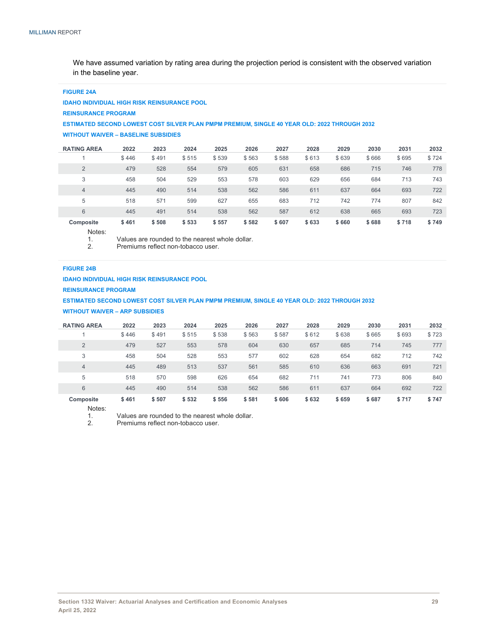We have assumed variation by rating area during the projection period is consistent with the observed variation in the baseline year.

#### **FIGURE 24A**

**IDAHO INDIVIDUAL HIGH RISK REINSURANCE POOL** 

**REINSURANCE PROGRAM** 

#### **ESTIMATED SECOND LOWEST COST SILVER PLAN PMPM PREMIUM, SINGLE 40 YEAR OLD: 2022 THROUGH 2032**

**WITHOUT WAIVER – BASELINE SUBSIDIES** 

| <b>RATING AREA</b> | 2022  | 2023  | 2024  | 2025  | 2026  | 2027  | 2028  | 2029  | 2030  | 2031  | 2032  |
|--------------------|-------|-------|-------|-------|-------|-------|-------|-------|-------|-------|-------|
|                    | \$446 | \$491 | \$515 | \$539 | \$563 | \$588 | \$613 | \$639 | \$666 | \$695 | \$724 |
| $\overline{2}$     | 479   | 528   | 554   | 579   | 605   | 631   | 658   | 686   | 715   | 746   | 778   |
| 3                  | 458   | 504   | 529   | 553   | 578   | 603   | 629   | 656   | 684   | 713   | 743   |
| $\overline{4}$     | 445   | 490   | 514   | 538   | 562   | 586   | 611   | 637   | 664   | 693   | 722   |
| 5                  | 518   | 571   | 599   | 627   | 655   | 683   | 712   | 742   | 774   | 807   | 842   |
| 6                  | 445   | 491   | 514   | 538   | 562   | 587   | 612   | 638   | 665   | 693   | 723   |
| Composite          | \$461 | \$508 | \$533 | \$557 | \$582 | \$607 | \$633 | \$660 | \$688 | \$718 | \$749 |

Notes:

1. Values are rounded to the nearest whole dollar.<br>2. Premiums reflect non-tobacco user.

Premiums reflect non-tobacco user.

#### **FIGURE 24B**

**IDAHO INDIVIDUAL HIGH RISK REINSURANCE POOL** 

**REINSURANCE PROGRAM** 

**ESTIMATED SECOND LOWEST COST SILVER PLAN PMPM PREMIUM, SINGLE 40 YEAR OLD: 2022 THROUGH 2032** 

**WITHOUT WAIVER – ARP SUBSIDIES** 

| <b>RATING AREA</b> | 2022  | 2023  | 2024  | 2025  | 2026  | 2027  | 2028  | 2029  | 2030  | 2031  | 2032  |
|--------------------|-------|-------|-------|-------|-------|-------|-------|-------|-------|-------|-------|
|                    | \$446 | \$491 | \$515 | \$538 | \$563 | \$587 | \$612 | \$638 | \$665 | \$693 | \$723 |
| $\overline{2}$     | 479   | 527   | 553   | 578   | 604   | 630   | 657   | 685   | 714   | 745   | 777   |
| 3                  | 458   | 504   | 528   | 553   | 577   | 602   | 628   | 654   | 682   | 712   | 742   |
| 4                  | 445   | 489   | 513   | 537   | 561   | 585   | 610   | 636   | 663   | 691   | 721   |
| 5                  | 518   | 570   | 598   | 626   | 654   | 682   | 711   | 741   | 773   | 806   | 840   |
| 6                  | 445   | 490   | 514   | 538   | 562   | 586   | 611   | 637   | 664   | 692   | 722   |
| Composite          | \$461 | \$507 | \$532 | \$556 | \$581 | \$606 | \$632 | \$659 | \$687 | \$717 | \$747 |

Notes:<br>1.

1. Values are rounded to the nearest whole dollar.<br>2 Premiums reflect non-tobacco user

Premiums reflect non-tobacco user.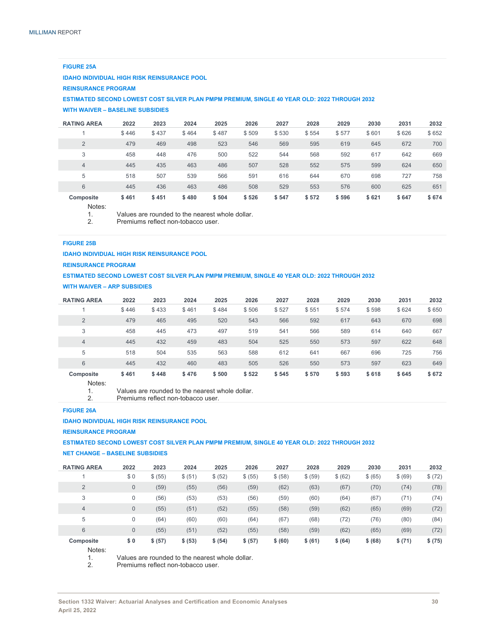#### **FIGURE 25A**

**IDAHO INDIVIDUAL HIGH RISK REINSURANCE POOL** 

**REINSURANCE PROGRAM** 

**ESTIMATED SECOND LOWEST COST SILVER PLAN PMPM PREMIUM, SINGLE 40 YEAR OLD: 2022 THROUGH 2032** 

#### **WITH WAIVER – BASELINE SUBSIDIES**

| <b>RATING AREA</b> | 2022  | 2023  | 2024  | 2025  | 2026  | 2027  | 2028  | 2029  | 2030  | 2031  | 2032  |
|--------------------|-------|-------|-------|-------|-------|-------|-------|-------|-------|-------|-------|
|                    | \$446 | \$437 | \$464 | \$487 | \$509 | \$530 | \$554 | \$577 | \$601 | \$626 | \$652 |
| $\overline{2}$     | 479   | 469   | 498   | 523   | 546   | 569   | 595   | 619   | 645   | 672   | 700   |
| 3                  | 458   | 448   | 476   | 500   | 522   | 544   | 568   | 592   | 617   | 642   | 669   |
| 4                  | 445   | 435   | 463   | 486   | 507   | 528   | 552   | 575   | 599   | 624   | 650   |
| 5                  | 518   | 507   | 539   | 566   | 591   | 616   | 644   | 670   | 698   | 727   | 758   |
| 6                  | 445   | 436   | 463   | 486   | 508   | 529   | 553   | 576   | 600   | 625   | 651   |
| Composite          | \$461 | \$451 | \$480 | \$504 | \$526 | \$547 | \$572 | \$596 | \$621 | \$647 | \$674 |

Notes:

1. Values are rounded to the nearest whole dollar.<br>2 Premiums reflect non-tobacco user

Premiums reflect non-tobacco user.

#### **FIGURE 25B**

#### **IDAHO INDIVIDUAL HIGH RISK REINSURANCE POOL**

**REINSURANCE PROGRAM** 

## **ESTIMATED SECOND LOWEST COST SILVER PLAN PMPM PREMIUM, SINGLE 40 YEAR OLD: 2022 THROUGH 2032**

**WITH WAIVER – ARP SUBSIDIES** 

| <b>RATING AREA</b> | 2022  | 2023  | 2024  | 2025  | 2026  | 2027  | 2028  | 2029  | 2030  | 2031  | 2032  |
|--------------------|-------|-------|-------|-------|-------|-------|-------|-------|-------|-------|-------|
|                    | \$446 | \$433 | \$461 | \$484 | \$506 | \$527 | \$551 | \$574 | \$598 | \$624 | \$650 |
| $\overline{2}$     | 479   | 465   | 495   | 520   | 543   | 566   | 592   | 617   | 643   | 670   | 698   |
| 3                  | 458   | 445   | 473   | 497   | 519   | 541   | 566   | 589   | 614   | 640   | 667   |
| $\overline{4}$     | 445   | 432   | 459   | 483   | 504   | 525   | 550   | 573   | 597   | 622   | 648   |
| 5                  | 518   | 504   | 535   | 563   | 588   | 612   | 641   | 667   | 696   | 725   | 756   |
| 6                  | 445   | 432   | 460   | 483   | 505   | 526   | 550   | 573   | 597   | 623   | 649   |
| Composite<br>.     | \$461 | \$448 | \$476 | \$500 | \$522 | \$545 | \$570 | \$593 | \$618 | \$645 | \$672 |

Notes:

1. Values are rounded to the nearest whole dollar.<br>2. Premiums reflect non-tobacco user.

Premiums reflect non-tobacco user.

#### **FIGURE 26A**

**IDAHO INDIVIDUAL HIGH RISK REINSURANCE POOL** 

**REINSURANCE PROGRAM** 

#### **ESTIMATED SECOND LOWEST COST SILVER PLAN PMPM PREMIUM, SINGLE 40 YEAR OLD: 2022 THROUGH 2032**

**NET CHANGE – BASELINE SUBSIDIES** 

| <b>RATING AREA</b> | 2022         | 2023    | 2024    | 2025    | 2026    | 2027    | 2028    | 2029    | 2030    | 2031    | 2032    |
|--------------------|--------------|---------|---------|---------|---------|---------|---------|---------|---------|---------|---------|
|                    | \$0          | \$ (55) | \$ (51) | \$ (52) | \$ (55) | \$ (58) | \$ (59) | \$ (62) | \$ (65) | \$ (69) | \$ (72) |
| $\overline{2}$     | $\theta$     | (59)    | (55)    | (56)    | (59)    | (62)    | (63)    | (67)    | (70)    | (74)    | (78)    |
| 3                  | 0            | (56)    | (53)    | (53)    | (56)    | (59)    | (60)    | (64)    | (67)    | (71)    | (74)    |
| $\overline{4}$     | $\mathbf{0}$ | (55)    | (51)    | (52)    | (55)    | (58)    | (59)    | (62)    | (65)    | (69)    | (72)    |
| 5                  | 0            | (64)    | (60)    | (60)    | (64)    | (67)    | (68)    | (72)    | (76)    | (80)    | (84)    |
| 6                  | $\mathbf 0$  | (55)    | (51)    | (52)    | (55)    | (58)    | (59)    | (62)    | (65)    | (69)    | (72)    |
| Composite<br>.     | \$0          | \$ (57) | \$ (53) | \$ (54) | \$ (57) | \$ (60) | \$ (61) | \$ (64) | \$ (68) | \$ (71) | \$ (75) |

Notes:

1. Values are rounded to the nearest whole dollar.<br>2 Premiums reflect non-tobacco user

Premiums reflect non-tobacco user.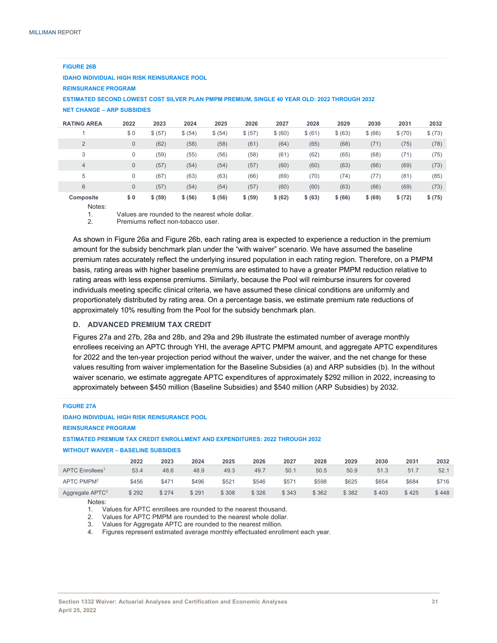| <b>IDAHO INDIVIDUAL HIGH RISK REINSURANCE POOL</b>                                           |              |         |         |         |         |         |         |         |         |         |         |
|----------------------------------------------------------------------------------------------|--------------|---------|---------|---------|---------|---------|---------|---------|---------|---------|---------|
| <b>REINSURANCE PROGRAM</b>                                                                   |              |         |         |         |         |         |         |         |         |         |         |
| ESTIMATED SECOND LOWEST COST SILVER PLAN PMPM PREMIUM, SINGLE 40 YEAR OLD: 2022 THROUGH 2032 |              |         |         |         |         |         |         |         |         |         |         |
| <b>NET CHANGE - ARP SUBSIDIES</b>                                                            |              |         |         |         |         |         |         |         |         |         |         |
| <b>RATING AREA</b>                                                                           | 2022         | 2023    | 2024    | 2025    | 2026    | 2027    | 2028    | 2029    | 2030    | 2031    | 2032    |
|                                                                                              | \$0          | \$ (57) | \$ (54) | \$ (54) | \$ (57) | \$ (60) | \$ (61) | \$ (63) | \$ (66) | \$ (70) | \$ (73) |
| $\overline{2}$                                                                               | $\mathbf{0}$ | (62)    | (58)    | (58)    | (61)    | (64)    | (65)    | (68)    | (71)    | (75)    | (78)    |
| 3                                                                                            | $\mathbf 0$  | (59)    | (55)    | (56)    | (58)    | (61)    | (62)    | (65)    | (68)    | (71)    | (75)    |
| $\overline{4}$                                                                               | $\mathbf{0}$ | (57)    | (54)    | (54)    | (57)    | (60)    | (60)    | (63)    | (66)    | (69)    | (73)    |
| 5                                                                                            | $\mathbf 0$  | (67)    | (63)    | (63)    | (66)    | (69)    | (70)    | (74)    | (77)    | (81)    | (85)    |
| 6                                                                                            | $\mathbf{0}$ | (57)    | (54)    | (54)    | (57)    | (60)    | (60)    | (63)    | (66)    | (69)    | (73)    |

### **FIGURE 26B**

**Composite \$ 0 \$ (59) \$ (56) \$ (56) \$ (59) \$ (62) \$ (63) \$ (66) \$ (69) \$ (72) \$ (75)**  Notes:

1. Values are rounded to the nearest whole dollar.

2. Premiums reflect non-tobacco user.

As shown in Figure 26a and Figure 26b, each rating area is expected to experience a reduction in the premium amount for the subsidy benchmark plan under the "with waiver" scenario. We have assumed the baseline premium rates accurately reflect the underlying insured population in each rating region. Therefore, on a PMPM basis, rating areas with higher baseline premiums are estimated to have a greater PMPM reduction relative to rating areas with less expense premiums. Similarly, because the Pool will reimburse insurers for covered individuals meeting specific clinical criteria, we have assumed these clinical conditions are uniformly and proportionately distributed by rating area. On a percentage basis, we estimate premium rate reductions of approximately 10% resulting from the Pool for the subsidy benchmark plan.

#### **D. ADVANCED PREMIUM TAX CREDIT**

Figures 27a and 27b, 28a and 28b, and 29a and 29b illustrate the estimated number of average monthly enrollees receiving an APTC through YHI, the average APTC PMPM amount, and aggregate APTC expenditures for 2022 and the ten-year projection period without the waiver, under the waiver, and the net change for these values resulting from waiver implementation for the Baseline Subsidies (a) and ARP subsidies (b). In the without waiver scenario, we estimate aggregate APTC expenditures of approximately \$292 million in 2022, increasing to approximately between \$450 million (Baseline Subsidies) and \$540 million (ARP Subsidies) by 2032.

#### **FIGURE 27A**

#### **IDAHO INDIVIDUAL HIGH RISK REINSURANCE POOL**

**REINSURANCE PROGRAM** 

#### **ESTIMATED PREMIUM TAX CREDIT ENROLLMENT AND EXPENDITURES: 2022 THROUGH 2032**

#### **WITHOUT WAIVER – BASELINE SUBSIDIES**

|                             | 2022  | 2023  | 2024  | 2025  | 2026  | 2027  | 2028  | 2029  | 2030  | 2031  | 2032  |
|-----------------------------|-------|-------|-------|-------|-------|-------|-------|-------|-------|-------|-------|
| APTC Enrollees <sup>1</sup> | 53.4  | 48.6  | 48.9  | 49.3  | 49.7  | 50.1  | 50.5  | 50.9  | 51.3  | 51.7  | 52.1  |
| APTC PMPM <sup>2</sup>      | \$456 | \$471 | \$496 | \$521 | \$546 | \$571 | \$598 | \$625 | \$654 | \$684 | \$716 |
| Aggregate APTC <sup>3</sup> | \$292 | \$274 | \$291 | \$308 | \$326 | \$343 | \$362 | \$382 | \$403 | \$425 | \$448 |

Notes:

1. Values for APTC enrollees are rounded to the nearest thousand.

2. Values for APTC PMPM are rounded to the nearest whole dollar.

3. Values for Aggregate APTC are rounded to the nearest million.

4. Figures represent estimated average monthly effectuated enrollment each year.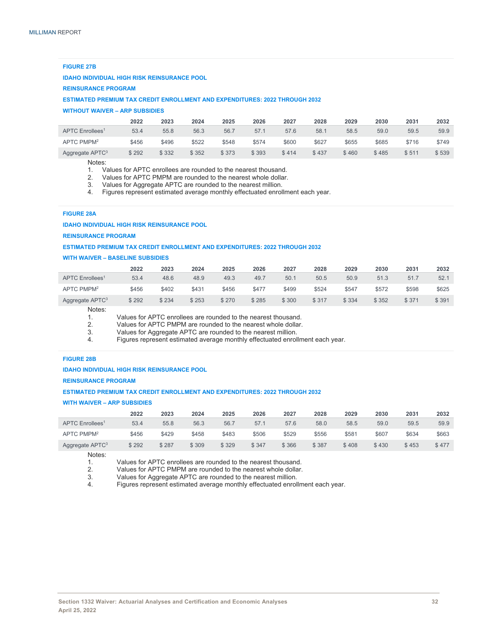#### **FIGURE 27B**

#### **IDAHO INDIVIDUAL HIGH RISK REINSURANCE POOL**

#### **REINSURANCE PROGRAM**

**ESTIMATED PREMIUM TAX CREDIT ENROLLMENT AND EXPENDITURES: 2022 THROUGH 2032**

#### **WITHOUT WAIVER – ARP SUBSIDIES**

|                             | 2022  | 2023  | 2024  | 2025  | 2026  | 2027  | 2028  | 2029  | 2030  | 2031  | 2032  |
|-----------------------------|-------|-------|-------|-------|-------|-------|-------|-------|-------|-------|-------|
| APTC Enrollees <sup>1</sup> | 53.4  | 55.8  | 56.3  | 56.7  | 57.1  | 57.6  | 58.1  | 58.5  | 59.0  | 59.5  | 59.9  |
| APTC PMPM <sup>2</sup>      | \$456 | \$496 | \$522 | \$548 | \$574 | \$600 | \$627 | \$655 | \$685 | \$716 | \$749 |
| Aggregate APTC <sup>3</sup> | \$292 | \$332 | \$352 | \$373 | \$393 | \$414 | \$437 | \$460 | \$485 | \$511 | \$539 |

Notes:

- 1. Values for APTC enrollees are rounded to the nearest thousand.
- 2. Values for APTC PMPM are rounded to the nearest whole dollar.<br>3. Values for Aggregate APTC are rounded to the nearest million.
- Values for Aggregate APTC are rounded to the nearest million.
- 4. Figures represent estimated average monthly effectuated enrollment each year.

#### **FIGURE 28A**

#### **IDAHO INDIVIDUAL HIGH RISK REINSURANCE POOL**

#### **REINSURANCE PROGRAM**

#### **ESTIMATED PREMIUM TAX CREDIT ENROLLMENT AND EXPENDITURES: 2022 THROUGH 2032**

#### **WITH WAIVER – BASELINE SUBSIDIES**

|                             | 2022  | 2023  | 2024  | 2025  | 2026  | 2027  | 2028  | 2029  | 2030  | 2031  | 2032  |
|-----------------------------|-------|-------|-------|-------|-------|-------|-------|-------|-------|-------|-------|
| APTC Enrollees <sup>1</sup> | 53.4  | 48.6  | 48.9  | 49.3  | 49.7  | 50.1  | 50.5  | 50.9  | 51.3  | 51.7  | 52.1  |
| APTC PMPM <sup>2</sup>      | \$456 | \$402 | \$431 | \$456 | \$477 | \$499 | \$524 | \$547 | \$572 | \$598 | \$625 |
| Aggregate APTC <sup>3</sup> | \$292 | \$234 | \$253 | \$270 | \$285 | \$300 | \$317 | \$334 | \$352 | \$371 | \$391 |

Notes:

1. Values for APTC enrollees are rounded to the nearest thousand.<br>2 Values for APTC PMPM are rounded to the nearest whole dollar

2. Values for APTC PMPM are rounded to the nearest whole dollar.

3. Values for Aggregate APTC are rounded to the nearest million.

Figures represent estimated average monthly effectuated enrollment each year.

#### **FIGURE 28B**

#### **IDAHO INDIVIDUAL HIGH RISK REINSURANCE POOL**

**REINSURANCE PROGRAM** 

#### **ESTIMATED PREMIUM TAX CREDIT ENROLLMENT AND EXPENDITURES: 2022 THROUGH 2032**

#### **WITH WAIVER – ARP SUBSIDIES**

|                             | 2022  | 2023  | 2024  | 2025  | 2026  | 2027  | 2028  | 2029  | 2030  | 2031  | 2032  |
|-----------------------------|-------|-------|-------|-------|-------|-------|-------|-------|-------|-------|-------|
| APTC Enrollees <sup>1</sup> | 53.4  | 55.8  | 56.3  | 56.7  | 57.1  | 57.6  | 58.0  | 58.5  | 59.0  | 59.5  | 59.9  |
| APTC PMPM <sup>2</sup>      | \$456 | \$429 | \$458 | \$483 | \$506 | \$529 | \$556 | \$581 | \$607 | \$634 | \$663 |
| Aggregate APTC <sup>3</sup> | \$292 | \$287 | \$309 | \$329 | \$347 | \$366 | \$387 | \$408 | \$430 | \$453 | \$477 |

Notes:

1. Values for APTC enrollees are rounded to the nearest thousand.<br>2. Values for APTC PMPM are rounded to the nearest whole dollar.

2. Values for APTC PMPM are rounded to the nearest whole dollar.<br>3 Values for Aggregate APTC are rounded to the nearest million

3. Values for Aggregate APTC are rounded to the nearest million.

Figures represent estimated average monthly effectuated enrollment each year.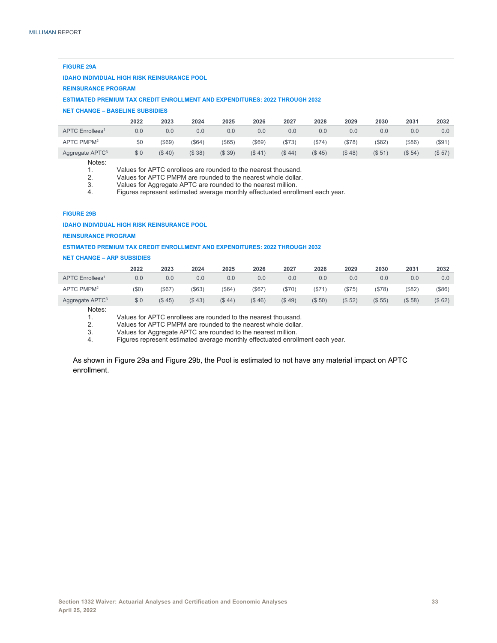#### **FIGURE 29A**

#### **IDAHO INDIVIDUAL HIGH RISK REINSURANCE POOL**

#### **REINSURANCE PROGRAM**

**ESTIMATED PREMIUM TAX CREDIT ENROLLMENT AND EXPENDITURES: 2022 THROUGH 2032**

#### **NET CHANGE – BASELINE SUBSIDIES**

|                             | 2022 | 2023   | 2024  | 2025  | 2026   | 2027  | 2028  | 2029    | 2030               | 2031               | 2032   |
|-----------------------------|------|--------|-------|-------|--------|-------|-------|---------|--------------------|--------------------|--------|
| APTC Enrollees <sup>1</sup> | 0.0  | 0.0    | 0.0   | 0.0   | 0.0    | 0.0   | 0.0   | 0.0     | 0.0                | 0.0                | 0.0    |
| APTC PMPM <sup>2</sup>      | \$0  | (\$69) | (S64) | (S65) | (\$69) | (S73) | (S74) | ( \$78) | (S82)              | (S86)              | (\$91) |
| Aggregate APTC <sup>3</sup> | \$0  | (S 40) | (S38) | (S39) | (S 41) | (S44) | (S45) | (S48)   | (S <sub>51</sub> ) | (S <sub>54</sub> ) | (\$57) |
| $\cdots$                    |      |        |       |       |        |       |       |         |                    |                    |        |

Notes:

| Values for APTC enrollees are rounded to the nearest thousand. |
|----------------------------------------------------------------|
|----------------------------------------------------------------|

2. Values for APTC PMPM are rounded to the nearest whole dollar.

3. Values for Aggregate APTC are rounded to the nearest million.

4. Figures represent estimated average monthly effectuated enrollment each year.

#### **FIGURE 29B**

#### **IDAHO INDIVIDUAL HIGH RISK REINSURANCE POOL**

#### **REINSURANCE PROGRAM**

#### **ESTIMATED PREMIUM TAX CREDIT ENROLLMENT AND EXPENDITURES: 2022 THROUGH 2032**

#### **NET CHANGE – ARP SUBSIDIES**

|                             | 2022     | 2023   | 2024      | 2025      | 2026  | 2027   | 2028   | 2029   | 2030   | 2031      | 2032   |
|-----------------------------|----------|--------|-----------|-----------|-------|--------|--------|--------|--------|-----------|--------|
| APTC Enrollees <sup>1</sup> | 0.0      | 0.0    | 0.0       | 0.0       | 0.0   | 0.0    | 0.0    | 0.0    | 0.0    | 0.0       | 0.0    |
| APTC PMPM <sup>2</sup>      | $($ \$0) | (S67)  | $($ \$63) | $($ \$64) | \$67) | (S70)  | (S71)  | (S75)  | (S78)  | $($ \$82) | (\$86) |
| Aggregate APTC <sup>3</sup> | \$0      | (S 45) | (S43)     | (S.44)    | (S46) | (S.49) | (\$50) | (\$52) | (S 55) | (S58)     | (\$62) |

Notes:

1. Values for APTC enrollees are rounded to the nearest thousand.<br>2. Values for APTC PMPM are rounded to the nearest whole dollar.

2. Values for APTC PMPM are rounded to the nearest whole dollar.

3. Values for Aggregate APTC are rounded to the nearest million.

4. Figures represent estimated average monthly effectuated enrollment each year.

As shown in Figure 29a and Figure 29b, the Pool is estimated to not have any material impact on APTC enrollment.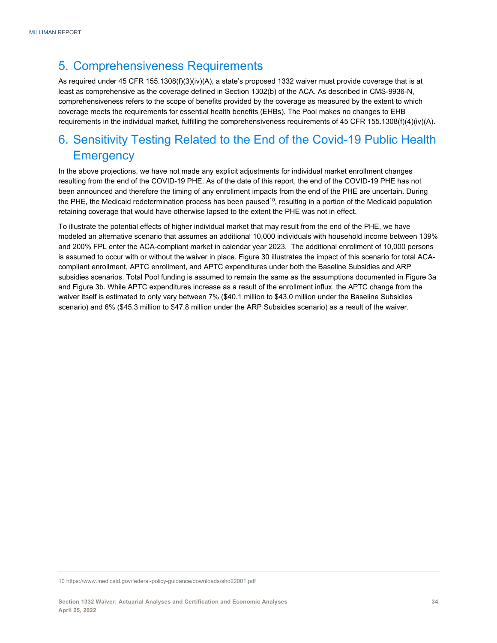## 5. Comprehensiveness Requirements

As required under 45 CFR 155.1308(f)(3)(iv)(A), a state's proposed 1332 waiver must provide coverage that is at least as comprehensive as the coverage defined in Section 1302(b) of the ACA. As described in CMS-9936-N, comprehensiveness refers to the scope of benefits provided by the coverage as measured by the extent to which coverage meets the requirements for essential health benefits (EHBs). The Pool makes no changes to EHB requirements in the individual market, fulfilling the comprehensiveness requirements of 45 CFR 155.1308(f)(4)(iv)(A).

## 6. Sensitivity Testing Related to the End of the Covid-19 Public Health **Emergency**

In the above projections, we have not made any explicit adjustments for individual market enrollment changes resulting from the end of the COVID-19 PHE. As of the date of this report, the end of the COVID-19 PHE has not been announced and therefore the timing of any enrollment impacts from the end of the PHE are uncertain. During the PHE, the Medicaid redetermination process has been paused<sup>10</sup>, resulting in a portion of the Medicaid population retaining coverage that would have otherwise lapsed to the extent the PHE was not in effect.

To illustrate the potential effects of higher individual market that may result from the end of the PHE, we have modeled an alternative scenario that assumes an additional 10,000 individuals with household income between 139% and 200% FPL enter the ACA-compliant market in calendar year 2023. The additional enrollment of 10,000 persons is assumed to occur with or without the waiver in place. Figure 30 illustrates the impact of this scenario for total ACAcompliant enrollment, APTC enrollment, and APTC expenditures under both the Baseline Subsidies and ARP subsidies scenarios. Total Pool funding is assumed to remain the same as the assumptions documented in Figure 3a and Figure 3b. While APTC expenditures increase as a result of the enrollment influx, the APTC change from the waiver itself is estimated to only vary between 7% (\$40.1 million to \$43.0 million under the Baseline Subsidies scenario) and 6% (\$45.3 million to \$47.8 million under the ARP Subsidies scenario) as a result of the waiver.

10 https://www.medicaid.gov/federal-policy-guidance/downloads/sho22001.pdf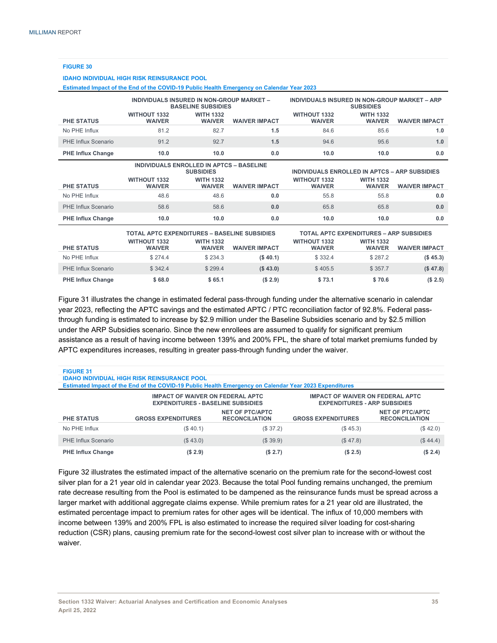**FIGURE 30** 

**IDAHO INDIVIDUAL HIGH RISK REINSURANCE POOL** 

| Estimated Impact of the End of the COVID-19 Public Health Emergency on Calendar Year 2023 |                                                                            |                                   |                      |                                                                   |                                                                    |                      |  |  |  |  |  |
|-------------------------------------------------------------------------------------------|----------------------------------------------------------------------------|-----------------------------------|----------------------|-------------------------------------------------------------------|--------------------------------------------------------------------|----------------------|--|--|--|--|--|
|                                                                                           | INDIVIDUALS INSURED IN NON-GROUP MARKET -                                  | <b>BASELINE SUBSIDIES</b>         |                      | INDIVIDUALS INSURED IN NON-GROUP MARKET - ARP<br><b>SUBSIDIES</b> |                                                                    |                      |  |  |  |  |  |
| <b>PHE STATUS</b>                                                                         | <b>WITHOUT 1332</b><br><b>WAIVER</b>                                       | <b>WITH 1332</b><br><b>WAIVER</b> | <b>WAIVER IMPACT</b> | <b>WITHOUT 1332</b><br><b>WAIVER</b>                              | <b>WITH 1332</b><br><b>WAIVER</b>                                  | <b>WAIVER IMPACT</b> |  |  |  |  |  |
| No PHE Influx                                                                             | 81.2                                                                       | 82.7                              | 1.5                  | 84.6                                                              | 85.6                                                               | 1.0                  |  |  |  |  |  |
| PHE Influx Scenario                                                                       | 91.2                                                                       | 92.7                              | 1.5                  | 94.6                                                              | 95.6                                                               | 1.0                  |  |  |  |  |  |
| <b>PHE Influx Change</b>                                                                  | 10.0                                                                       | 10.0                              | 0.0                  | 10.0                                                              | 10.0                                                               | 0.0                  |  |  |  |  |  |
|                                                                                           | <b>INDIVIDUALS ENROLLED IN APTCS - BASELINE</b>                            | <b>SUBSIDIES</b>                  |                      |                                                                   | INDIVIDUALS ENROLLED IN APTCS - ARP SUBSIDIES                      |                      |  |  |  |  |  |
|                                                                                           | <b>WITHOUT 1332</b>                                                        | <b>WITH 1332</b>                  |                      | <b>WITHOUT 1332</b>                                               | <b>WITH 1332</b>                                                   |                      |  |  |  |  |  |
| <b>PHE STATUS</b>                                                                         | <b>WAIVER</b>                                                              | <b>WAIVER</b>                     | <b>WAIVER IMPACT</b> | <b>WAIVER</b>                                                     | <b>WAIVER</b>                                                      | <b>WAIVER IMPACT</b> |  |  |  |  |  |
| No PHE Influx                                                                             | 48.6                                                                       | 48.6                              | 0.0                  | 55.8                                                              | 55.8                                                               | 0.0                  |  |  |  |  |  |
| PHE Influx Scenario                                                                       | 58.6                                                                       | 58.6                              | 0.0                  | 65.8                                                              | 65.8                                                               | 0.0                  |  |  |  |  |  |
| <b>PHE Influx Change</b>                                                                  | 10.0                                                                       | 10.0                              | 0.0                  | 10.0                                                              | 10.0                                                               | 0.0                  |  |  |  |  |  |
|                                                                                           | <b>TOTAL APTC EXPENDITURES - BASELINE SUBSIDIES</b><br><b>WITHOUT 1332</b> | <b>WITH 1332</b>                  |                      | <b>WITHOUT 1332</b>                                               | <b>TOTAL APTC EXPENDITURES - ARP SUBSIDIES</b><br><b>WITH 1332</b> |                      |  |  |  |  |  |
| <b>PHE STATUS</b>                                                                         | <b>WAIVER</b>                                                              | <b>WAIVER</b>                     | <b>WAIVER IMPACT</b> | <b>WAIVER</b>                                                     | <b>WAIVER</b>                                                      | <b>WAIVER IMPACT</b> |  |  |  |  |  |
| No PHE Influx                                                                             | \$274.4                                                                    | \$234.3                           | (\$40.1)             | \$332.4                                                           | \$287.2                                                            | (\$45.3)             |  |  |  |  |  |
| <b>PHE Influx Scenario</b>                                                                | \$342.4                                                                    | \$299.4                           | (S43.0)              | \$405.5                                                           | \$357.7                                                            | (\$47.8)             |  |  |  |  |  |
| <b>PHE Influx Change</b>                                                                  | \$68.0                                                                     | \$65.1                            | (S 2.9)              | \$73.1                                                            | \$70.6                                                             | (S 2.5)              |  |  |  |  |  |

Figure 31 illustrates the change in estimated federal pass-through funding under the alternative scenario in calendar year 2023, reflecting the APTC savings and the estimated APTC / PTC reconciliation factor of 92.8%. Federal passthrough funding is estimated to increase by \$2.9 million under the Baseline Subsidies scenario and by \$2.5 million under the ARP Subsidies scenario. Since the new enrollees are assumed to qualify for significant premium assistance as a result of having income between 139% and 200% FPL, the share of total market premiums funded by APTC expenditures increases, resulting in greater pass-through funding under the waiver.

| <b>FIGURE 31</b><br><b>IDAHO INDIVIDUAL HIGH RISK REINSURANCE POOL</b><br>Estimated Impact of the End of the COVID-19 Public Health Emergency on Calendar Year 2023 Expenditures |                                                                                     |                                                 |                                                                                |                                                 |  |  |  |  |  |
|----------------------------------------------------------------------------------------------------------------------------------------------------------------------------------|-------------------------------------------------------------------------------------|-------------------------------------------------|--------------------------------------------------------------------------------|-------------------------------------------------|--|--|--|--|--|
|                                                                                                                                                                                  | <b>IMPACT OF WAIVER ON FEDERAL APTC</b><br><b>EXPENDITURES - BASELINE SUBSIDIES</b> |                                                 | <b>IMPACT OF WAIVER ON FEDERAL APTC</b><br><b>EXPENDITURES - ARP SUBSIDIES</b> |                                                 |  |  |  |  |  |
| <b>PHE STATUS</b>                                                                                                                                                                | <b>GROSS EXPENDITURES</b>                                                           | <b>NET OF PTC/APTC</b><br><b>RECONCILIATION</b> | <b>GROSS EXPENDITURES</b>                                                      | <b>NET OF PTC/APTC</b><br><b>RECONCILIATION</b> |  |  |  |  |  |
| No PHE Influx                                                                                                                                                                    | (\$40.1)                                                                            | (\$37.2)                                        | (\$45.3)                                                                       | (\$42.0)                                        |  |  |  |  |  |
| PHE Influx Scenario                                                                                                                                                              | (\$43.0)                                                                            | (S39.9)                                         | (\$47.8)                                                                       | (\$44.4)                                        |  |  |  |  |  |
| <b>PHE Influx Change</b>                                                                                                                                                         | (S 2.9)                                                                             | (S 2.7)                                         | (S 2.5)                                                                        | (\$2.4)                                         |  |  |  |  |  |

Figure 32 illustrates the estimated impact of the alternative scenario on the premium rate for the second-lowest cost silver plan for a 21 year old in calendar year 2023. Because the total Pool funding remains unchanged, the premium rate decrease resulting from the Pool is estimated to be dampened as the reinsurance funds must be spread across a larger market with additional aggregate claims expense. While premium rates for a 21 year old are illustrated, the estimated percentage impact to premium rates for other ages will be identical. The influx of 10,000 members with income between 139% and 200% FPL is also estimated to increase the required silver loading for cost-sharing reduction (CSR) plans, causing premium rate for the second-lowest cost silver plan to increase with or without the waiver.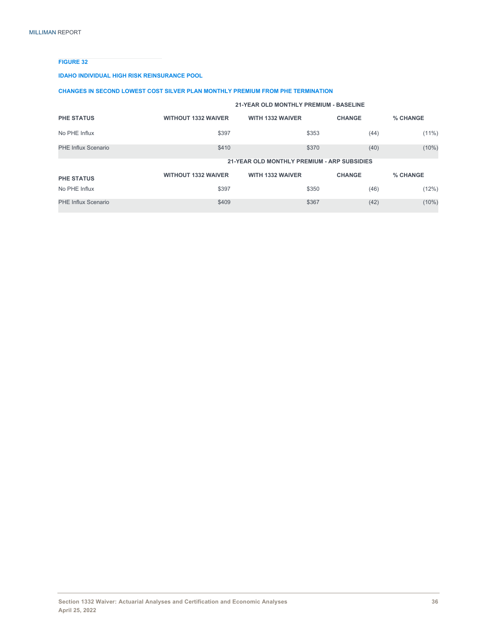#### **FIGURE 32**

#### **IDAHO INDIVIDUAL HIGH RISK REINSURANCE POOL**

#### **CHANGES IN SECOND LOWEST COST SILVER PLAN MONTHLY PREMIUM FROM PHE TERMINATION**

|                     | 21-YEAR OLD MONTHLY PREMIUM - BASELINE |                                             |               |          |  |  |  |  |  |  |
|---------------------|----------------------------------------|---------------------------------------------|---------------|----------|--|--|--|--|--|--|
| <b>PHE STATUS</b>   | <b>WITHOUT 1332 WAIVER</b>             | <b>WITH 1332 WAIVER</b>                     | <b>CHANGE</b> | % CHANGE |  |  |  |  |  |  |
| No PHE Influx       | \$397                                  | \$353                                       | (44)          | (11%)    |  |  |  |  |  |  |
| PHE Influx Scenario | \$410                                  | \$370                                       | (40)          | (10%)    |  |  |  |  |  |  |
|                     |                                        | 21-YEAR OLD MONTHLY PREMIUM - ARP SUBSIDIES |               |          |  |  |  |  |  |  |
| <b>PHE STATUS</b>   | <b>WITHOUT 1332 WAIVER</b>             | <b>WITH 1332 WAIVER</b>                     | <b>CHANGE</b> | % CHANGE |  |  |  |  |  |  |
| No PHE Influx       | \$397                                  | \$350                                       | (46)          | (12%)    |  |  |  |  |  |  |
| PHE Influx Scenario | \$409                                  | \$367                                       | (42)          | $(10\%)$ |  |  |  |  |  |  |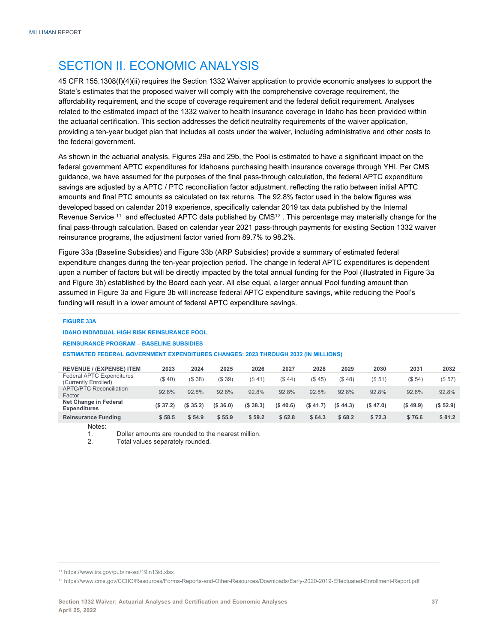## SECTION II. ECONOMIC ANALYSIS

45 CFR 155.1308(f)(4)(ii) requires the Section 1332 Waiver application to provide economic analyses to support the State's estimates that the proposed waiver will comply with the comprehensive coverage requirement, the affordability requirement, and the scope of coverage requirement and the federal deficit requirement. Analyses related to the estimated impact of the 1332 waiver to health insurance coverage in Idaho has been provided within the actuarial certification. This section addresses the deficit neutrality requirements of the waiver application, providing a ten-year budget plan that includes all costs under the waiver, including administrative and other costs to the federal government.

As shown in the actuarial analysis, Figures 29a and 29b, the Pool is estimated to have a significant impact on the federal government APTC expenditures for Idahoans purchasing health insurance coverage through YHI. Per CMS guidance, we have assumed for the purposes of the final pass-through calculation, the federal APTC expenditure savings are adjusted by a APTC / PTC reconciliation factor adjustment, reflecting the ratio between initial APTC amounts and final PTC amounts as calculated on tax returns. The 92.8% factor used in the below figures was developed based on calendar 2019 experience, specifically calendar 2019 tax data published by the Internal Revenue Service  $11$  and effectuated APTC data published by CMS $12$ . This percentage may materially change for the final pass-through calculation. Based on calendar year 2021 pass-through payments for existing Section 1332 waiver reinsurance programs, the adjustment factor varied from 89.7% to 98.2%.

Figure 33a (Baseline Subsidies) and Figure 33b (ARP Subsidies) provide a summary of estimated federal expenditure changes during the ten-year projection period. The change in federal APTC expenditures is dependent upon a number of factors but will be directly impacted by the total annual funding for the Pool (illustrated in Figure 3a and Figure 3b) established by the Board each year. All else equal, a larger annual Pool funding amount than assumed in Figure 3a and Figure 3b will increase federal APTC expenditure savings, while reducing the Pool's funding will result in a lower amount of federal APTC expenditure savings.

#### **FIGURE 33A**

#### **IDAHO INDIVIDUAL HIGH RISK REINSURANCE POOL**

**REINSURANCE PROGRAM – BASELINE SUBSIDIES** 

#### **ESTIMATED FEDERAL GOVERNMENT EXPENDITURES CHANGES: 2023 THROUGH 2032 (IN MILLIONS)**

| <b>REVENUE / (EXPENSE) ITEM</b>                          | 2023                 | 2024                 | 2025    | 2026     | 2027     | 2028      | 2029       | 2030               | 2031               | 2032      |
|----------------------------------------------------------|----------------------|----------------------|---------|----------|----------|-----------|------------|--------------------|--------------------|-----------|
| <b>Federal APTC Expenditures</b><br>(Currently Enrolled) | ( \$ 40)             | (\$38)               | (S39)   | (S41)    | (S44)    | (S.45)    | (S.48)     | (S <sub>51</sub> ) | (S <sub>54</sub> ) | (\$57)    |
| <b>APTC/PTC Reconciliation</b><br>Factor                 | 92.8%                | 92.8%                | 92.8%   | 92.8%    | 92.8%    | 92.8%     | 92.8%      | 92.8%              | 92.8%              | 92.8%     |
| Net Change in Federal<br><b>Expenditures</b>             | (S <sub>37.2</sub> ) | (S <sub>35.2</sub> ) | (S36.0) | (S.38.3) | (\$40.6) | (S, 41.7) | (S, 44, 3) | (S, 47.0)          | (S49.9)            | (S, 52.9) |
| <b>Reinsurance Funding</b><br>.                          | \$58.5               | \$54.9               | \$55.9  | \$59.2   | \$62.8   | \$64.3    | \$68.2     | \$72.3             | \$76.6             | \$81.2    |

Notes:

1. Dollar amounts are rounded to the nearest million.<br>2 Total values senarately rounded

Total values separately rounded.

12 https://www.cms.gov/CCIIO/Resources/Forms-Reports-and-Other-Resources/Downloads/Early-2020-2019-Effectuated-Enrollment-Report.pdf

<sup>11</sup> https://www.irs.gov/pub/irs-soi/19in13id.xlsx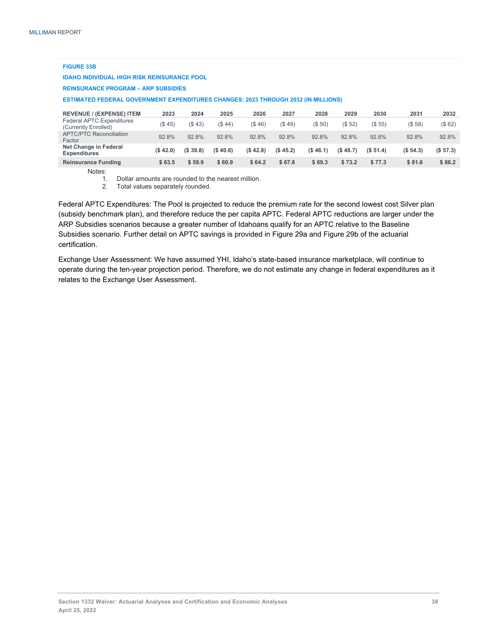#### **FIGURE 33B**

#### **IDAHO INDIVIDUAL HIGH RISK REINSURANCE POOL**

#### **REINSURANCE PROGRAM – ARP SUBSIDIES**

**ESTIMATED FEDERAL GOVERNMENT EXPENDITURES CHANGES: 2023 THROUGH 2032 (IN MILLIONS)** 

| <b>REVENUE / (EXPENSE) ITEM</b>                          | 2023      | 2024     | 2025      | 2026     | 2027     | 2028      | 2029               | 2030                 | 2031                 | 2032      |
|----------------------------------------------------------|-----------|----------|-----------|----------|----------|-----------|--------------------|----------------------|----------------------|-----------|
| <b>Federal APTC Expenditures</b><br>(Currently Enrolled) | (S.45)    | (\$43)   | (\$44)    | (\$46)   | (S49)    | (S 50)    | (S <sub>52</sub> ) | (S 55)               | (S58)                | (\$62)    |
| <b>APTC/PTC Reconciliation</b><br>Factor                 | 92.8%     | 92.8%    | 92.8%     | 92.8%    | 92.8%    | 92.8%     | 92.8%              | 92.8%                | 92.8%                | 92.8%     |
| Net Change in Federal<br><b>Expenditures</b>             | (S, 42.0) | (S.39.8) | (S, 40.6) | (S.42.8) | (\$45.2) | (S, 46.1) | (S.48.7)           | (S <sub>51.4</sub> ) | (S <sub>54.3</sub> ) | (S, 57.3) |
| <b>Reinsurance Funding</b>                               | \$63.5    | \$59.9   | \$60.9    | \$64.2   | \$67.8   | \$69.3    | \$73.2             | \$77.3               | \$81.6               | \$86.2    |
| .                                                        |           |          |           |          |          |           |                    |                      |                      |           |

Notes:

1. Dollar amounts are rounded to the nearest million.<br>2. Total values separately rounded.

Total values separately rounded.

Federal APTC Expenditures: The Pool is projected to reduce the premium rate for the second lowest cost Silver plan (subsidy benchmark plan), and therefore reduce the per capita APTC. Federal APTC reductions are larger under the ARP Subsidies scenarios because a greater number of Idahoans qualify for an APTC relative to the Baseline Subsidies scenario. Further detail on APTC savings is provided in Figure 29a and Figure 29b of the actuarial certification.

Exchange User Assessment: We have assumed YHI, Idaho's state-based insurance marketplace, will continue to operate during the ten-year projection period. Therefore, we do not estimate any change in federal expenditures as it relates to the Exchange User Assessment.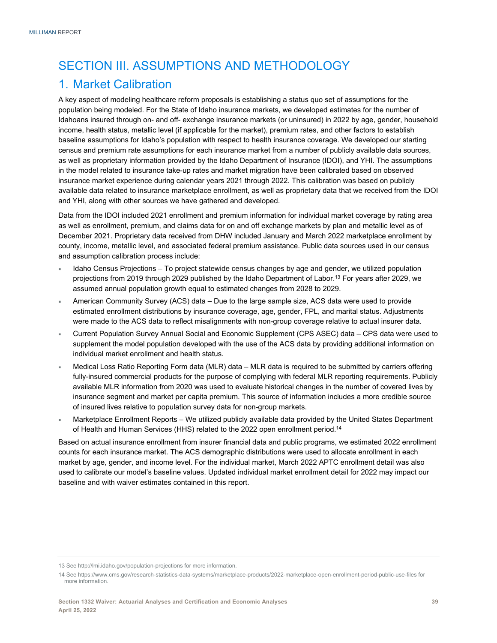## SECTION III. ASSUMPTIONS AND METHODOLOGY

## 1. Market Calibration

A key aspect of modeling healthcare reform proposals is establishing a status quo set of assumptions for the population being modeled. For the State of Idaho insurance markets, we developed estimates for the number of Idahoans insured through on- and off- exchange insurance markets (or uninsured) in 2022 by age, gender, household income, health status, metallic level (if applicable for the market), premium rates, and other factors to establish baseline assumptions for Idaho's population with respect to health insurance coverage. We developed our starting census and premium rate assumptions for each insurance market from a number of publicly available data sources, as well as proprietary information provided by the Idaho Department of Insurance (IDOI), and YHI. The assumptions in the model related to insurance take-up rates and market migration have been calibrated based on observed insurance market experience during calendar years 2021 through 2022. This calibration was based on publicly available data related to insurance marketplace enrollment, as well as proprietary data that we received from the IDOI and YHI, along with other sources we have gathered and developed.

Data from the IDOI included 2021 enrollment and premium information for individual market coverage by rating area as well as enrollment, premium, and claims data for on and off exchange markets by plan and metallic level as of December 2021. Proprietary data received from DHW included January and March 2022 marketplace enrollment by county, income, metallic level, and associated federal premium assistance. Public data sources used in our census and assumption calibration process include:

- Idaho Census Projections To project statewide census changes by age and gender, we utilized population projections from 2019 through 2029 published by the Idaho Department of Labor.<sup>13</sup> For years after 2029, we assumed annual population growth equal to estimated changes from 2028 to 2029.
- American Community Survey (ACS) data Due to the large sample size, ACS data were used to provide estimated enrollment distributions by insurance coverage, age, gender, FPL, and marital status. Adjustments were made to the ACS data to reflect misalignments with non-group coverage relative to actual insurer data.
- Current Population Survey Annual Social and Economic Supplement (CPS ASEC) data CPS data were used to supplement the model population developed with the use of the ACS data by providing additional information on individual market enrollment and health status.
- Medical Loss Ratio Reporting Form data (MLR) data MLR data is required to be submitted by carriers offering fully-insured commercial products for the purpose of complying with federal MLR reporting requirements. Publicly available MLR information from 2020 was used to evaluate historical changes in the number of covered lives by insurance segment and market per capita premium. This source of information includes a more credible source of insured lives relative to population survey data for non-group markets.
- Marketplace Enrollment Reports We utilized publicly available data provided by the United States Department of Health and Human Services (HHS) related to the 2022 open enrollment period.14

Based on actual insurance enrollment from insurer financial data and public programs, we estimated 2022 enrollment counts for each insurance market. The ACS demographic distributions were used to allocate enrollment in each market by age, gender, and income level. For the individual market, March 2022 APTC enrollment detail was also used to calibrate our model's baseline values. Updated individual market enrollment detail for 2022 may impact our baseline and with waiver estimates contained in this report.

<sup>13</sup> See http://lmi.idaho.gov/population-projections for more information.

<sup>14</sup> See https://www.cms.gov/research-statistics-data-systems/marketplace-products/2022-marketplace-open-enrollment-period-public-use-files for more information.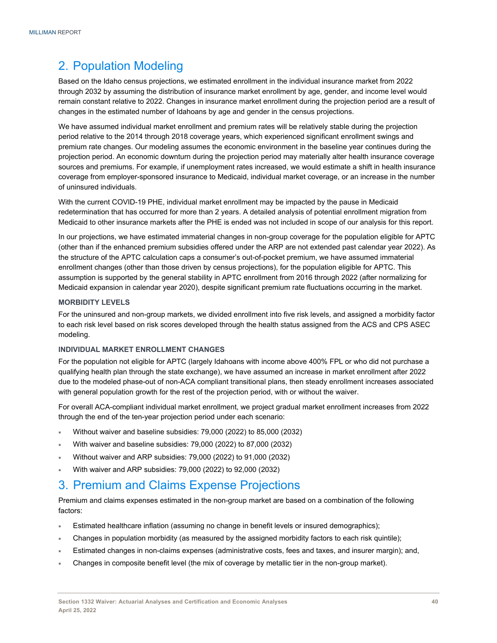## 2. Population Modeling

Based on the Idaho census projections, we estimated enrollment in the individual insurance market from 2022 through 2032 by assuming the distribution of insurance market enrollment by age, gender, and income level would remain constant relative to 2022. Changes in insurance market enrollment during the projection period are a result of changes in the estimated number of Idahoans by age and gender in the census projections.

We have assumed individual market enrollment and premium rates will be relatively stable during the projection period relative to the 2014 through 2018 coverage years, which experienced significant enrollment swings and premium rate changes. Our modeling assumes the economic environment in the baseline year continues during the projection period. An economic downturn during the projection period may materially alter health insurance coverage sources and premiums. For example, if unemployment rates increased, we would estimate a shift in health insurance coverage from employer-sponsored insurance to Medicaid, individual market coverage, or an increase in the number of uninsured individuals.

With the current COVID-19 PHE, individual market enrollment may be impacted by the pause in Medicaid redetermination that has occurred for more than 2 years. A detailed analysis of potential enrollment migration from Medicaid to other insurance markets after the PHE is ended was not included in scope of our analysis for this report.

In our projections, we have estimated immaterial changes in non-group coverage for the population eligible for APTC (other than if the enhanced premium subsidies offered under the ARP are not extended past calendar year 2022). As the structure of the APTC calculation caps a consumer's out-of-pocket premium, we have assumed immaterial enrollment changes (other than those driven by census projections), for the population eligible for APTC. This assumption is supported by the general stability in APTC enrollment from 2016 through 2022 (after normalizing for Medicaid expansion in calendar year 2020), despite significant premium rate fluctuations occurring in the market.

#### **MORBIDITY LEVELS**

For the uninsured and non-group markets, we divided enrollment into five risk levels, and assigned a morbidity factor to each risk level based on risk scores developed through the health status assigned from the ACS and CPS ASEC modeling.

#### **INDIVIDUAL MARKET ENROLLMENT CHANGES**

For the population not eligible for APTC (largely Idahoans with income above 400% FPL or who did not purchase a qualifying health plan through the state exchange), we have assumed an increase in market enrollment after 2022 due to the modeled phase-out of non-ACA compliant transitional plans, then steady enrollment increases associated with general population growth for the rest of the projection period, with or without the waiver.

For overall ACA-compliant individual market enrollment, we project gradual market enrollment increases from 2022 through the end of the ten-year projection period under each scenario:

- Without waiver and baseline subsidies: 79,000 (2022) to 85,000 (2032)
- With waiver and baseline subsidies: 79,000 (2022) to 87,000 (2032)
- Without waiver and ARP subsidies: 79,000 (2022) to 91,000 (2032)
- With waiver and ARP subsidies: 79,000 (2022) to 92,000 (2032)

## 3. Premium and Claims Expense Projections

Premium and claims expenses estimated in the non-group market are based on a combination of the following factors:

- Estimated healthcare inflation (assuming no change in benefit levels or insured demographics);
- Changes in population morbidity (as measured by the assigned morbidity factors to each risk quintile);
- Estimated changes in non-claims expenses (administrative costs, fees and taxes, and insurer margin); and,
- Changes in composite benefit level (the mix of coverage by metallic tier in the non-group market).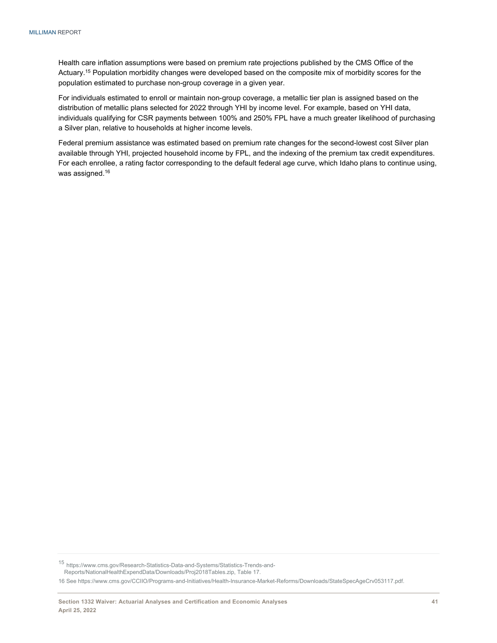Health care inflation assumptions were based on premium rate projections published by the CMS Office of the Actuary.15 Population morbidity changes were developed based on the composite mix of morbidity scores for the population estimated to purchase non-group coverage in a given year.

For individuals estimated to enroll or maintain non-group coverage, a metallic tier plan is assigned based on the distribution of metallic plans selected for 2022 through YHI by income level. For example, based on YHI data, individuals qualifying for CSR payments between 100% and 250% FPL have a much greater likelihood of purchasing a Silver plan, relative to households at higher income levels.

Federal premium assistance was estimated based on premium rate changes for the second-lowest cost Silver plan available through YHI, projected household income by FPL, and the indexing of the premium tax credit expenditures. For each enrollee, a rating factor corresponding to the default federal age curve, which Idaho plans to continue using, was assigned.<sup>16</sup>

<sup>15</sup> https://www.cms.gov/Research-Statistics-Data-and-Systems/Statistics-Trends-and-Reports/NationalHealthExpendData/Downloads/Proj2018Tables.zip, Table 17.

16 See https://www.cms.gov/CCIIO/Programs-and-Initiatives/Health-Insurance-Market-Reforms/Downloads/StateSpecAgeCrv053117.pdf.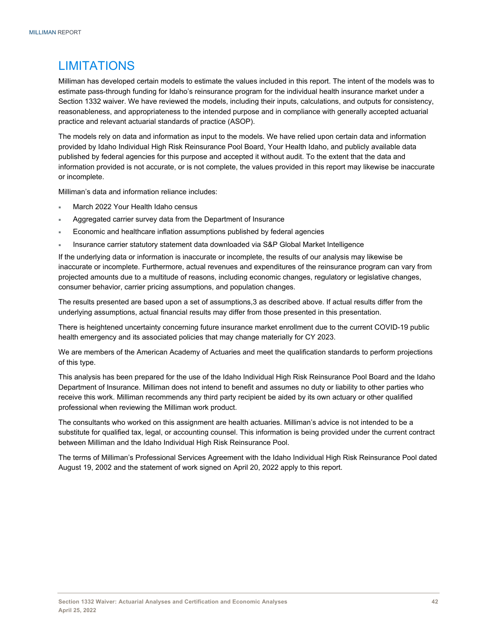## LIMITATIONS

Milliman has developed certain models to estimate the values included in this report. The intent of the models was to estimate pass-through funding for Idaho's reinsurance program for the individual health insurance market under a Section 1332 waiver. We have reviewed the models, including their inputs, calculations, and outputs for consistency, reasonableness, and appropriateness to the intended purpose and in compliance with generally accepted actuarial practice and relevant actuarial standards of practice (ASOP).

The models rely on data and information as input to the models. We have relied upon certain data and information provided by Idaho Individual High Risk Reinsurance Pool Board, Your Health Idaho, and publicly available data published by federal agencies for this purpose and accepted it without audit. To the extent that the data and information provided is not accurate, or is not complete, the values provided in this report may likewise be inaccurate or incomplete.

Milliman's data and information reliance includes:

- March 2022 Your Health Idaho census
- Aggregated carrier survey data from the Department of Insurance
- Economic and healthcare inflation assumptions published by federal agencies
- Insurance carrier statutory statement data downloaded via S&P Global Market Intelligence

If the underlying data or information is inaccurate or incomplete, the results of our analysis may likewise be inaccurate or incomplete. Furthermore, actual revenues and expenditures of the reinsurance program can vary from projected amounts due to a multitude of reasons, including economic changes, regulatory or legislative changes, consumer behavior, carrier pricing assumptions, and population changes.

The results presented are based upon a set of assumptions,3 as described above. If actual results differ from the underlying assumptions, actual financial results may differ from those presented in this presentation.

There is heightened uncertainty concerning future insurance market enrollment due to the current COVID-19 public health emergency and its associated policies that may change materially for CY 2023.

We are members of the American Academy of Actuaries and meet the qualification standards to perform projections of this type.

This analysis has been prepared for the use of the Idaho Individual High Risk Reinsurance Pool Board and the Idaho Department of Insurance. Milliman does not intend to benefit and assumes no duty or liability to other parties who receive this work. Milliman recommends any third party recipient be aided by its own actuary or other qualified professional when reviewing the Milliman work product.

The consultants who worked on this assignment are health actuaries. Milliman's advice is not intended to be a substitute for qualified tax, legal, or accounting counsel. This information is being provided under the current contract between Milliman and the Idaho Individual High Risk Reinsurance Pool.

The terms of Milliman's Professional Services Agreement with the Idaho Individual High Risk Reinsurance Pool dated August 19, 2002 and the statement of work signed on April 20, 2022 apply to this report.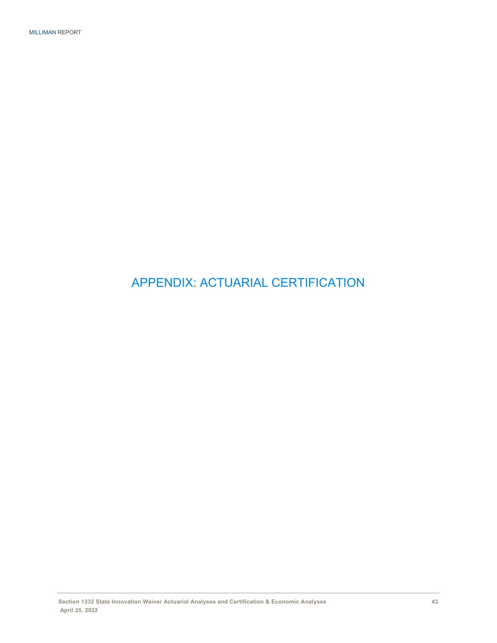APPENDIX: ACTUARIAL CERTIFICATION